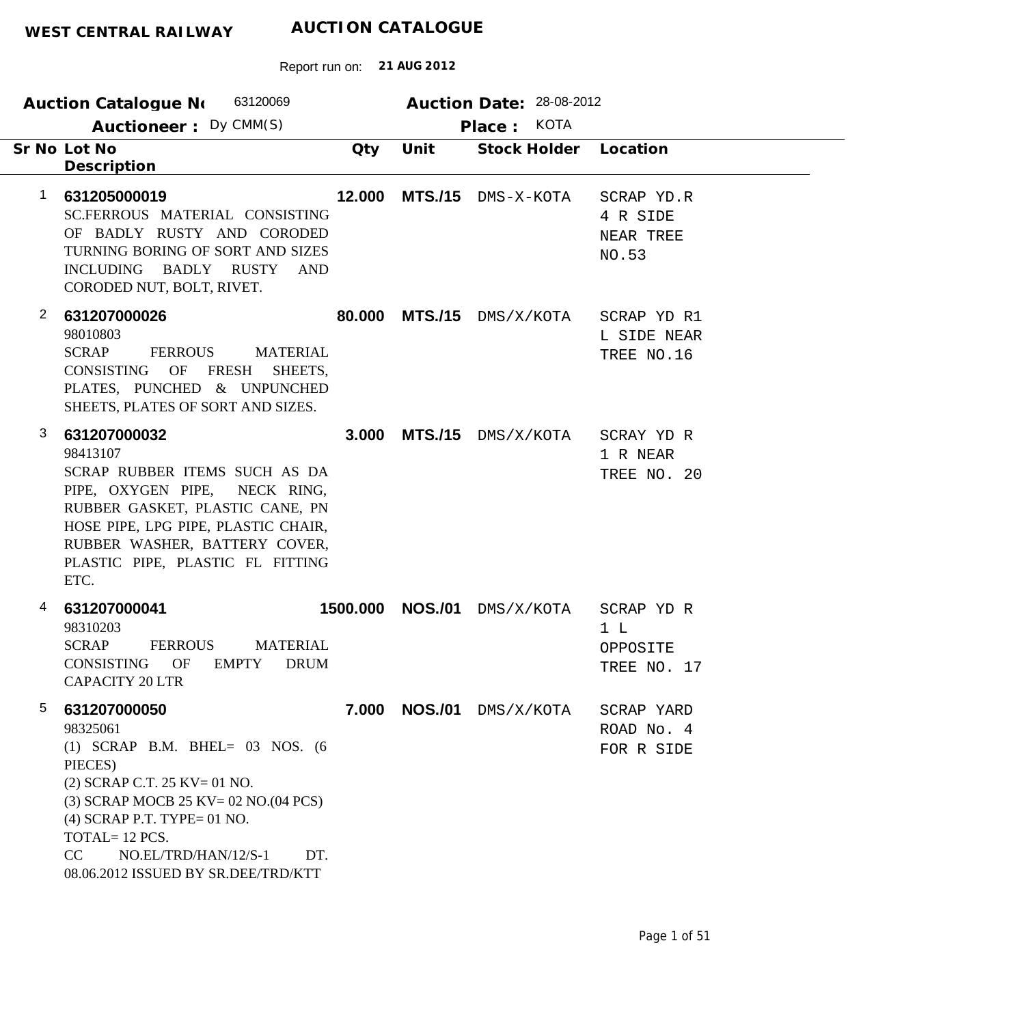| 63120069<br><b>Auction Catalogue No</b>                                                                                                                                                                                                                                                  |          |                | Auction Date: 28-08-2012 |                                              |  |  |
|------------------------------------------------------------------------------------------------------------------------------------------------------------------------------------------------------------------------------------------------------------------------------------------|----------|----------------|--------------------------|----------------------------------------------|--|--|
| Auctioneer: Dy CMM(S)                                                                                                                                                                                                                                                                    |          |                | Place: KOTA              |                                              |  |  |
| Sr No Lot No<br>Description                                                                                                                                                                                                                                                              | Qty      | Unit           | Stock Holder             | Location                                     |  |  |
| $\mathbf 1$<br>631205000019<br>SC.FERROUS MATERIAL CONSISTING<br>OF BADLY RUSTY AND CORODED<br>TURNING BORING OF SORT AND SIZES<br>INCLUDING BADLY RUSTY<br>AND<br>CORODED NUT, BOLT, RIVET.                                                                                             | 12.000   | <b>MTS./15</b> | DMS-X-KOTA               | SCRAP YD.R<br>4 R SIDE<br>NEAR TREE<br>NO.53 |  |  |
| $\overline{2}$<br>631207000026<br>98010803<br><b>SCRAP</b><br><b>FERROUS</b><br><b>MATERIAL</b><br>OF<br><b>FRESH</b><br>CONSISTING<br>SHEETS,<br>PLATES, PUNCHED & UNPUNCHED<br>SHEETS, PLATES OF SORT AND SIZES.                                                                       | 80.000   | <b>MTS./15</b> | DMS/X/KOTA               | SCRAP YD R1<br>L SIDE NEAR<br>TREE NO.16     |  |  |
| 3<br>631207000032<br>98413107<br>SCRAP RUBBER ITEMS SUCH AS DA<br>PIPE, OXYGEN PIPE, NECK RING,<br>RUBBER GASKET, PLASTIC CANE, PN<br>HOSE PIPE, LPG PIPE, PLASTIC CHAIR,<br>RUBBER WASHER, BATTERY COVER,<br>PLASTIC PIPE, PLASTIC FL FITTING<br>ETC.                                   | 3.000    | <b>MTS./15</b> | DMS/X/KOTA               | SCRAY YD R<br>1 R NEAR<br>TREE NO. 20        |  |  |
| 4<br>631207000041<br>98310203<br><b>SCRAP</b><br><b>FERROUS</b><br><b>MATERIAL</b><br>CONSISTING<br>OF<br>EMPTY<br><b>DRUM</b><br><b>CAPACITY 20 LTR</b>                                                                                                                                 | 1500.000 | <b>NOS./01</b> | DMS/X/KOTA               | SCRAP YD R<br>1 L<br>OPPOSITE<br>TREE NO. 17 |  |  |
| 5<br>631207000050<br>98325061<br>$(1)$ SCRAP B.M. BHEL= 03 NOS. $(6)$<br>PIECES)<br>$(2)$ SCRAP C.T. 25 KV= 01 NO.<br>(3) SCRAP MOCB 25 KV= 02 NO.(04 PCS)<br>$(4)$ SCRAP P.T. TYPE= 01 NO.<br>TOTAL=12 PCS.<br>CC<br>NO.EL/TRD/HAN/12/S-1<br>DT.<br>08.06.2012 ISSUED BY SR.DEE/TRD/KTT |          | 7.000 NOS./01  | DMS/X/KOTA               | SCRAP YARD<br>ROAD No. 4<br>FOR R SIDE       |  |  |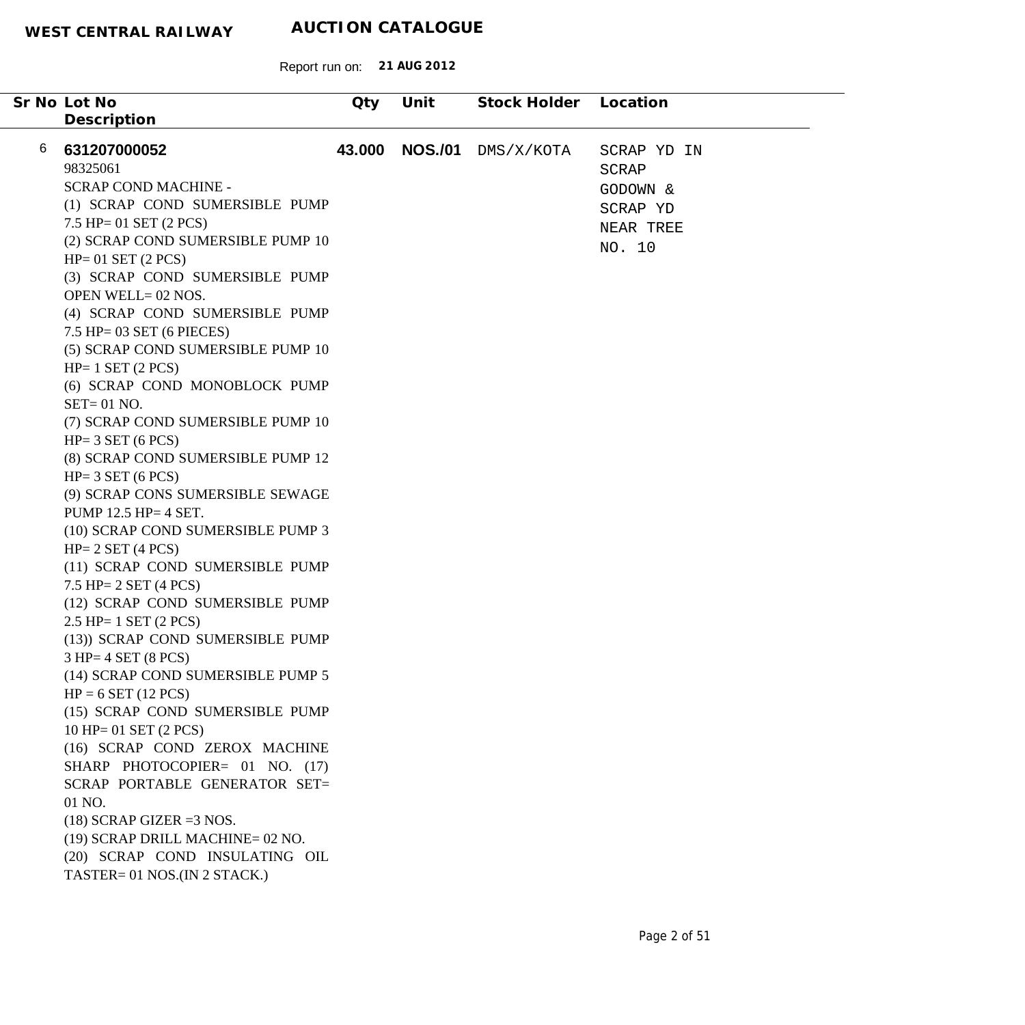| Sr No Lot No<br>Description       | Qty    | Unit           | Stock Holder Location |             |
|-----------------------------------|--------|----------------|-----------------------|-------------|
| 6<br>631207000052                 | 43.000 | <b>NOS./01</b> | DMS/X/KOTA            | SCRAP YD IN |
| 98325061                          |        |                |                       | SCRAP       |
| <b>SCRAP COND MACHINE -</b>       |        |                |                       | GODOWN &    |
| (1) SCRAP COND SUMERSIBLE PUMP    |        |                |                       | SCRAP YD    |
| $7.5$ HP= 01 SET (2 PCS)          |        |                |                       | NEAR TREE   |
| (2) SCRAP COND SUMERSIBLE PUMP 10 |        |                |                       | NO. 10      |
| $HP = 01$ SET (2 PCS)             |        |                |                       |             |
| (3) SCRAP COND SUMERSIBLE PUMP    |        |                |                       |             |
| OPEN WELL= 02 NOS.                |        |                |                       |             |
| (4) SCRAP COND SUMERSIBLE PUMP    |        |                |                       |             |
| $7.5$ HP= 03 SET (6 PIECES)       |        |                |                       |             |
| (5) SCRAP COND SUMERSIBLE PUMP 10 |        |                |                       |             |
| $HP = 1$ SET (2 PCS)              |        |                |                       |             |
| (6) SCRAP COND MONOBLOCK PUMP     |        |                |                       |             |
| $SET = 01$ NO.                    |        |                |                       |             |
| (7) SCRAP COND SUMERSIBLE PUMP 10 |        |                |                       |             |
| $HP = 3 SET (6 PCS)$              |        |                |                       |             |
| (8) SCRAP COND SUMERSIBLE PUMP 12 |        |                |                       |             |
| $HP = 3 SET (6 PCS)$              |        |                |                       |             |
| (9) SCRAP CONS SUMERSIBLE SEWAGE  |        |                |                       |             |
| PUMP 12.5 HP= 4 SET.              |        |                |                       |             |
| (10) SCRAP COND SUMERSIBLE PUMP 3 |        |                |                       |             |
| $HP = 2 SET (4 PCS)$              |        |                |                       |             |
| (11) SCRAP COND SUMERSIBLE PUMP   |        |                |                       |             |
| 7.5 HP= $2$ SET (4 PCS)           |        |                |                       |             |
| (12) SCRAP COND SUMERSIBLE PUMP   |        |                |                       |             |
| $2.5$ HP= 1 SET $(2$ PCS)         |        |                |                       |             |
| (13)) SCRAP COND SUMERSIBLE PUMP  |        |                |                       |             |
| $3 HP = 4 SET (8 PCS)$            |        |                |                       |             |
| (14) SCRAP COND SUMERSIBLE PUMP 5 |        |                |                       |             |
| $HP = 6 SET (12 PCS)$             |        |                |                       |             |
| (15) SCRAP COND SUMERSIBLE PUMP   |        |                |                       |             |
| $10$ HP= 01 SET $(2$ PCS)         |        |                |                       |             |
| (16) SCRAP COND ZEROX MACHINE     |        |                |                       |             |
| SHARP PHOTOCOPIER= 01 NO. (17)    |        |                |                       |             |
| SCRAP PORTABLE GENERATOR SET=     |        |                |                       |             |
| 01 NO.                            |        |                |                       |             |
| $(18)$ SCRAP GIZER = 3 NOS.       |        |                |                       |             |
| (19) SCRAP DRILL MACHINE= 02 NO.  |        |                |                       |             |
| (20) SCRAP COND INSULATING OIL    |        |                |                       |             |
| TASTER= 01 NOS.(IN 2 STACK.)      |        |                |                       |             |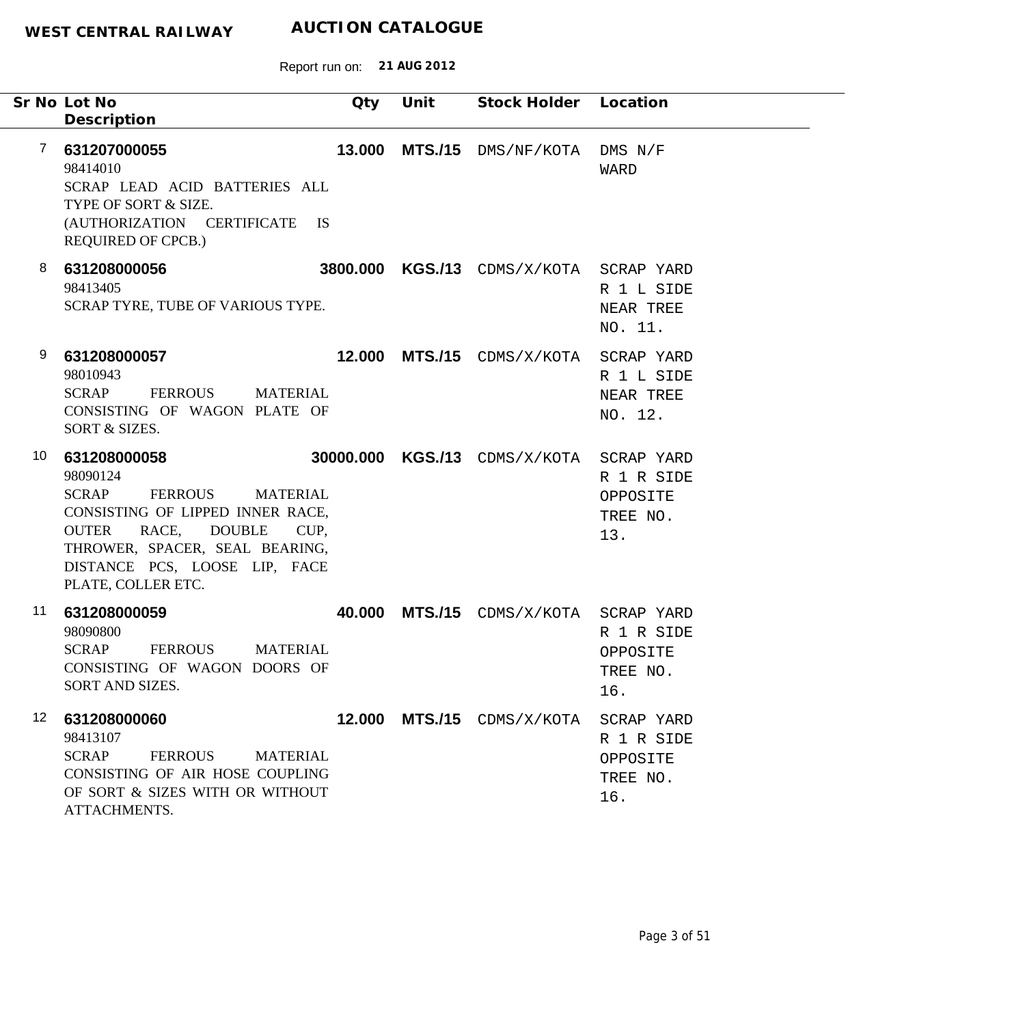|                  | Sr No Lot No                                                                                                                                                                                                                                                 | Qty    | Unit | Stock Holder Location                    |                                                         |
|------------------|--------------------------------------------------------------------------------------------------------------------------------------------------------------------------------------------------------------------------------------------------------------|--------|------|------------------------------------------|---------------------------------------------------------|
| 7                | Description<br>631207000055<br>98414010<br>SCRAP LEAD ACID BATTERIES ALL<br>TYPE OF SORT & SIZE.<br>(AUTHORIZATION CERTIFICATE IS<br><b>REQUIRED OF CPCB.)</b>                                                                                               | 13.000 |      | MTS./15 DMS/NF/KOTA DMS N/F              | <b>WARD</b>                                             |
| 8                | 631208000056<br>98413405<br>SCRAP TYRE, TUBE OF VARIOUS TYPE.                                                                                                                                                                                                |        |      | 3800.000 KGS./13 CDMS/X/KOTA SCRAP YARD  | R 1 L SIDE<br>NEAR TREE<br>NO. 11.                      |
| 9                | 631208000057<br>98010943<br><b>FERROUS</b><br><b>SCRAP</b><br><b>MATERIAL</b><br>CONSISTING OF WAGON PLATE OF<br>SORT & SIZES.                                                                                                                               |        |      | 12.000 MTS./15 CDMS/X/KOTA SCRAP YARD    | R 1 L SIDE<br>NEAR TREE<br>NO. 12.                      |
| 10               | 631208000058<br>98090124<br><b>SCRAP</b><br><b>FERROUS</b><br><b>MATERIAL</b><br>CONSISTING OF LIPPED INNER RACE,<br>RACE,<br><b>DOUBLE</b><br><b>OUTER</b><br>CUP,<br>THROWER, SPACER, SEAL BEARING,<br>DISTANCE PCS, LOOSE LIP, FACE<br>PLATE, COLLER ETC. |        |      | 30000.000 KGS./13 CDMS/X/KOTA SCRAP YARD | R 1 R SIDE<br>OPPOSITE<br>TREE NO.<br>13.               |
| 11               | 631208000059<br>98090800<br><b>SCRAP</b><br><b>FERROUS</b><br><b>MATERIAL</b><br>CONSISTING OF WAGON DOORS OF<br>SORT AND SIZES.                                                                                                                             | 40.000 |      | MTS./15 CDMS/X/KOTA SCRAP YARD           | R 1 R SIDE<br>OPPOSITE<br>TREE NO.<br>16.               |
| 12 <sup>12</sup> | 631208000060<br>98413107<br><b>SCRAP</b><br><b>FERROUS</b><br><b>MATERIAL</b><br>CONSISTING OF AIR HOSE COUPLING<br>OF SORT & SIZES WITH OR WITHOUT<br>ATTACHMENTS.                                                                                          |        |      | <b>12.000 MTS./15</b> CDMS/X/KOTA        | SCRAP YARD<br>R 1 R SIDE<br>OPPOSITE<br>TREE NO.<br>16. |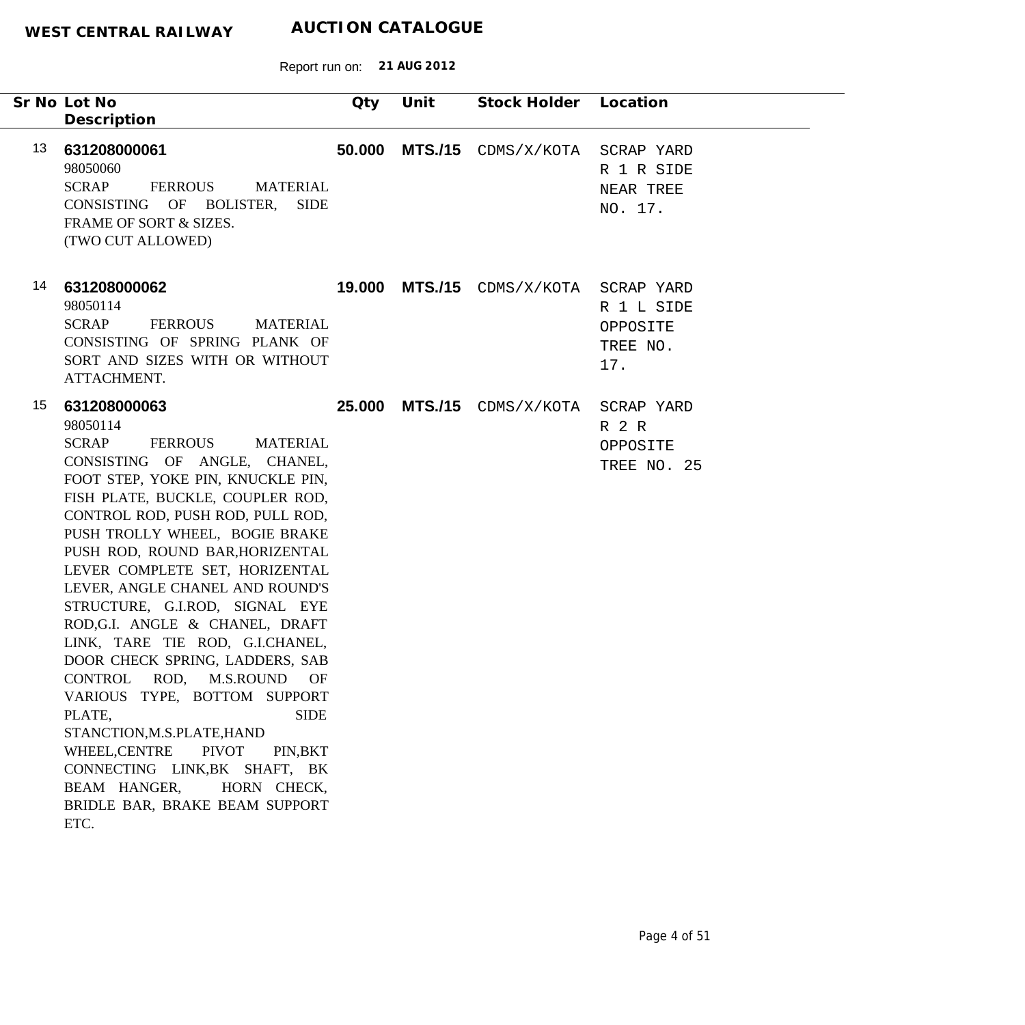|    | Sr No Lot No<br>Description                                                                                                                                                                                                                                                                                                                                                                                                                                                                                                                                                                                                                                                                                                                                                                         | Qty    | Unit           | Stock Holder Location   |                                                         |
|----|-----------------------------------------------------------------------------------------------------------------------------------------------------------------------------------------------------------------------------------------------------------------------------------------------------------------------------------------------------------------------------------------------------------------------------------------------------------------------------------------------------------------------------------------------------------------------------------------------------------------------------------------------------------------------------------------------------------------------------------------------------------------------------------------------------|--------|----------------|-------------------------|---------------------------------------------------------|
| 13 | 631208000061<br>98050060<br>SCRAP<br>FERROUS<br><b>MATERIAL</b><br>CONSISTING OF BOLISTER, SIDE<br>FRAME OF SORT & SIZES.<br>(TWO CUT ALLOWED)                                                                                                                                                                                                                                                                                                                                                                                                                                                                                                                                                                                                                                                      | 50.000 | <b>MTS./15</b> | CDMS/X/KOTA             | SCRAP YARD<br>R 1 R SIDE<br>NEAR TREE<br>NO. 17.        |
| 14 | 631208000062<br>98050114<br><b>SCRAP</b><br><b>FERROUS</b><br><b>MATERIAL</b><br>CONSISTING OF SPRING PLANK OF<br>SORT AND SIZES WITH OR WITHOUT<br>ATTACHMENT.                                                                                                                                                                                                                                                                                                                                                                                                                                                                                                                                                                                                                                     | 19.000 |                | $MTS./15$ $CDMS/X/KOTA$ | SCRAP YARD<br>R 1 L SIDE<br>OPPOSITE<br>TREE NO.<br>17. |
| 15 | 631208000063<br>98050114<br><b>SCRAP</b><br>FERROUS<br><b>MATERIAL</b><br>CONSISTING OF ANGLE, CHANEL,<br>FOOT STEP, YOKE PIN, KNUCKLE PIN,<br>FISH PLATE, BUCKLE, COUPLER ROD,<br>CONTROL ROD, PUSH ROD, PULL ROD,<br>PUSH TROLLY WHEEL, BOGIE BRAKE<br>PUSH ROD, ROUND BAR, HORIZENTAL<br>LEVER COMPLETE SET, HORIZENTAL<br>LEVER, ANGLE CHANEL AND ROUND'S<br>STRUCTURE, G.I.ROD, SIGNAL EYE<br>ROD, G.I. ANGLE & CHANEL, DRAFT<br>LINK, TARE TIE ROD, G.I.CHANEL,<br>DOOR CHECK SPRING, LADDERS, SAB<br>ROD,<br><b>CONTROL</b><br>M.S.ROUND<br>OF<br>VARIOUS TYPE, BOTTOM SUPPORT<br><b>SIDE</b><br>PLATE,<br>STANCTION, M.S.PLATE, HAND<br>WHEEL, CENTRE<br><b>PIVOT</b><br>PIN, BKT<br>CONNECTING LINK, BK SHAFT, BK<br>BEAM HANGER,<br>HORN CHECK,<br>BRIDLE BAR, BRAKE BEAM SUPPORT<br>ETC. | 25.000 |                | $MTS./15$ $CDMS/X/KOTA$ | SCRAP YARD<br>R 2 R<br>OPPOSITE<br>TREE NO. 25          |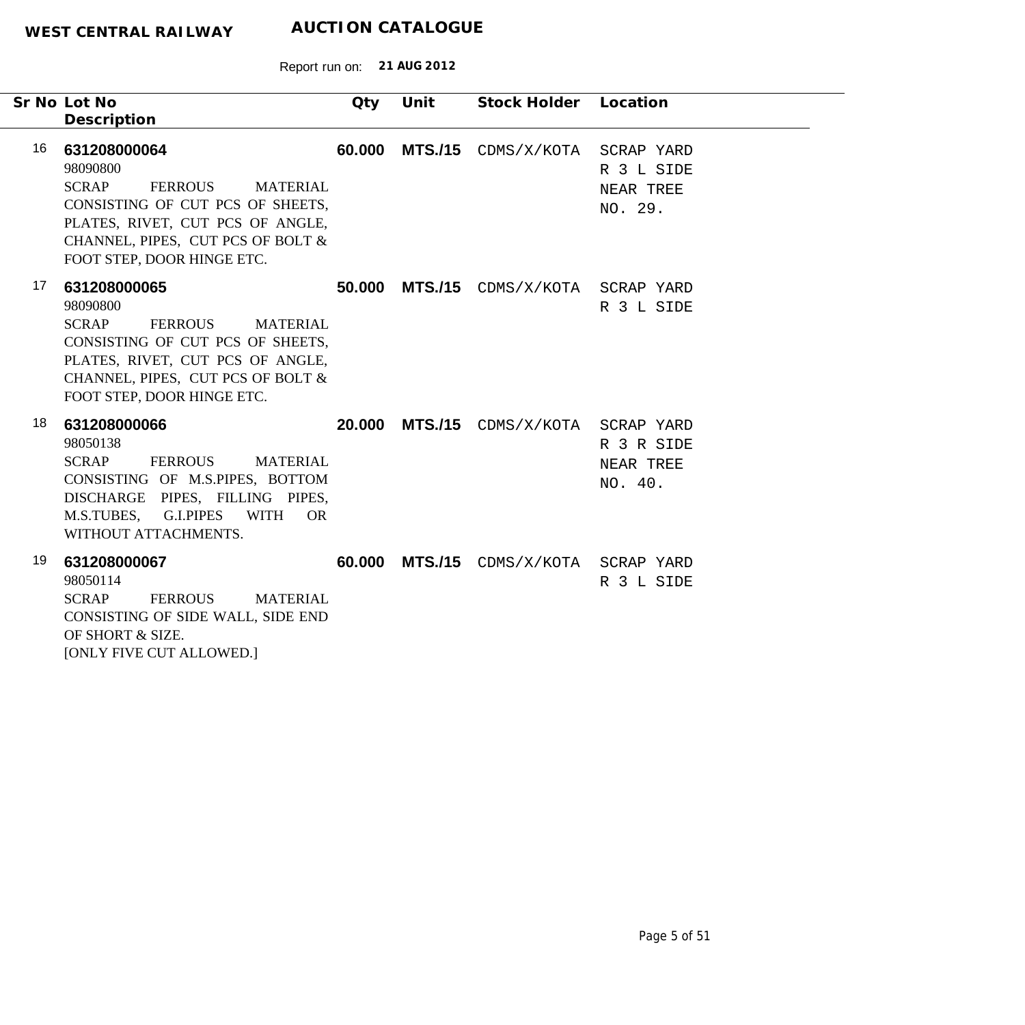|    | Sr No Lot No<br>Description                                                                                                                                                                                              | Qty    | Unit | Stock Holder Location                 |                                    |
|----|--------------------------------------------------------------------------------------------------------------------------------------------------------------------------------------------------------------------------|--------|------|---------------------------------------|------------------------------------|
| 16 | 631208000064<br>98090800<br><b>SCRAP</b><br><b>FERROUS</b><br><b>MATERIAL</b><br>CONSISTING OF CUT PCS OF SHEETS,<br>PLATES, RIVET, CUT PCS OF ANGLE,<br>CHANNEL, PIPES, CUT PCS OF BOLT &<br>FOOT STEP, DOOR HINGE ETC. | 60.000 |      | MTS./15 CDMS/X/KOTA SCRAP YARD        | R 3 L SIDE<br>NEAR TREE<br>NO. 29. |
| 17 | 631208000065<br>98090800<br><b>SCRAP</b><br>FERROUS<br><b>MATERIAL</b><br>CONSISTING OF CUT PCS OF SHEETS,<br>PLATES, RIVET, CUT PCS OF ANGLE,<br>CHANNEL, PIPES, CUT PCS OF BOLT &<br>FOOT STEP, DOOR HINGE ETC.        |        |      | 50.000 MTS./15 CDMS/X/KOTA SCRAP YARD | R 3 L SIDE                         |
| 18 | 631208000066<br>98050138<br><b>SCRAP</b><br>FERROUS MATERIAL<br>CONSISTING OF M.S.PIPES, BOTTOM<br>DISCHARGE PIPES, FILLING PIPES,<br>M.S.TUBES, G.I.PIPES WITH<br><b>OR</b><br>WITHOUT ATTACHMENTS.                     |        |      | 20.000 MTS./15 CDMS/X/KOTA SCRAP YARD | R 3 R SIDE<br>NEAR TREE<br>NO. 40. |
| 19 | 631208000067<br>98050114<br><b>SCRAP</b><br><b>FERROUS</b><br><b>MATERIAL</b><br>CONSISTING OF SIDE WALL, SIDE END<br>OF SHORT & SIZE.<br>[ONLY FIVE CUT ALLOWED.]                                                       |        |      | 60.000 MTS./15 CDMS/X/KOTA SCRAP YARD | R 3 L SIDE                         |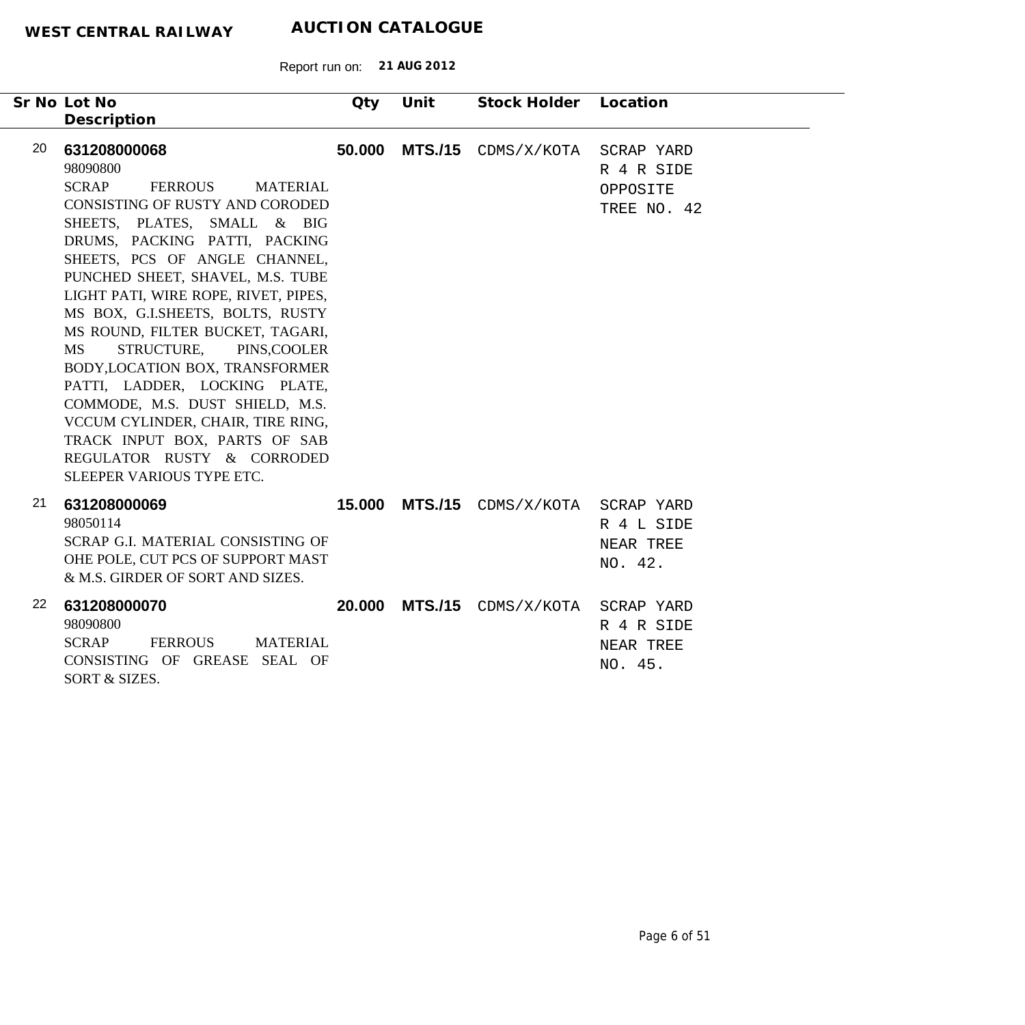| Sr No Lot No<br>Description                                                                                                                                                                                                                                                                                                                                                                                                                                                                                                                                                                                                                                 | Qty    | Unit           | Stock Holder Location          |                                       |
|-------------------------------------------------------------------------------------------------------------------------------------------------------------------------------------------------------------------------------------------------------------------------------------------------------------------------------------------------------------------------------------------------------------------------------------------------------------------------------------------------------------------------------------------------------------------------------------------------------------------------------------------------------------|--------|----------------|--------------------------------|---------------------------------------|
| 20<br>631208000068<br>98090800<br><b>SCRAP</b><br><b>FERROUS</b><br><b>MATERIAL</b><br>CONSISTING OF RUSTY AND CORODED<br>SHEETS, PLATES, SMALL & BIG<br>DRUMS, PACKING PATTI, PACKING<br>SHEETS, PCS OF ANGLE CHANNEL,<br>PUNCHED SHEET, SHAVEL, M.S. TUBE<br>LIGHT PATI, WIRE ROPE, RIVET, PIPES,<br>MS BOX, G.I.SHEETS, BOLTS, RUSTY<br>MS ROUND, FILTER BUCKET, TAGARI,<br><b>MS</b><br>STRUCTURE, PINS, COOLER<br>BODY, LOCATION BOX, TRANSFORMER<br>PATTI, LADDER, LOCKING PLATE,<br>COMMODE, M.S. DUST SHIELD, M.S.<br>VCCUM CYLINDER, CHAIR, TIRE RING,<br>TRACK INPUT BOX, PARTS OF SAB<br>REGULATOR RUSTY & CORRODED<br>SLEEPER VARIOUS TYPE ETC. | 50,000 |                | MTS./15 CDMS/X/KOTA SCRAP YARD | R 4 R SIDE<br>OPPOSITE<br>TREE NO. 42 |
| 21<br>631208000069<br>98050114<br>SCRAP G.I. MATERIAL CONSISTING OF<br>OHE POLE, CUT PCS OF SUPPORT MAST<br>& M.S. GIRDER OF SORT AND SIZES.                                                                                                                                                                                                                                                                                                                                                                                                                                                                                                                | 15.000 | <b>MTS./15</b> | CDMS/X/KOTA SCRAP YARD         | R 4 L SIDE<br>NEAR TREE<br>NO. 42.    |
| 22<br>631208000070<br>98090800<br><b>SCRAP</b><br><b>FERROUS</b><br><b>MATERIAL</b><br>CONSISTING OF GREASE SEAL OF<br>SORT & SIZES.                                                                                                                                                                                                                                                                                                                                                                                                                                                                                                                        | 20,000 | <b>MTS./15</b> | CDMS/X/KOTA SCRAP YARD         | R 4 R SIDE<br>NEAR TREE<br>NO. 45.    |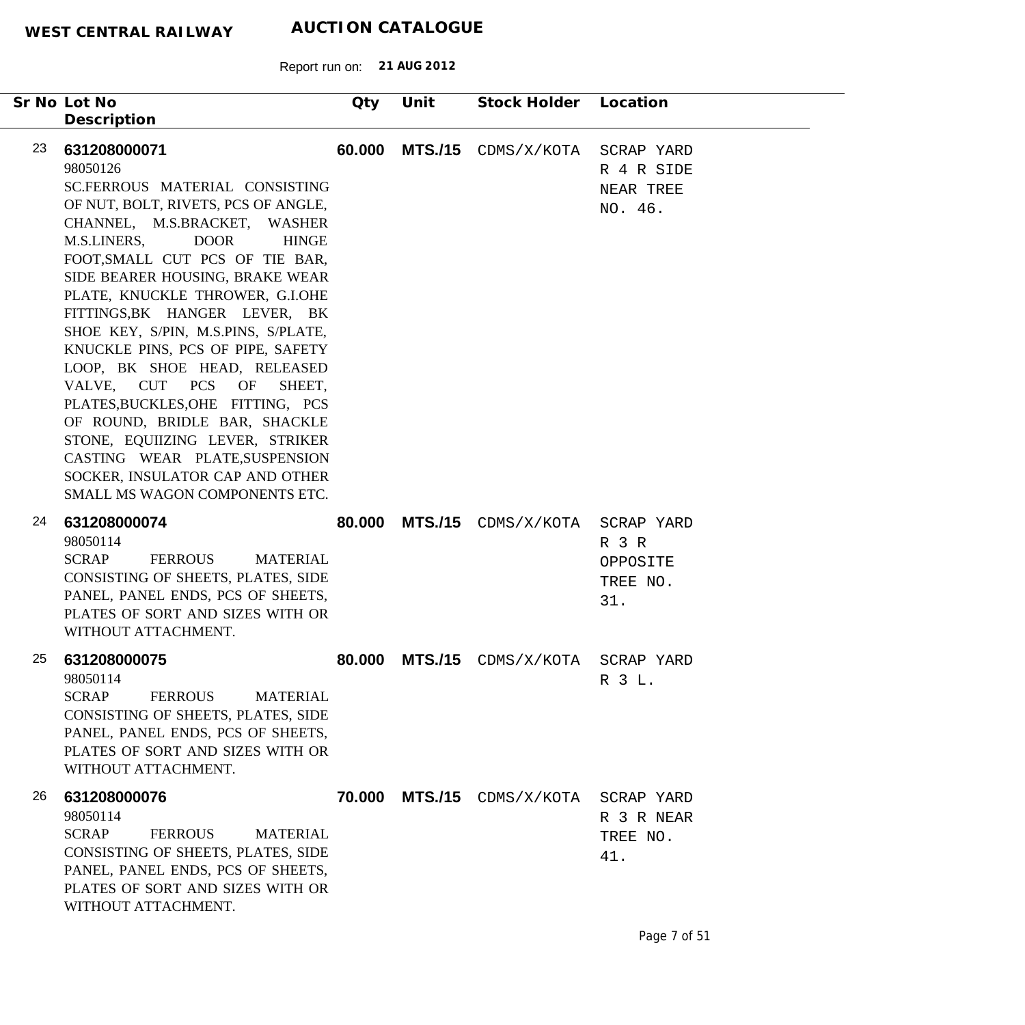| Sr No Lot No                                                                                                                                                                                                                                                                                                                                                                                                                                                                                                                                                                                                                                                                                              | Qty    | Unit           | Stock Holder Location  |                                                  |
|-----------------------------------------------------------------------------------------------------------------------------------------------------------------------------------------------------------------------------------------------------------------------------------------------------------------------------------------------------------------------------------------------------------------------------------------------------------------------------------------------------------------------------------------------------------------------------------------------------------------------------------------------------------------------------------------------------------|--------|----------------|------------------------|--------------------------------------------------|
| Description<br>23<br>631208000071<br>98050126<br>SC.FERROUS MATERIAL CONSISTING<br>OF NUT, BOLT, RIVETS, PCS OF ANGLE,<br>CHANNEL, M.S.BRACKET, WASHER<br>M.S.LINERS,<br><b>DOOR</b><br><b>HINGE</b><br>FOOT, SMALL CUT PCS OF TIE BAR,<br>SIDE BEARER HOUSING, BRAKE WEAR<br>PLATE, KNUCKLE THROWER, G.I.OHE<br>FITTINGS, BK HANGER LEVER, BK<br>SHOE KEY, S/PIN, M.S.PINS, S/PLATE,<br>KNUCKLE PINS, PCS OF PIPE, SAFETY<br>LOOP, BK SHOE HEAD, RELEASED<br>VALVE, CUT PCS OF<br>SHEET,<br>PLATES, BUCKLES, OHE FITTING, PCS<br>OF ROUND, BRIDLE BAR, SHACKLE<br>STONE, EQUIIZING LEVER, STRIKER<br>CASTING WEAR PLATE, SUSPENSION<br>SOCKER, INSULATOR CAP AND OTHER<br>SMALL MS WAGON COMPONENTS ETC. | 60.000 | <b>MTS./15</b> | CDMS/X/KOTA            | SCRAP YARD<br>R 4 R SIDE<br>NEAR TREE<br>NO. 46. |
| 24<br>631208000074<br>98050114<br><b>SCRAP</b><br><b>FERROUS</b><br><b>MATERIAL</b><br>CONSISTING OF SHEETS, PLATES, SIDE<br>PANEL, PANEL ENDS, PCS OF SHEETS,<br>PLATES OF SORT AND SIZES WITH OR<br>WITHOUT ATTACHMENT.                                                                                                                                                                                                                                                                                                                                                                                                                                                                                 | 80.000 | <b>MTS./15</b> | CDMS/X/KOTA SCRAP YARD | R 3 R<br>OPPOSITE<br>TREE NO.<br>31.             |
| 25<br>631208000075<br>98050114<br><b>SCRAP</b><br><b>FERROUS</b><br><b>MATERIAL</b><br>CONSISTING OF SHEETS, PLATES, SIDE<br>PANEL, PANEL ENDS, PCS OF SHEETS,<br>PLATES OF SORT AND SIZES WITH OR<br>WITHOUT ATTACHMENT.                                                                                                                                                                                                                                                                                                                                                                                                                                                                                 | 80.000 | <b>MTS./15</b> | CDMS/X/KOTA            | SCRAP YARD<br>R 3 L.                             |
| 26<br>631208000076<br>98050114<br><b>SCRAP</b><br><b>FERROUS</b><br><b>MATERIAL</b><br>CONSISTING OF SHEETS, PLATES, SIDE<br>PANEL, PANEL ENDS, PCS OF SHEETS,<br>PLATES OF SORT AND SIZES WITH OR<br>WITHOUT ATTACHMENT.                                                                                                                                                                                                                                                                                                                                                                                                                                                                                 | 70.000 | <b>MTS./15</b> | CDMS/X/KOTA            | SCRAP YARD<br>R 3 R NEAR<br>TREE NO.<br>41.      |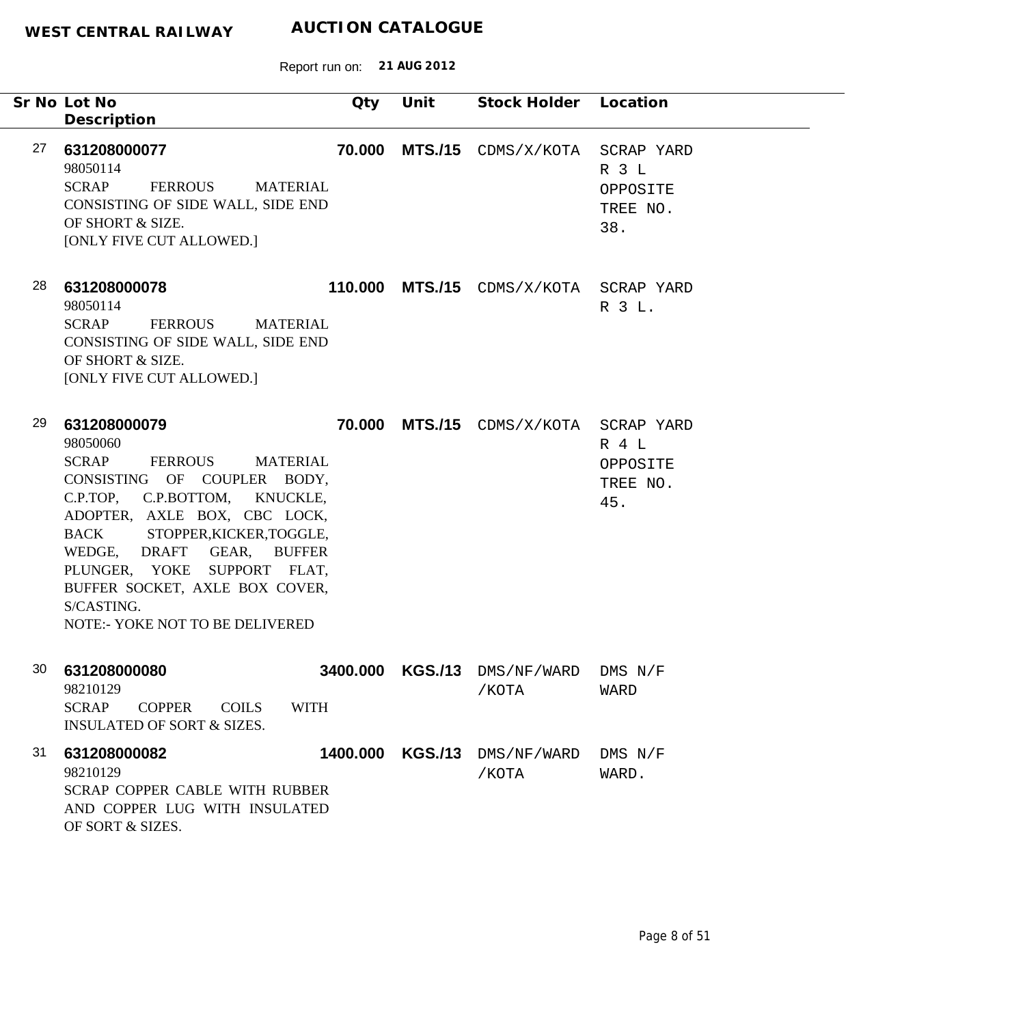|    | Sr No Lot No<br>Description                                                                                                                                                                                                                                                                                                                     | Qty    | Unit           | Stock Holder Location                  |                                      |
|----|-------------------------------------------------------------------------------------------------------------------------------------------------------------------------------------------------------------------------------------------------------------------------------------------------------------------------------------------------|--------|----------------|----------------------------------------|--------------------------------------|
| 27 | 631208000077<br>98050114<br><b>SCRAP</b><br>FERROUS<br>MATERIAL<br>CONSISTING OF SIDE WALL, SIDE END<br>OF SHORT & SIZE.<br>[ONLY FIVE CUT ALLOWED.]                                                                                                                                                                                            | 70.000 | <b>MTS./15</b> | CDMS/X/KOTA SCRAP YARD                 | R 3 L<br>OPPOSITE<br>TREE NO.<br>38. |
| 28 | 631208000078<br>98050114<br><b>SCRAP</b><br><b>FERROUS</b><br><b>MATERIAL</b><br>CONSISTING OF SIDE WALL, SIDE END<br>OF SHORT & SIZE.<br>[ONLY FIVE CUT ALLOWED.]                                                                                                                                                                              |        |                | 110.000 MTS./15 CDMS/X/KOTA SCRAP YARD | R 3 L.                               |
| 29 | 631208000079<br>98050060<br>SCRAP<br>FERROUS<br><b>MATERIAL</b><br>CONSISTING OF COUPLER BODY,<br>C.P.TOP, C.P.BOTTOM, KNUCKLE,<br>ADOPTER, AXLE BOX, CBC LOCK,<br>BACK STOPPER, KICKER, TOGGLE,<br>WEDGE, DRAFT GEAR, BUFFER<br>PLUNGER, YOKE SUPPORT FLAT,<br>BUFFER SOCKET, AXLE BOX COVER,<br>S/CASTING.<br>NOTE:- YOKE NOT TO BE DELIVERED |        |                | 70.000 MTS./15 CDMS/X/KOTA SCRAP YARD  | R 4 L<br>OPPOSITE<br>TREE NO.<br>45. |
| 30 | 631208000080<br>98210129<br>SCRAP COPPER<br><b>WITH</b><br><b>COILS</b><br><b>INSULATED OF SORT &amp; SIZES.</b>                                                                                                                                                                                                                                |        |                | 3400.000 KGS./13 DMS/NF/WARD<br>/КОТА  | $DMS$ $N/F$<br>WARD                  |
| 31 | 631208000082<br>98210129<br>SCRAP COPPER CABLE WITH RUBBER<br>AND COPPER LUG WITH INSULATED<br>OF SORT & SIZES.                                                                                                                                                                                                                                 |        |                | 1400.000 KGS./13 DMS/NF/WARD<br>/КОТА  | $DMS$ $N/F$<br>WARD.                 |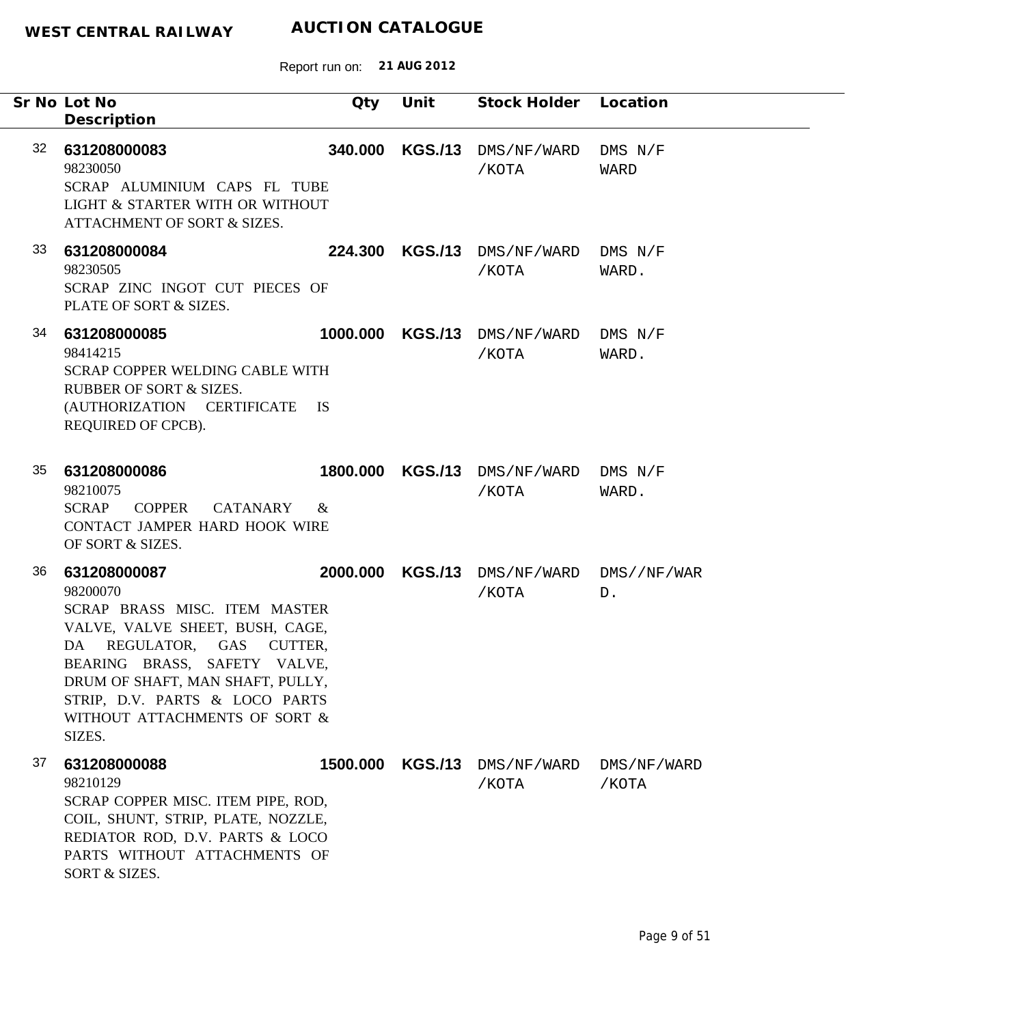Report run on: **21 AUG 2012**

|    | Sr No Lot No<br>Description                                                                                                                                                                                                                                                | Qty      | Unit           | Stock Holder Location                         |                      |
|----|----------------------------------------------------------------------------------------------------------------------------------------------------------------------------------------------------------------------------------------------------------------------------|----------|----------------|-----------------------------------------------|----------------------|
| 32 | 631208000083<br>98230050<br>SCRAP ALUMINIUM CAPS FL TUBE<br>LIGHT & STARTER WITH OR WITHOUT<br>ATTACHMENT OF SORT & SIZES.                                                                                                                                                 | 340.000  | <b>KGS./13</b> | DMS/NF/WARD<br>/КОТА                          | $DMS$ $N/F$<br>WARD  |
| 33 | 631208000084<br>98230505<br>SCRAP ZINC INGOT CUT PIECES OF<br>PLATE OF SORT & SIZES.                                                                                                                                                                                       | 224.300  |                | KGS./13 DMS/NF/WARD<br>/КОТА                  | DMS N/F<br>WARD.     |
| 34 | 631208000085<br>98414215<br><b>SCRAP COPPER WELDING CABLE WITH</b><br><b>RUBBER OF SORT &amp; SIZES.</b><br>(AUTHORIZATION CERTIFICATE IS<br>REQUIRED OF CPCB).                                                                                                            | 1000.000 |                | KGS./13 DMS/NF/WARD DMS N/F<br>/KOTA          | WARD.                |
| 35 | 631208000086<br>98210075<br>SCRAP COPPER<br><b>CATANARY</b><br>CONTACT JAMPER HARD HOOK WIRE<br>OF SORT & SIZES.                                                                                                                                                           | $\&$     |                | 1800.000 KGS./13 DMS/NF/WARD DMS N/F<br>/КОТА | WARD.                |
| 36 | 631208000087<br>98200070<br>SCRAP BRASS MISC. ITEM MASTER<br>VALVE, VALVE SHEET, BUSH, CAGE,<br>DA REGULATOR, GAS CUTTER,<br>BEARING BRASS, SAFETY VALVE,<br>DRUM OF SHAFT, MAN SHAFT, PULLY,<br>STRIP, D.V. PARTS & LOCO PARTS<br>WITHOUT ATTACHMENTS OF SORT &<br>SIZES. | 2000.000 |                | KGS./13 DMS/NF/WARD DMS//NF/WAR<br>/КОТА      | D.                   |
| 37 | 631208000088<br>98210129<br>SCRAP COPPER MISC. ITEM PIPE, ROD,<br>COIL, SHUNT, STRIP, PLATE, NOZZLE,<br>REDIATOR ROD, D.V. PARTS & LOCO<br>PARTS WITHOUT ATTACHMENTS OF<br>SORT & SIZES.                                                                                   | 1500.000 | <b>KGS./13</b> | DMS/NF/WARD<br>/КОТА                          | DMS/NF/WARD<br>/КОТА |

 $\overline{\phantom{0}}$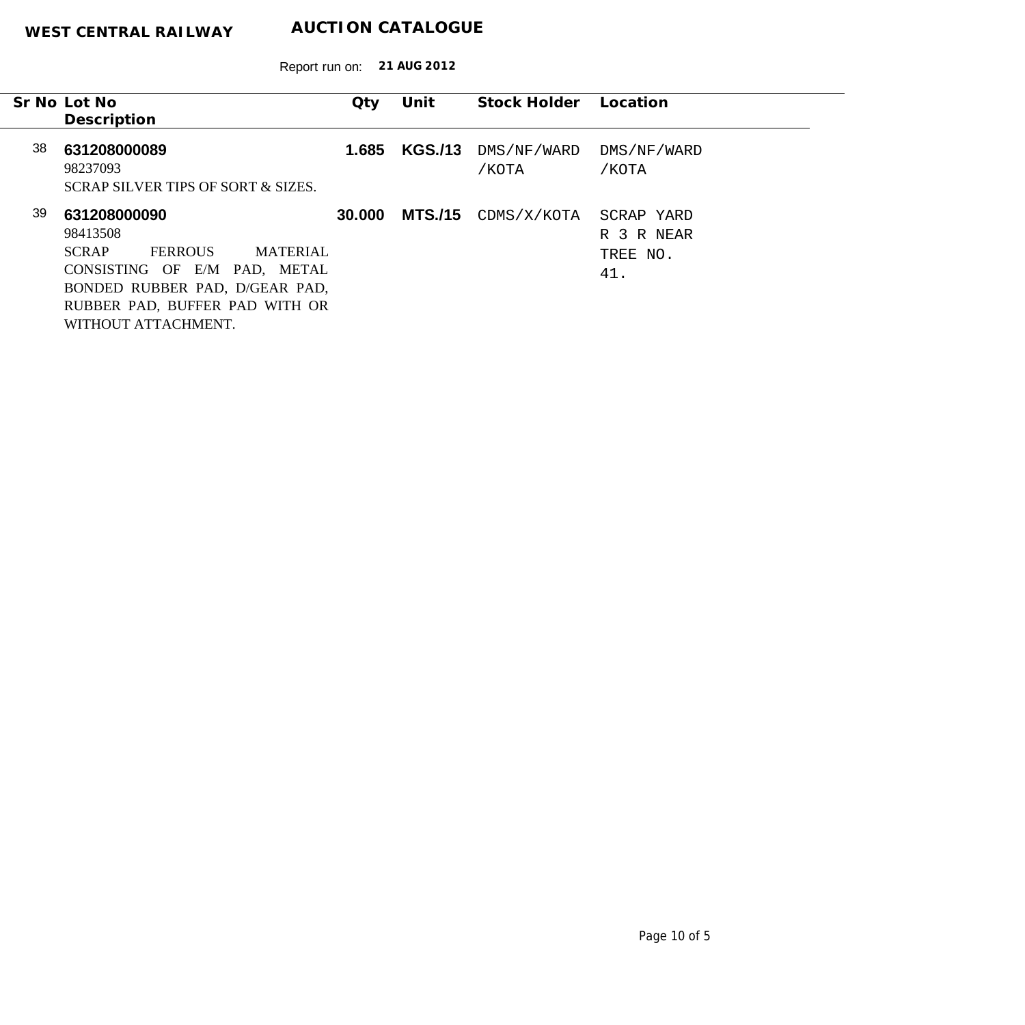| Qty                            | Unit                                                                              |                                  | Location                                            |
|--------------------------------|-----------------------------------------------------------------------------------|----------------------------------|-----------------------------------------------------|
|                                |                                                                                   |                                  |                                                     |
|                                |                                                                                   |                                  |                                                     |
|                                |                                                                                   |                                  | DMS/NF/WARD                                         |
|                                |                                                                                   |                                  |                                                     |
|                                |                                                                                   |                                  | /KOTA                                               |
|                                |                                                                                   |                                  |                                                     |
|                                |                                                                                   |                                  |                                                     |
|                                |                                                                                   |                                  | SCRAP YARD                                          |
|                                |                                                                                   |                                  | R 3 R NEAR                                          |
| <b>MATERIAL</b>                |                                                                                   |                                  | TREE NO.                                            |
|                                |                                                                                   |                                  |                                                     |
|                                |                                                                                   |                                  | 41.                                                 |
|                                |                                                                                   |                                  |                                                     |
| RUBBER PAD, BUFFER PAD WITH OR |                                                                                   |                                  |                                                     |
|                                |                                                                                   |                                  |                                                     |
|                                | 1.685<br>30.000<br>CONSISTING OF E/M PAD, METAL<br>BONDED RUBBER PAD, D/GEAR PAD, | <b>KGS./13</b><br><b>MTS./15</b> | Stock Holder<br>DMS/NF/WARD<br>/KOTA<br>CDMS/X/KOTA |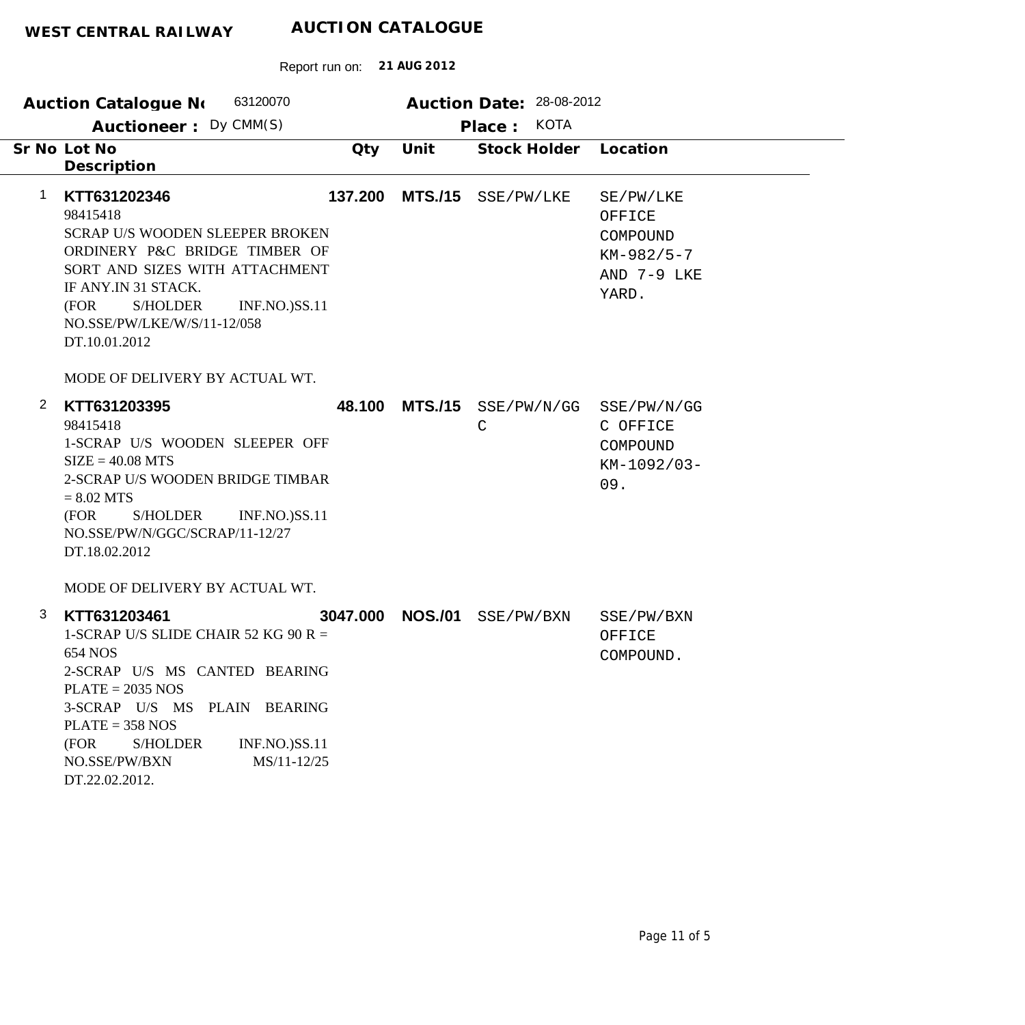|                | 63120070<br><b>Auction Catalogue No</b>                                                                                                                                                                                                                                   |          |                | Auction Date: 28-08-2012<br><b>KOTA</b> |                                                                         |
|----------------|---------------------------------------------------------------------------------------------------------------------------------------------------------------------------------------------------------------------------------------------------------------------------|----------|----------------|-----------------------------------------|-------------------------------------------------------------------------|
|                | Auctioneer: Dy CMM(S)                                                                                                                                                                                                                                                     |          |                | Place:                                  |                                                                         |
|                | Sr No Lot No<br>Description                                                                                                                                                                                                                                               | Qty      | Unit           | Stock Holder                            | Location                                                                |
| $\mathbf 1$    | KTT631202346<br>98415418<br><b>SCRAP U/S WOODEN SLEEPER BROKEN</b><br>ORDINERY P&C BRIDGE TIMBER OF<br>SORT AND SIZES WITH ATTACHMENT<br>IF ANY.IN 31 STACK.<br>S/HOLDER<br><b>INF.NO.)SS.11</b><br>(FOR<br>NO.SSE/PW/LKE/W/S/11-12/058<br>DT.10.01.2012                  | 137.200  | <b>MTS./15</b> | SSE/PW/LKE                              | SE/PW/LKE<br>OFFICE<br>COMPOUND<br>$KM-982/5-7$<br>AND 7-9 LKE<br>YARD. |
|                | MODE OF DELIVERY BY ACTUAL WT.                                                                                                                                                                                                                                            |          |                |                                         |                                                                         |
| $\overline{2}$ | KTT631203395<br>98415418<br>1-SCRAP U/S WOODEN SLEEPER OFF<br>$SIZE = 40.08 MTS$<br>2-SCRAP U/S WOODEN BRIDGE TIMBAR<br>$= 8.02$ MTS<br>S/HOLDER<br>(FOR<br><b>INF.NO.)SS.11</b><br>NO.SSE/PW/N/GGC/SCRAP/11-12/27<br>DT.18.02.2012<br>MODE OF DELIVERY BY ACTUAL WT.     | 48.100   | <b>MTS./15</b> | SSE/PW/N/GG<br>$\mathsf{C}$             | SSE/PW/N/GG<br>C OFFICE<br>COMPOUND<br>KM-1092/03-<br>09.               |
| 3              | KTT631203461<br>1-SCRAP U/S SLIDE CHAIR 52 KG 90 R =<br>654 NOS<br>2-SCRAP U/S MS CANTED BEARING<br>$PLATE = 2035 NOS$<br>3-SCRAP U/S MS PLAIN BEARING<br>$PLATE = 358 NOS$<br>(FOR<br>INF.NO.)SS.11<br><b>S/HOLDER</b><br>NO.SSE/PW/BXN<br>MS/11-12/25<br>DT.22.02.2012. | 3047.000 | <b>NOS./01</b> | SSE/PW/BXN                              | SSE/PW/BXN<br>OFFICE<br>COMPOUND.                                       |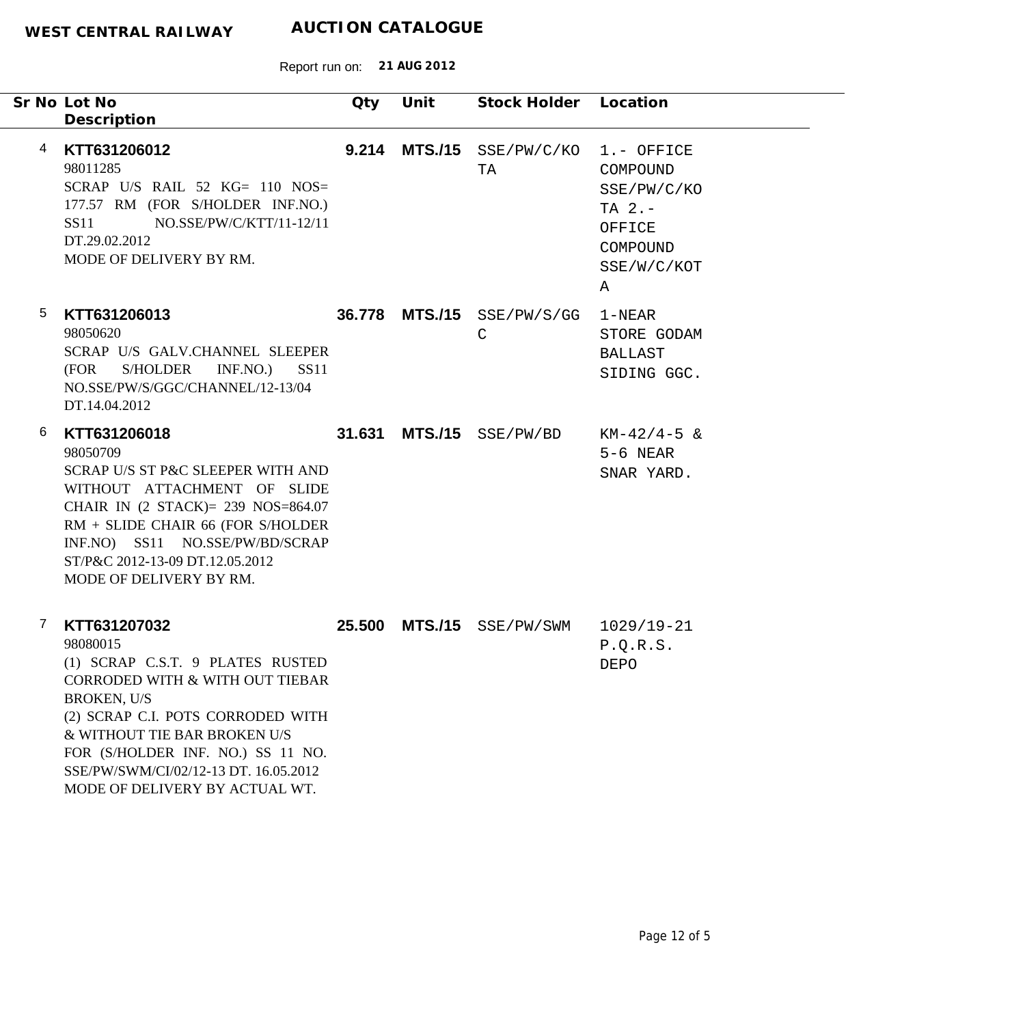| Sr No Lot No<br>Description                                                                                                                                                                                                                                                                                     | Qty | Unit | Stock Holder Location                      |                                                                                              |
|-----------------------------------------------------------------------------------------------------------------------------------------------------------------------------------------------------------------------------------------------------------------------------------------------------------------|-----|------|--------------------------------------------|----------------------------------------------------------------------------------------------|
| KTT631206012<br>4<br>98011285<br>SCRAP U/S RAIL $52$ KG= 110 NOS=<br>177.57 RM (FOR S/HOLDER INF.NO.)<br>NO.SSE/PW/C/KTT/11-12/11<br>SS11<br>DT.29.02.2012<br>MODE OF DELIVERY BY RM.                                                                                                                           |     |      | 9.214 MTS./15 SSE/PW/C/KO<br>TA            | 1.- OFFICE<br>COMPOUND<br>SSE/PW/C/KO<br>TA $2. -$<br>OFFICE<br>COMPOUND<br>SSE/W/C/KOT<br>Α |
| 5<br>KTT631206013<br>98050620<br>SCRAP U/S GALV.CHANNEL SLEEPER<br><b>S/HOLDER</b><br>(FOR<br>INF.NO.)<br><b>SS11</b><br>NO.SSE/PW/S/GGC/CHANNEL/12-13/04<br>DT.14.04.2012                                                                                                                                      |     |      | 36.778 MTS./15 SSE/PW/S/GG<br>$\mathsf{C}$ | $1 - \text{NEAR}$<br>STORE GODAM<br><b>BALLAST</b><br>SIDING GGC.                            |
| 6<br>KTT631206018<br>98050709<br>SCRAP U/S ST P&C SLEEPER WITH AND<br>WITHOUT ATTACHMENT OF SLIDE<br>CHAIR IN (2 STACK)= 239 NOS=864.07<br>RM + SLIDE CHAIR 66 (FOR S/HOLDER<br>INF.NO) SS11 NO.SSE/PW/BD/SCRAP<br>ST/P&C 2012-13-09 DT.12.05.2012<br>MODE OF DELIVERY BY RM.                                   |     |      | 31.631 MTS./15 SSE/PW/BD                   | $KM-42/4-5$ &<br>$5-6$ NEAR<br>SNAR YARD.                                                    |
| 7<br>KTT631207032<br>98080015<br>(1) SCRAP C.S.T. 9 PLATES RUSTED<br>CORRODED WITH & WITH OUT TIEBAR<br><b>BROKEN, U/S</b><br>(2) SCRAP C.I. POTS CORRODED WITH<br>& WITHOUT TIE BAR BROKEN U/S<br>FOR (S/HOLDER INF. NO.) SS 11 NO.<br>SSE/PW/SWM/CI/02/12-13 DT. 16.05.2012<br>MODE OF DELIVERY BY ACTUAL WT. |     |      | 25.500 MTS./15 SSE/PW/SWM                  | 1029/19-21<br>P.Q.R.S.<br>DEPO                                                               |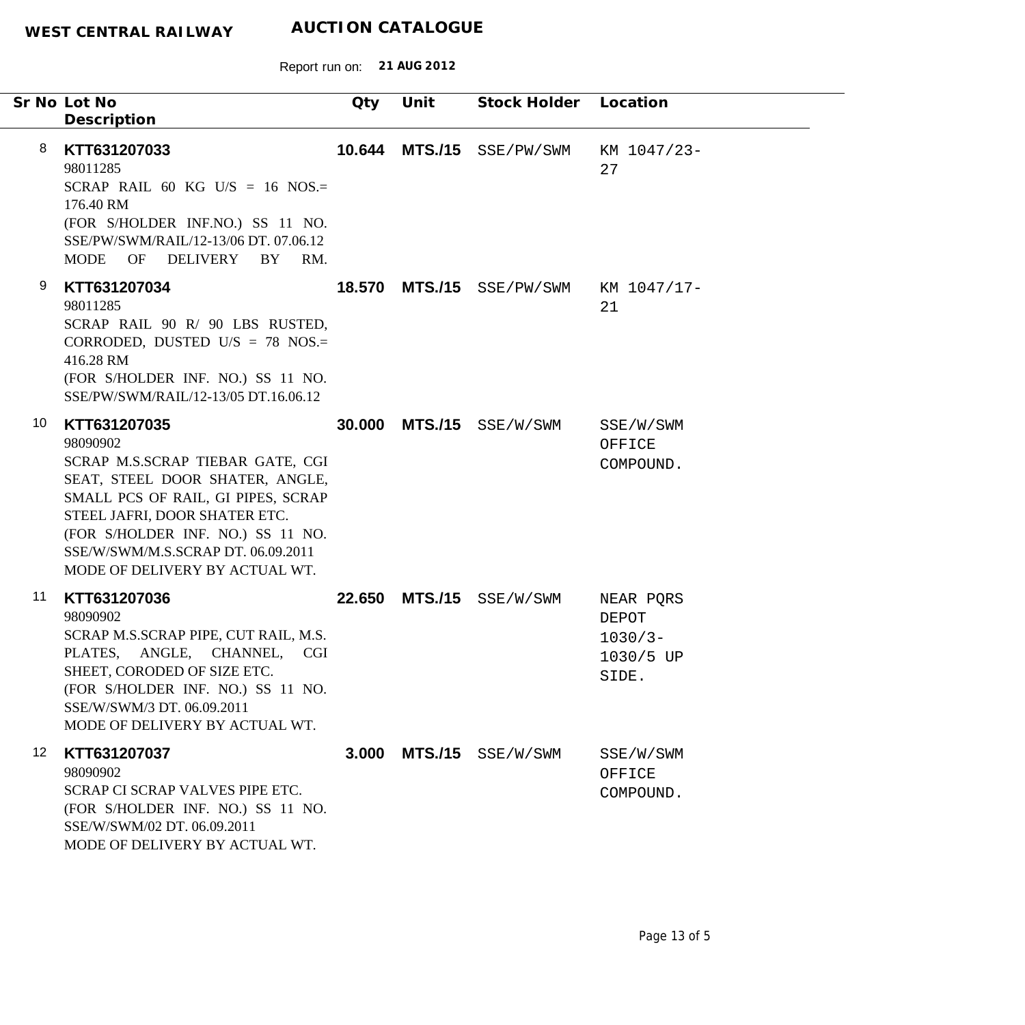Report run on: **21 AUG 2012**

|                  | Sr No Lot No<br>Description                                                                                                                                                                                                                                                         | Qty    | Unit           | Stock Holder       | Location                                               |
|------------------|-------------------------------------------------------------------------------------------------------------------------------------------------------------------------------------------------------------------------------------------------------------------------------------|--------|----------------|--------------------|--------------------------------------------------------|
| 8                | KTT631207033<br>98011285<br>SCRAP RAIL 60 KG U/S = 16 NOS.=<br>176.40 RM<br>(FOR S/HOLDER INF.NO.) SS 11 NO.<br>SSE/PW/SWM/RAIL/12-13/06 DT. 07.06.12<br>OF DELIVERY<br>BY<br>RM.<br>MODE                                                                                           | 10.644 | <b>MTS./15</b> | SSE/PW/SWM         | KM 1047/23-<br>27                                      |
| 9                | KTT631207034<br>98011285<br>SCRAP RAIL 90 R/ 90 LBS RUSTED,<br>CORRODED, DUSTED U/S = 78 NOS.=<br>416.28 RM<br>(FOR S/HOLDER INF. NO.) SS 11 NO.<br>SSE/PW/SWM/RAIL/12-13/05 DT.16.06.12                                                                                            | 18.570 |                | MTS./15 SSE/PW/SWM | KM 1047/17-<br>21                                      |
| 10               | KTT631207035<br>98090902<br>SCRAP M.S.SCRAP TIEBAR GATE, CGI<br>SEAT, STEEL DOOR SHATER, ANGLE,<br>SMALL PCS OF RAIL, GI PIPES, SCRAP<br>STEEL JAFRI, DOOR SHATER ETC.<br>(FOR S/HOLDER INF. NO.) SS 11 NO.<br>SSE/W/SWM/M.S.SCRAP DT. 06.09.2011<br>MODE OF DELIVERY BY ACTUAL WT. | 30,000 |                | MTS./15 SSE/W/SWM  | SSE/W/SWM<br>OFFICE<br>COMPOUND.                       |
| 11               | KTT631207036<br>98090902<br>SCRAP M.S.SCRAP PIPE, CUT RAIL, M.S.<br>PLATES, ANGLE, CHANNEL, CGI<br>SHEET, CORODED OF SIZE ETC.<br>(FOR S/HOLDER INF. NO.) SS 11 NO.<br>SSE/W/SWM/3 DT. 06.09.2011<br>MODE OF DELIVERY BY ACTUAL WT.                                                 | 22,650 |                | MTS./15 SSE/W/SWM  | NEAR PQRS<br>DEPOT<br>$1030/3 -$<br>1030/5 UP<br>SIDE. |
| 12 <sup>12</sup> | KTT631207037<br>98090902<br>SCRAP CI SCRAP VALVES PIPE ETC.<br>(FOR S/HOLDER INF. NO.) SS 11 NO.<br>SSE/W/SWM/02 DT. 06.09.2011<br>MODE OF DELIVERY BY ACTUAL WT.                                                                                                                   | 3.000  | <b>MTS./15</b> | SSE/W/SWM          | SSE/W/SWM<br>OFFICE<br>COMPOUND.                       |

٠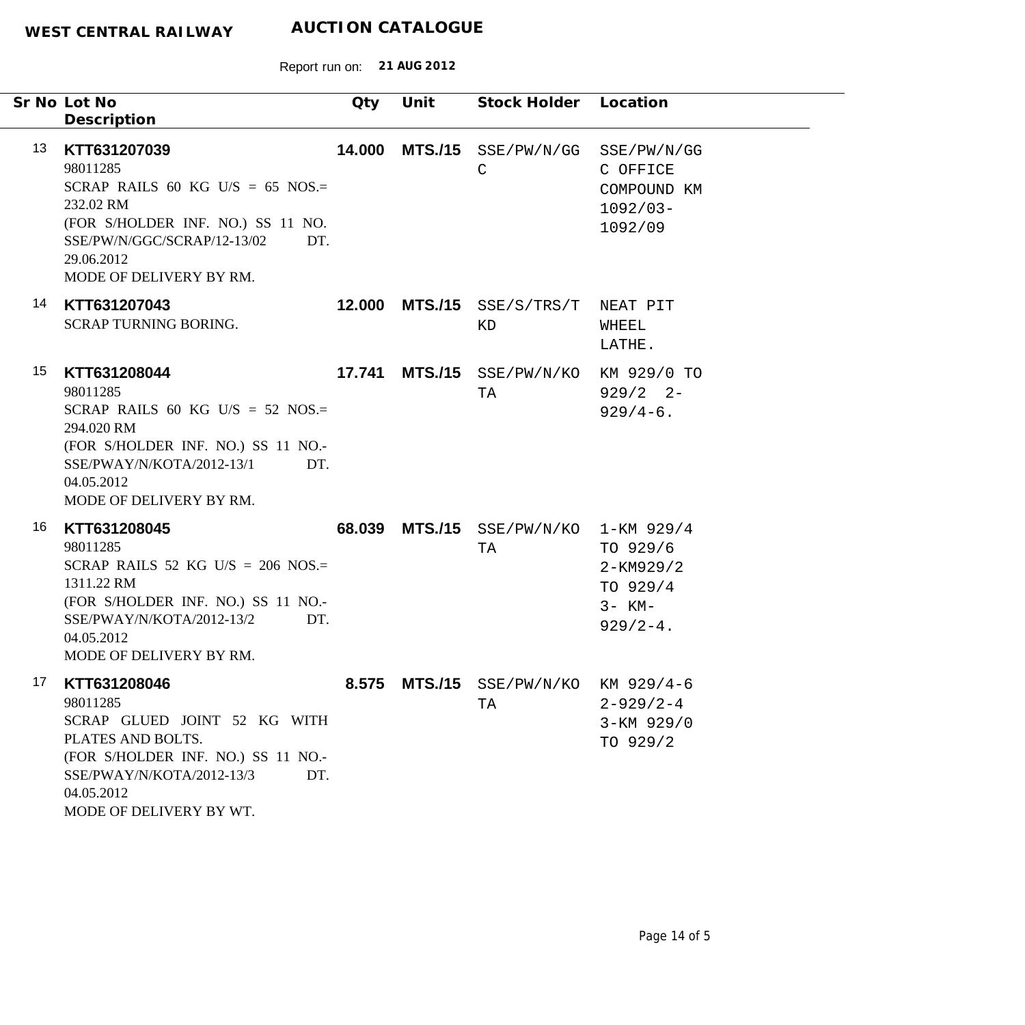|    | Sr No Lot No<br>Description                                                                                                                                                                      | Qty    | Unit           | Stock Holder Location                      |                                                                     |
|----|--------------------------------------------------------------------------------------------------------------------------------------------------------------------------------------------------|--------|----------------|--------------------------------------------|---------------------------------------------------------------------|
| 13 | KTT631207039<br>98011285<br>SCRAP RAILS 60 KG U/S = 65 NOS.=<br>232.02 RM<br>(FOR S/HOLDER INF. NO.) SS 11 NO.<br>SSE/PW/N/GGC/SCRAP/12-13/02<br>DT.<br>29.06.2012<br>MODE OF DELIVERY BY RM.    | 14.000 |                | MTS./15 SSE/PW/N/GG<br>$\mathsf{C}$        | SSE/PW/N/GG<br>C OFFICE<br>COMPOUND KM<br>$1092/03-$<br>1092/09     |
| 14 | KTT631207043<br>SCRAP TURNING BORING.                                                                                                                                                            |        |                | 12.000 MTS./15 SSE/S/TRS/T<br>ΚD           | NEAT PIT<br>WHEEL<br>LATHE.                                         |
| 15 | KTT631208044<br>98011285<br>SCRAP RAILS 60 KG U/S = 52 NOS.=<br>294.020 RM<br>(FOR S/HOLDER INF. NO.) SS 11 NO.-<br>SSE/PWAY/N/KOTA/2012-13/1<br>DT.<br>04.05.2012<br>MODE OF DELIVERY BY RM.    | 17.741 | <b>MTS./15</b> | SSE/PW/N/KO<br>TA                          | KM 929/0 TO<br>$929/2$ 2-<br>$929/4-6$ .                            |
| 16 | KTT631208045<br>98011285<br>SCRAP RAILS 52 KG U/S = 206 NOS.=<br>1311.22 RM<br>(FOR S/HOLDER INF. NO.) SS 11 NO.-<br>SSE/PWAY/N/KOTA/2012-13/2<br>DT.<br>04.05.2012<br>MODE OF DELIVERY BY RM.   |        | 68.039 MTS./15 | $SSE/PW/N/KO$ 1-KM 929/4<br>TA             | TO 929/6<br>$2 - KM929/2$<br>TO 929/4<br>$3 - KM -$<br>$929/2 - 4.$ |
| 17 | KTT631208046<br>98011285<br>SCRAP GLUED JOINT 52 KG WITH<br>PLATES AND BOLTS.<br>(FOR S/HOLDER INF. NO.) SS 11 NO.-<br>SSE/PWAY/N/KOTA/2012-13/3<br>DT.<br>04.05.2012<br>MODE OF DELIVERY BY WT. |        |                | 8.575 MTS./15 SSE/PW/N/KO KM 929/4-6<br>TA | $2 - 929/2 - 4$<br>3-KM 929/0<br>TO 929/2                           |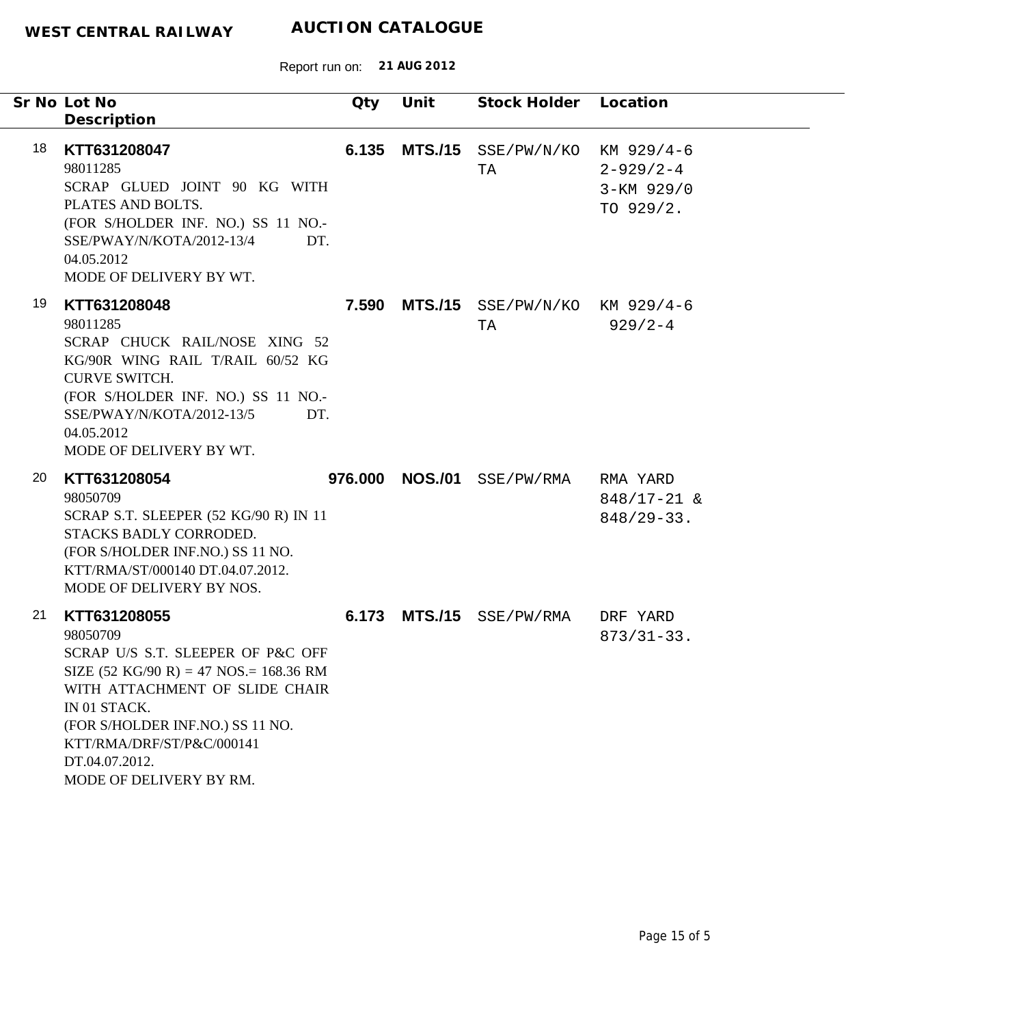| Sr No Lot No | Description                                                                                                                                                                                                                                                                                               | Qty     | Unit           | Stock Holder Location                |                                               |
|--------------|-----------------------------------------------------------------------------------------------------------------------------------------------------------------------------------------------------------------------------------------------------------------------------------------------------------|---------|----------------|--------------------------------------|-----------------------------------------------|
| 18           | KTT631208047<br>98011285<br>SCRAP GLUED JOINT 90 KG WITH<br>PLATES AND BOLTS.<br>(FOR S/HOLDER INF. NO.) SS 11 NO.-<br>SSE/PWAY/N/KOTA/2012-13/4<br>DT.<br>04.05.2012<br>MODE OF DELIVERY BY WT.                                                                                                          | 6.135   |                | MTS./15 SSE/PW/N/KO KM 929/4-6<br>TA | $2 - 929/2 - 4$<br>3-KM 929/0<br>TO 929/2.    |
| 19           | KTT631208048<br>98011285<br>SCRAP CHUCK RAIL/NOSE XING 52<br>KG/90R WING RAIL T/RAIL 60/52 KG<br><b>CURVE SWITCH.</b><br>(FOR S/HOLDER INF. NO.) SS 11 NO.-<br>SSE/PWAY/N/KOTA/2012-13/5<br>DT.<br>04.05.2012<br>MODE OF DELIVERY BY WT.                                                                  | 7.590   |                | MTS./15 SSE/PW/N/KO KM 929/4-6<br>TA | $929/2 - 4$                                   |
| 20           | KTT631208054<br>98050709<br>SCRAP S.T. SLEEPER (52 KG/90 R) IN 11<br>STACKS BADLY CORRODED.<br>(FOR S/HOLDER INF.NO.) SS 11 NO.<br>KTT/RMA/ST/000140 DT.04.07.2012.<br>MODE OF DELIVERY BY NOS.                                                                                                           | 976.000 | <b>NOS./01</b> | SSE/PW/RMA                           | RMA YARD<br>$848/17 - 21$ &<br>$848/29 - 33.$ |
| 21           | KTT631208055<br>98050709<br>SCRAP U/S S.T. SLEEPER OF P&C OFF<br>SIZE $(52 \text{ KG}/90 \text{ R}) = 47 \text{ NOS} = 168.36 \text{ RM}$<br>WITH ATTACHMENT OF SLIDE CHAIR<br>IN 01 STACK.<br>(FOR S/HOLDER INF.NO.) SS 11 NO.<br>KTT/RMA/DRF/ST/P&C/000141<br>DT.04.07.2012.<br>MODE OF DELIVERY BY RM. | 6.173   |                | MTS./15 SSE/PW/RMA                   | DRF YARD<br>$873/31-33.$                      |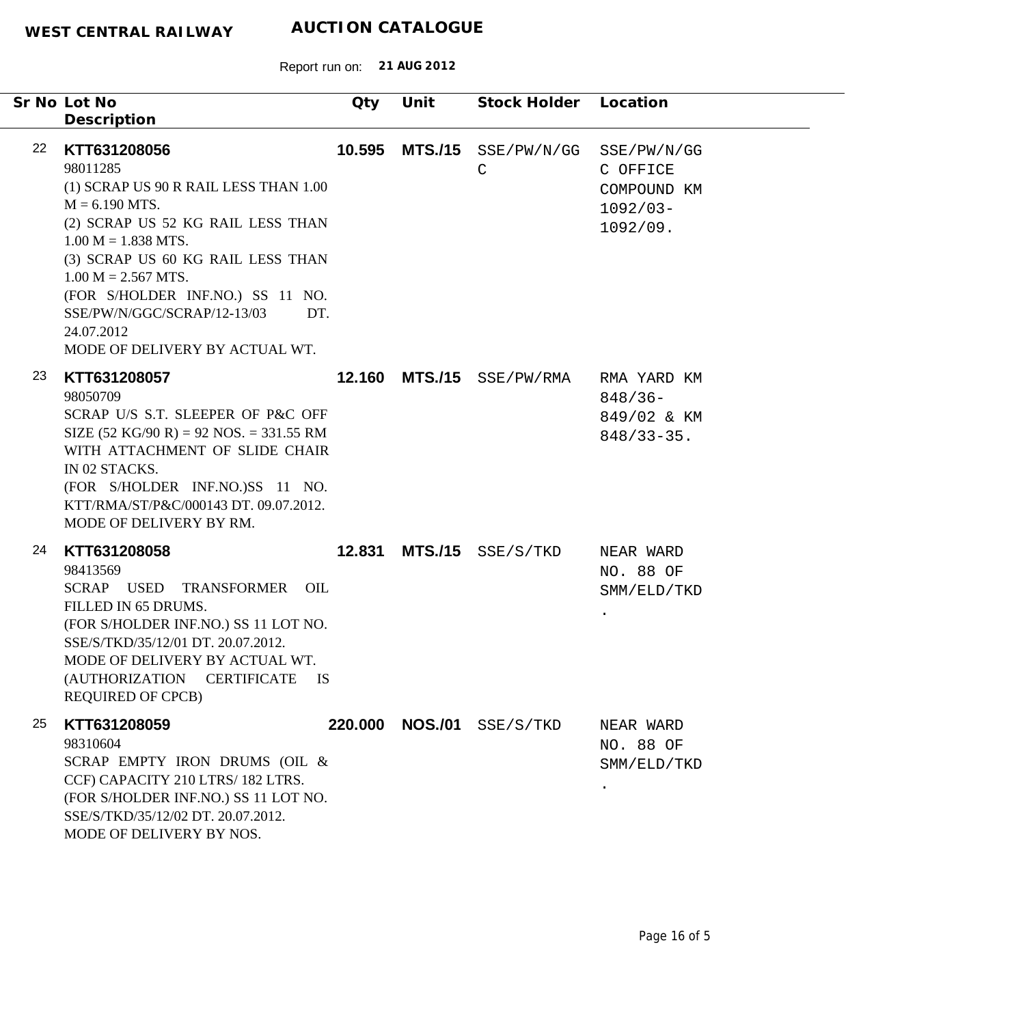|    | Sr No Lot No<br>Description                                                                                                                                                                                                                                                                                                                 | Qty     | Unit           | Stock Holder Location |                                                                  |
|----|---------------------------------------------------------------------------------------------------------------------------------------------------------------------------------------------------------------------------------------------------------------------------------------------------------------------------------------------|---------|----------------|-----------------------|------------------------------------------------------------------|
| 22 | KTT631208056<br>98011285<br>(1) SCRAP US 90 R RAIL LESS THAN 1.00<br>$M = 6.190$ MTS.<br>(2) SCRAP US 52 KG RAIL LESS THAN<br>$1.00 M = 1.838 MTS.$<br>(3) SCRAP US 60 KG RAIL LESS THAN<br>$1.00 M = 2.567 MTS.$<br>(FOR S/HOLDER INF.NO.) SS 11 NO.<br>SSE/PW/N/GGC/SCRAP/12-13/03<br>DT.<br>24.07.2012<br>MODE OF DELIVERY BY ACTUAL WT. | 10.595  | <b>MTS./15</b> | SSE/PW/N/GG<br>C      | SSE/PW/N/GG<br>C OFFICE<br>COMPOUND KM<br>$1092/03-$<br>1092/09. |
| 23 | KTT631208057<br>98050709<br>SCRAP U/S S.T. SLEEPER OF P&C OFF<br>SIZE $(52 \text{ KG}/90 \text{ R}) = 92 \text{ NOS} = 331.55 \text{ RM}$<br>WITH ATTACHMENT OF SLIDE CHAIR<br>IN 02 STACKS.<br>(FOR S/HOLDER INF.NO.)SS 11 NO.<br>KTT/RMA/ST/P&C/000143 DT. 09.07.2012.<br>MODE OF DELIVERY BY RM.                                         | 12.160  | <b>MTS./15</b> | SSE/PW/RMA            | RMA YARD KM<br>$848/36-$<br>849/02 & KM<br>$848/33 - 35$ .       |
| 24 | KTT631208058<br>98413569<br>SCRAP USED TRANSFORMER<br>OIL<br>FILLED IN 65 DRUMS.<br>(FOR S/HOLDER INF.NO.) SS 11 LOT NO.<br>SSE/S/TKD/35/12/01 DT. 20.07.2012.<br>MODE OF DELIVERY BY ACTUAL WT.<br>(AUTHORIZATION<br><b>CERTIFICATE</b><br><b>IS</b><br><b>REQUIRED OF CPCB)</b>                                                           | 12.831  | <b>MTS./15</b> | SSE/S/TKD             | NEAR WARD<br>NO. 88 OF<br>SMM/ELD/TKD                            |
| 25 | KTT631208059<br>98310604<br>SCRAP EMPTY IRON DRUMS (OIL &<br>CCF) CAPACITY 210 LTRS/182 LTRS.<br>(FOR S/HOLDER INF.NO.) SS 11 LOT NO.<br>SSE/S/TKD/35/12/02 DT. 20.07.2012.<br>MODE OF DELIVERY BY NOS.                                                                                                                                     | 220,000 | <b>NOS./01</b> | SSE/S/TKD             | NEAR WARD<br>NO. 88 OF<br>SMM/ELD/TKD                            |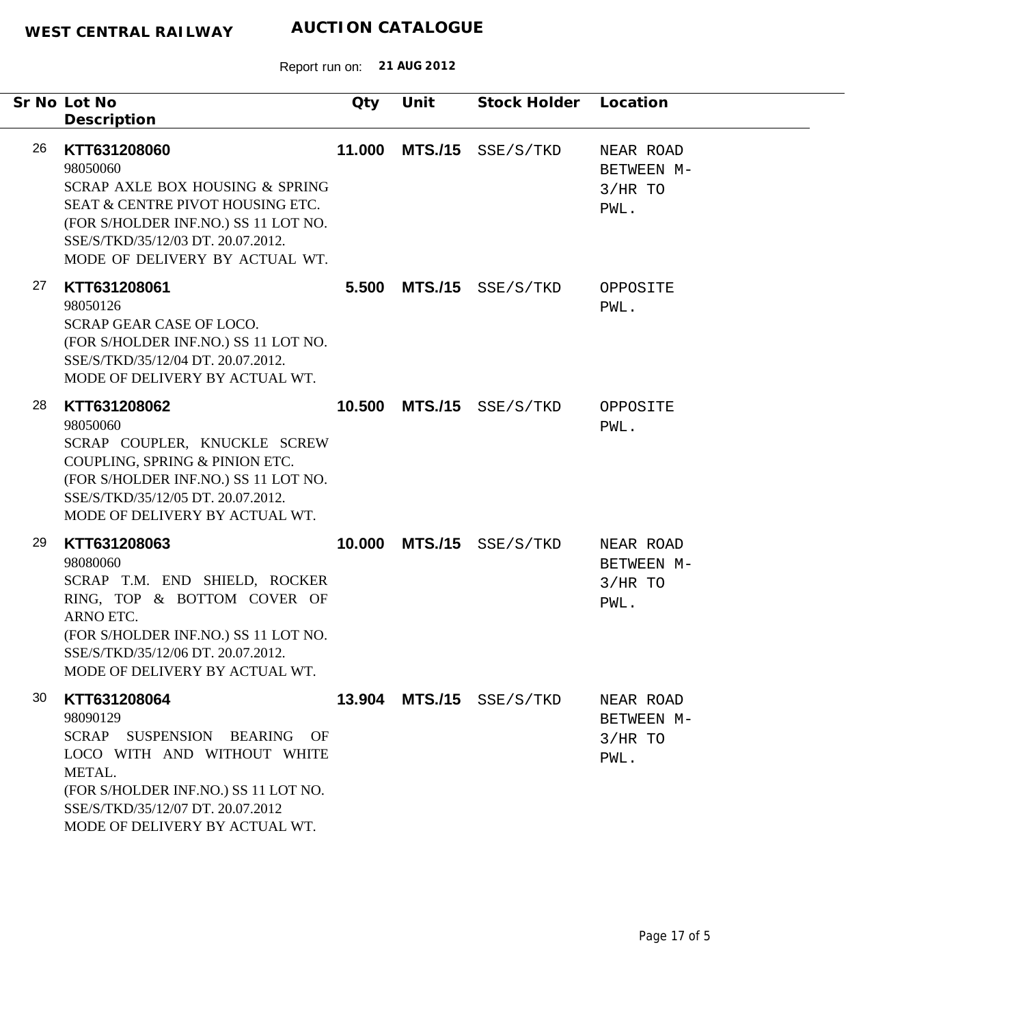|    | Sr No Lot No<br>Description                                                                                                                                                                                                     | Qty    | Unit           | Stock Holder Location    |                                              |
|----|---------------------------------------------------------------------------------------------------------------------------------------------------------------------------------------------------------------------------------|--------|----------------|--------------------------|----------------------------------------------|
| 26 | KTT631208060<br>98050060<br>SCRAP AXLE BOX HOUSING & SPRING<br>SEAT & CENTRE PIVOT HOUSING ETC.<br>(FOR S/HOLDER INF.NO.) SS 11 LOT NO.<br>SSE/S/TKD/35/12/03 DT. 20.07.2012.<br>MODE OF DELIVERY BY ACTUAL WT.                 | 11.000 | <b>MTS./15</b> | SSE/S/TKD                | NEAR ROAD<br>BETWEEN M-<br>$3/HR$ TO<br>PWL. |
| 27 | KTT631208061<br>98050126<br><b>SCRAP GEAR CASE OF LOCO.</b><br>(FOR S/HOLDER INF.NO.) SS 11 LOT NO.<br>SSE/S/TKD/35/12/04 DT. 20.07.2012.<br>MODE OF DELIVERY BY ACTUAL WT.                                                     | 5.500  | <b>MTS./15</b> | SSE/S/TKD                | OPPOSITE<br>PWL.                             |
| 28 | KTT631208062<br>98050060<br>SCRAP COUPLER, KNUCKLE SCREW<br>COUPLING, SPRING & PINION ETC.<br>(FOR S/HOLDER INF.NO.) SS 11 LOT NO.<br>SSE/S/TKD/35/12/05 DT. 20.07.2012.<br>MODE OF DELIVERY BY ACTUAL WT.                      | 10.500 | <b>MTS./15</b> | SSE/S/TKD                | OPPOSITE<br>PWL.                             |
| 29 | KTT631208063<br>98080060<br>SCRAP T.M. END SHIELD, ROCKER<br>RING, TOP & BOTTOM COVER OF<br>ARNO ETC.<br>(FOR S/HOLDER INF.NO.) SS 11 LOT NO.<br>SSE/S/TKD/35/12/06 DT. 20.07.2012.<br>MODE OF DELIVERY BY ACTUAL WT.           | 10.000 | <b>MTS./15</b> | SSE/S/TKD                | NEAR ROAD<br>BETWEEN M-<br>$3/HR$ TO<br>PWL. |
| 30 | KTT631208064<br>98090129<br>SCRAP<br>SUSPENSION<br><b>BEARING</b><br>OF<br>LOCO WITH AND WITHOUT WHITE<br>METAL.<br>(FOR S/HOLDER INF.NO.) SS 11 LOT NO.<br>SSE/S/TKD/35/12/07 DT. 20.07.2012<br>MODE OF DELIVERY BY ACTUAL WT. |        |                | 13.904 MTS./15 SSE/S/TKD | NEAR ROAD<br>BETWEEN M-<br>$3/HR$ TO<br>PWL. |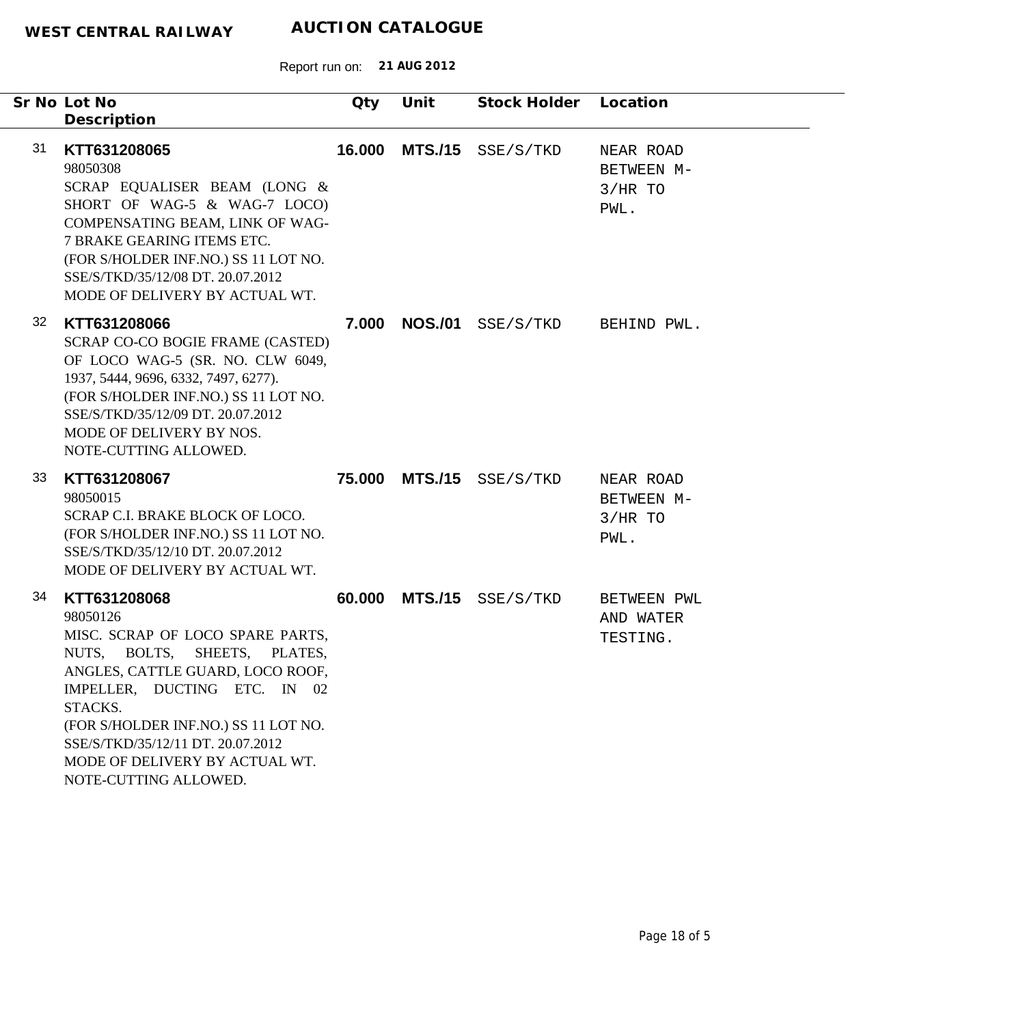|    | Sr No Lot No<br>Description                                                                                                                                                                                                                                                                                               | Qty    | Unit           | Stock Holder Location |                                              |
|----|---------------------------------------------------------------------------------------------------------------------------------------------------------------------------------------------------------------------------------------------------------------------------------------------------------------------------|--------|----------------|-----------------------|----------------------------------------------|
| 31 | KTT631208065<br>98050308<br>SCRAP EQUALISER BEAM (LONG &<br>SHORT OF WAG-5 & WAG-7 LOCO)<br>COMPENSATING BEAM, LINK OF WAG-<br>7 BRAKE GEARING ITEMS ETC.<br>(FOR S/HOLDER INF.NO.) SS 11 LOT NO.<br>SSE/S/TKD/35/12/08 DT. 20.07.2012<br>MODE OF DELIVERY BY ACTUAL WT.                                                  | 16.000 | <b>MTS./15</b> | SSE/S/TKD             | NEAR ROAD<br>BETWEEN M-<br>$3/HR$ TO<br>PWL. |
| 32 | KTT631208066<br>SCRAP CO-CO BOGIE FRAME (CASTED)<br>OF LOCO WAG-5 (SR. NO. CLW 6049,<br>1937, 5444, 9696, 6332, 7497, 6277).<br>(FOR S/HOLDER INF.NO.) SS 11 LOT NO.<br>SSE/S/TKD/35/12/09 DT. 20.07.2012<br>MODE OF DELIVERY BY NOS.<br>NOTE-CUTTING ALLOWED.                                                            | 7.000  | <b>NOS./01</b> | SSE/S/TKD             | BEHIND PWL.                                  |
| 33 | KTT631208067<br>98050015<br>SCRAP C.I. BRAKE BLOCK OF LOCO.<br>(FOR S/HOLDER INF.NO.) SS 11 LOT NO.<br>SSE/S/TKD/35/12/10 DT. 20.07.2012<br>MODE OF DELIVERY BY ACTUAL WT.                                                                                                                                                | 75.000 | <b>MTS./15</b> | SSE/S/TKD             | NEAR ROAD<br>BETWEEN M-<br>$3/HR$ TO<br>PWL. |
| 34 | KTT631208068<br>98050126<br>MISC. SCRAP OF LOCO SPARE PARTS,<br>SHEETS,<br>NUTS, BOLTS,<br>PLATES,<br>ANGLES, CATTLE GUARD, LOCO ROOF,<br>IMPELLER, DUCTING ETC. IN 02<br>STACKS.<br>(FOR S/HOLDER INF.NO.) SS 11 LOT NO.<br>SSE/S/TKD/35/12/11 DT. 20.07.2012<br>MODE OF DELIVERY BY ACTUAL WT.<br>NOTE-CUTTING ALLOWED. | 60.000 | <b>MTS./15</b> | SSE/S/TKD             | <b>BETWEEN PWL</b><br>AND WATER<br>TESTING.  |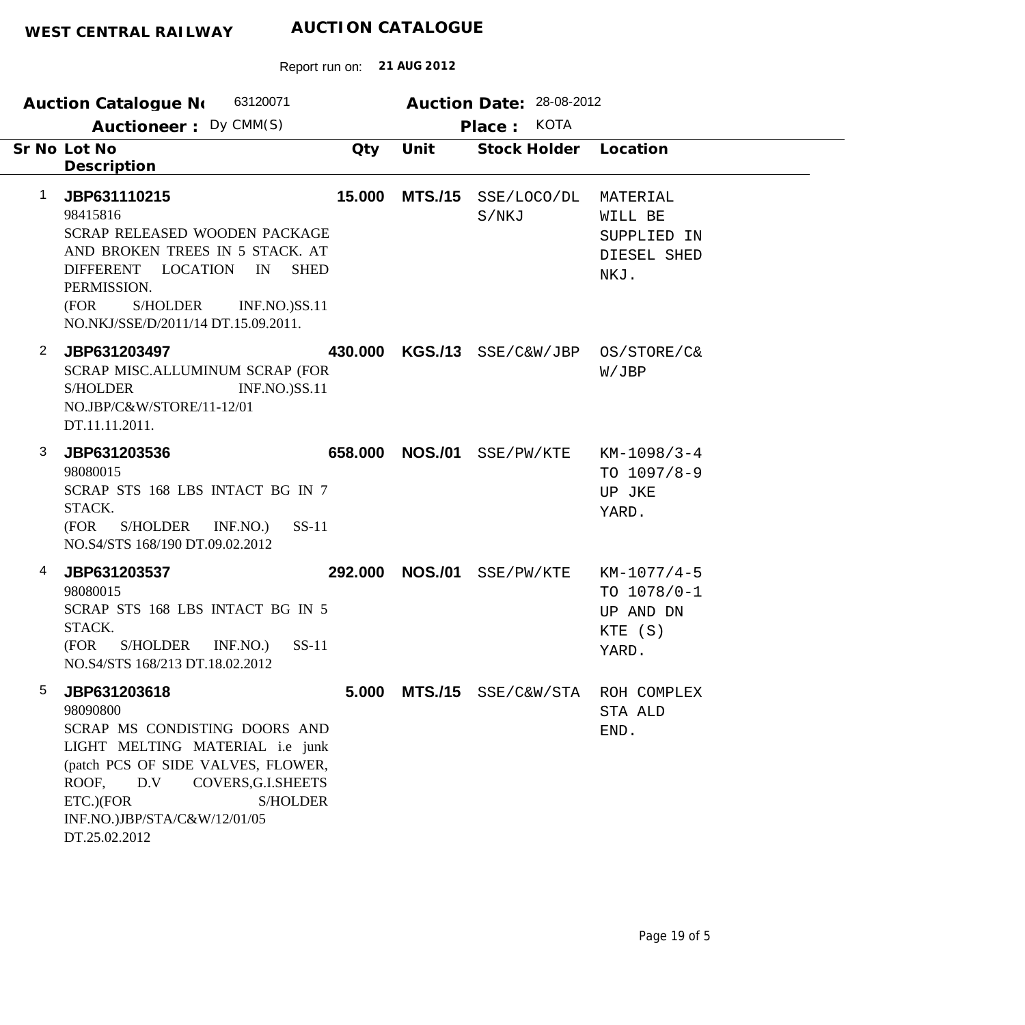|   | 63120071<br><b>Auction Catalogue No</b><br>Auctioneer: Dy CMM(S)                                                                                                                                                                                           |         |                | Auction Date: 28-08-2012<br>Place: KOTA |                                                                 |
|---|------------------------------------------------------------------------------------------------------------------------------------------------------------------------------------------------------------------------------------------------------------|---------|----------------|-----------------------------------------|-----------------------------------------------------------------|
|   | Sr No Lot No<br>Description                                                                                                                                                                                                                                | Qty     | Unit           | Stock Holder                            | Location                                                        |
| 1 | JBP631110215<br>98415816<br>SCRAP RELEASED WOODEN PACKAGE<br>AND BROKEN TREES IN 5 STACK. AT<br>DIFFERENT LOCATION<br><b>SHED</b><br>IN<br>PERMISSION.<br>(FOR<br>S/HOLDER<br><b>INF.NO.)SS.11</b><br>NO.NKJ/SSE/D/2011/14 DT.15.09.2011.                  | 15.000  | <b>MTS./15</b> | SSE/LOCO/DL<br>S/NKJ                    | MATERIAL<br>WILL BE<br>SUPPLIED IN<br>DIESEL SHED<br>NKJ.       |
| 2 | JBP631203497<br>SCRAP MISC.ALLUMINUM SCRAP (FOR<br><b>S/HOLDER</b><br><b>INF.NO.)SS.11</b><br>NO.JBP/C&W/STORE/11-12/01<br>DT.11.11.2011.                                                                                                                  |         |                | 430.000 KGS./13 SSE/C&W/JBP             | OS/STORE/C&<br>W/JBP                                            |
| 3 | JBP631203536<br>98080015<br>SCRAP STS 168 LBS INTACT BG IN 7<br>STACK.<br>$SS-11$<br>(FOR<br>S/HOLDER<br>INF.NO.)<br>NO.S4/STS 168/190 DT.09.02.2012                                                                                                       | 658.000 |                | NOS./01 SSE/PW/KTE                      | $KM-1098/3-4$<br>TO $1097/8-9$<br>UP JKE<br>YARD.               |
| 4 | JBP631203537<br>98080015<br>SCRAP STS 168 LBS INTACT BG IN 5<br>STACK.<br>(FOR<br>S/HOLDER INF.NO.)<br>$SS-11$<br>NO.S4/STS 168/213 DT.18.02.2012                                                                                                          | 292.000 | <b>NOS./01</b> | SSE/PW/KTE                              | $KM-1077/4-5$<br>TO $1078/0-1$<br>UP AND DN<br>KTE (S)<br>YARD. |
| 5 | JBP631203618<br>98090800<br>SCRAP MS CONDISTING DOORS AND<br>LIGHT MELTING MATERIAL i.e junk<br>(patch PCS OF SIDE VALVES, FLOWER,<br>D.V<br>COVERS, G.I. SHEETS<br>ROOF,<br><b>S/HOLDER</b><br>ETC.)(FOR<br>INF.NO.)JBP/STA/C&W/12/01/05<br>DT.25.02.2012 |         |                | 5.000 MTS./15 SSE/C&W/STA               | ROH COMPLEX<br>STA ALD<br>END.                                  |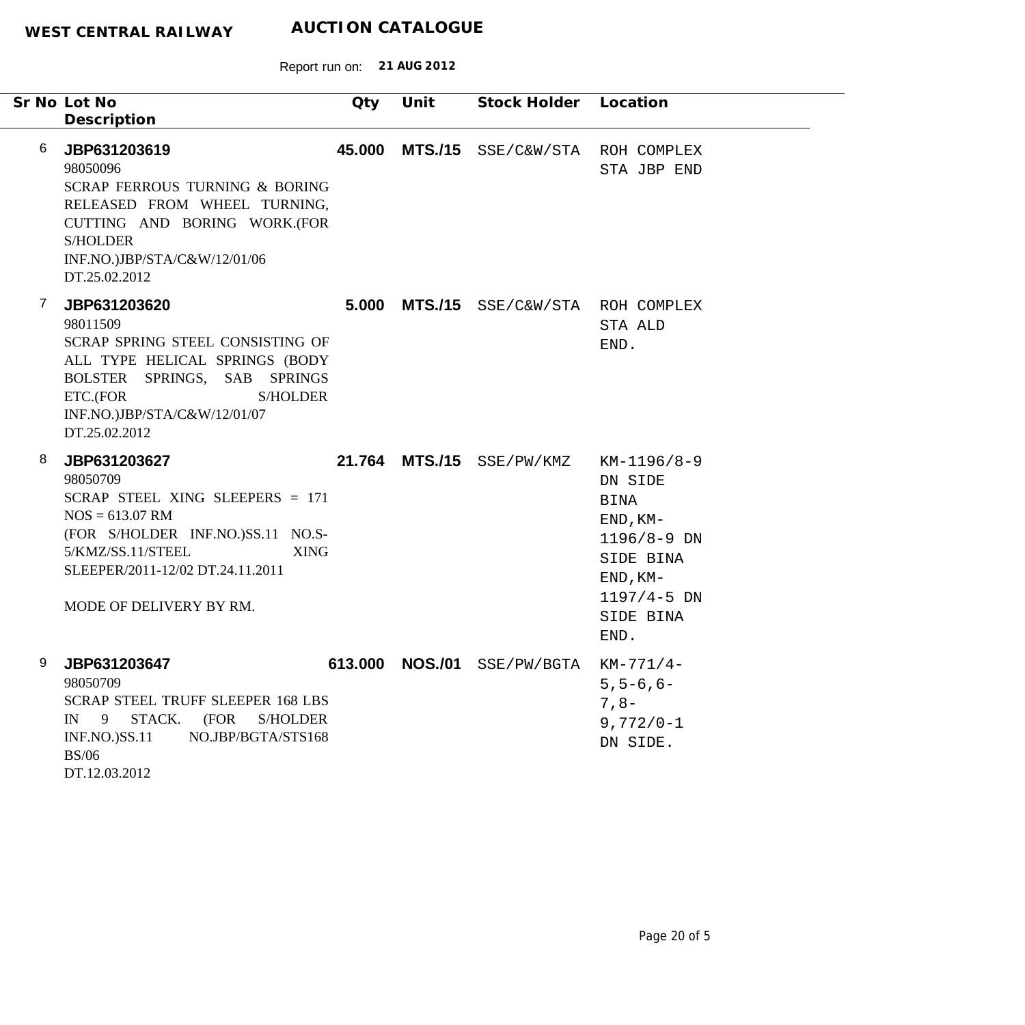|   | Sr No Lot No                                                                                                                                                                                                             | Qty    | Unit | Stock Holder Location           |                                                                                                                                       |
|---|--------------------------------------------------------------------------------------------------------------------------------------------------------------------------------------------------------------------------|--------|------|---------------------------------|---------------------------------------------------------------------------------------------------------------------------------------|
|   | Description                                                                                                                                                                                                              |        |      |                                 |                                                                                                                                       |
| 6 | JBP631203619<br>98050096<br><b>SCRAP FERROUS TURNING &amp; BORING</b><br>RELEASED FROM WHEEL TURNING,<br>CUTTING AND BORING WORK.(FOR<br><b>S/HOLDER</b><br>INF.NO.)JBP/STA/C&W/12/01/06<br>DT.25.02.2012                | 45.000 |      | MTS./15 SSE/C&W/STA ROH COMPLEX | STA JBP END                                                                                                                           |
| 7 | JBP631203620<br>98011509<br>SCRAP SPRING STEEL CONSISTING OF<br>ALL TYPE HELICAL SPRINGS (BODY<br>BOLSTER SPRINGS, SAB SPRINGS<br>S/HOLDER<br>ETC.(FOR<br>INF.NO.)JBP/STA/C&W/12/01/07<br>DT.25.02.2012                  | 5.000  |      | MTS./15 SSE/C&W/STA ROH COMPLEX | STA ALD<br>END.                                                                                                                       |
| 8 | JBP631203627<br>98050709<br>SCRAP STEEL XING SLEEPERS = 171<br>$NOS = 613.07$ RM<br>(FOR S/HOLDER INF.NO.)SS.11 NO.S-<br>5/KMZ/SS.11/STEEL<br><b>XING</b><br>SLEEPER/2011-12/02 DT.24.11.2011<br>MODE OF DELIVERY BY RM. |        |      | 21.764 MTS./15 SSE/PW/KMZ       | KM-1196/8-9<br>DN SIDE<br><b>BINA</b><br>$END, KM-$<br>1196/8-9 DN<br>SIDE BINA<br>$END, KM-$<br>$1197/4 - 5$ DN<br>SIDE BINA<br>END. |
| 9 | JBP631203647<br>98050709<br><b>SCRAP STEEL TRUFF SLEEPER 168 LBS</b><br>STACK.<br>(FOR<br>IN<br>9<br><b>S/HOLDER</b><br>INF.NO.)SS.11<br>NO.JBP/BGTA/STS168<br><b>BS/06</b><br>DT.12.03.2012                             |        |      | 613.000 NOS./01 SSE/PW/BGTA     | $KM-771/4-$<br>$5, 5 - 6, 6 -$<br>$7,8-$<br>$9,772/0-1$<br>DN SIDE.                                                                   |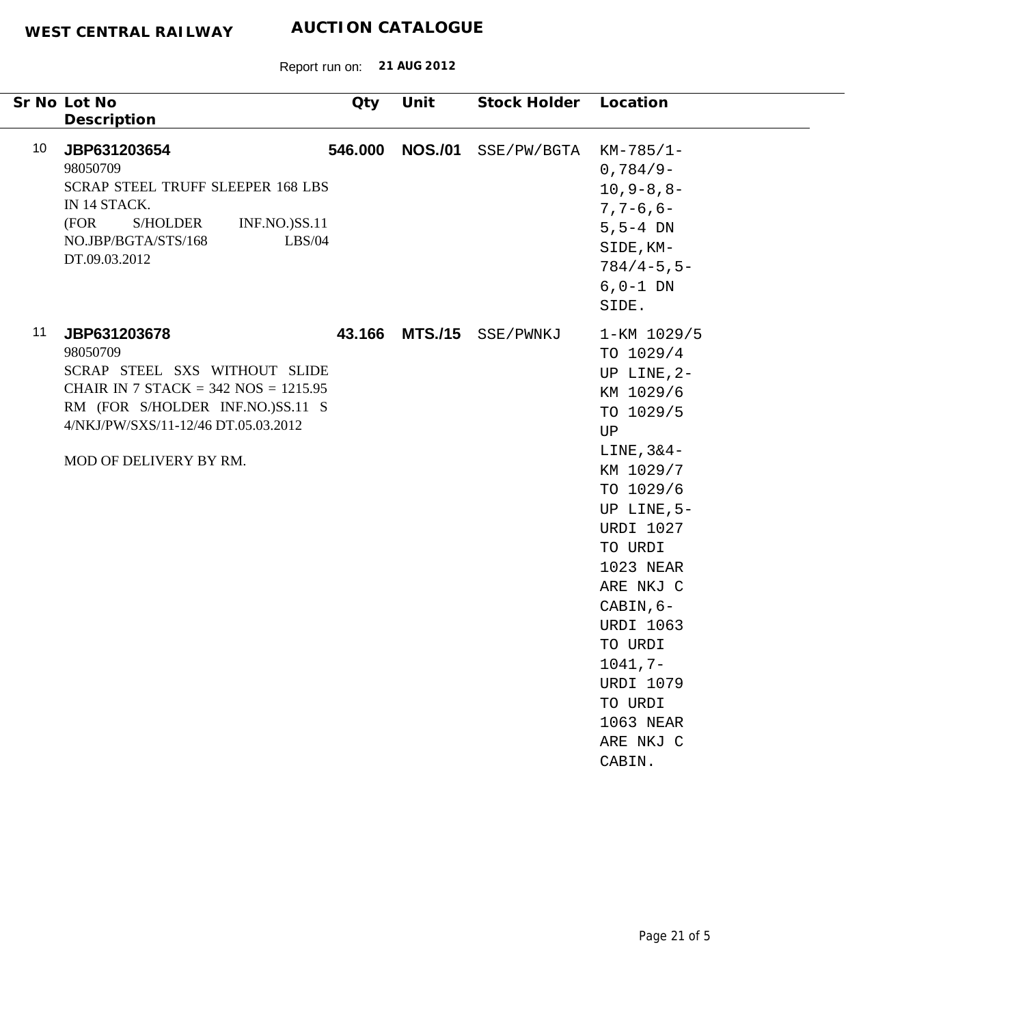| Sr No Lot No<br>Description                                                                                                                                                                                      | Qty     | Unit           | Stock Holder | Location                                                                                                                                                                                                                                                                                                          |
|------------------------------------------------------------------------------------------------------------------------------------------------------------------------------------------------------------------|---------|----------------|--------------|-------------------------------------------------------------------------------------------------------------------------------------------------------------------------------------------------------------------------------------------------------------------------------------------------------------------|
| 10 <sup>°</sup><br>JBP631203654<br>98050709<br><b>SCRAP STEEL TRUFF SLEEPER 168 LBS</b><br>IN 14 STACK.<br>(FOR<br><b>S/HOLDER</b><br><b>INF.NO.)SS.11</b><br>NO.JBP/BGTA/STS/168<br>LBS/04<br>DT.09.03.2012     | 546.000 | <b>NOS./01</b> | SSE/PW/BGTA  | $KM-785/1-$<br>$0,784/9-$<br>$10, 9 - 8, 8 -$<br>$7, 7 - 6, 6 -$<br>$5, 5 - 4$ DN<br>SIDE, KM-<br>$784/4 - 5, 5 -$<br>$6, 0-1$ DN<br>SIDE.                                                                                                                                                                        |
| 11<br>JBP631203678<br>98050709<br>SCRAP STEEL SXS WITHOUT SLIDE<br>CHAIR IN 7 STACK = $342$ NOS = $1215.95$<br>RM (FOR S/HOLDER INF.NO.)SS.11 S<br>4/NKJ/PW/SXS/11-12/46 DT.05.03.2012<br>MOD OF DELIVERY BY RM. | 43.166  | <b>MTS./15</b> | SSE/PWNKJ    | 1-KM 1029/5<br>TO 1029/4<br>UP LINE, 2-<br>KM 1029/6<br>TO 1029/5<br>UP<br>LINE, $3&4-$<br>KM 1029/7<br>TO 1029/6<br>UP LINE, $5-$<br><b>URDI 1027</b><br>TO URDI<br>1023 NEAR<br>ARE NKJ C<br>CABIN, 6-<br><b>URDI 1063</b><br>TO URDI<br>$1041, 7-$<br>URDI 1079<br>TO URDI<br>1063 NEAR<br>ARE NKJ C<br>CABIN. |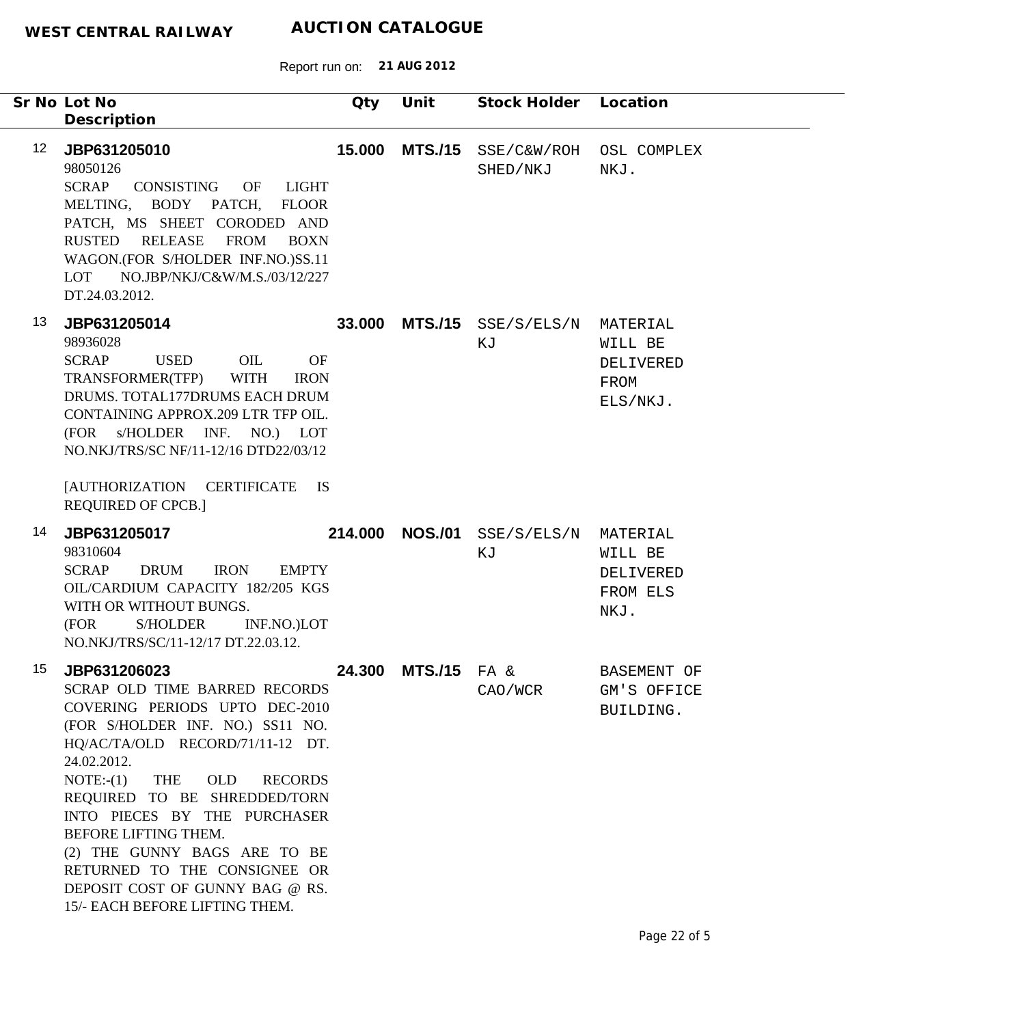Report run on: **21 AUG 2012**

| Sr No Lot No<br>Description                                                                                                                                                                                                                                                                                                                                                                                                                   | Qty                                                   | Unit           | Stock Holder            | Location                                             |
|-----------------------------------------------------------------------------------------------------------------------------------------------------------------------------------------------------------------------------------------------------------------------------------------------------------------------------------------------------------------------------------------------------------------------------------------------|-------------------------------------------------------|----------------|-------------------------|------------------------------------------------------|
| 12 <sup>°</sup><br>JBP631205010<br>98050126<br><b>SCRAP</b><br>CONSISTING<br>OF<br>MELTING, BODY PATCH,<br>PATCH, MS SHEET CORODED AND<br><b>RUSTED</b><br><b>RELEASE</b><br><b>FROM</b><br>WAGON.(FOR S/HOLDER INF.NO.)SS.11<br>NO.JBP/NKJ/C&W/M.S./03/12/227<br>LOT<br>DT.24.03.2012.                                                                                                                                                       | 15.000<br><b>LIGHT</b><br><b>FLOOR</b><br><b>BOXN</b> | <b>MTS./15</b> | SSE/C&W/ROH<br>SHED/NKJ | OSL COMPLEX<br>NKJ.                                  |
| 13<br>JBP631205014<br>98936028<br><b>SCRAP</b><br><b>USED</b><br>OIL<br><b>WITH</b><br>TRANSFORMER(TFP)<br>DRUMS. TOTAL177DRUMS EACH DRUM<br>CONTAINING APPROX.209 LTR TFP OIL.<br>(FOR s/HOLDER INF. NO.) LOT<br>NO.NKJ/TRS/SC NF/11-12/16 DTD22/03/12<br><b>[AUTHORIZATION</b><br><b>CERTIFICATE</b><br><b>REQUIRED OF CPCB.]</b>                                                                                                           | 33.000<br><b>OF</b><br><b>IRON</b><br><b>IS</b>       | <b>MTS./15</b> | SSE/S/ELS/N<br>ΚJ       | MATERIAL<br>WILL BE<br>DELIVERED<br>FROM<br>ELS/NKJ. |
| 14<br>JBP631205017<br>98310604<br><b>SCRAP</b><br><b>DRUM</b><br><b>IRON</b><br>OIL/CARDIUM CAPACITY 182/205 KGS<br>WITH OR WITHOUT BUNGS.<br><b>S/HOLDER</b><br>(FOR<br>NO.NKJ/TRS/SC/11-12/17 DT.22.03.12.                                                                                                                                                                                                                                  | 214.000<br><b>EMPTY</b><br>INF.NO.)LOT                | <b>NOS./01</b> | SSE/S/ELS/N<br>ΚJ       | MATERIAL<br>WILL BE<br>DELIVERED<br>FROM ELS<br>NKJ. |
| JBP631206023<br>15<br>SCRAP OLD TIME BARRED RECORDS<br>COVERING PERIODS UPTO DEC-2010<br>(FOR S/HOLDER INF. NO.) SS11 NO.<br>HQ/AC/TA/OLD RECORD/71/11-12 DT.<br>24.02.2012.<br>$NOTE:-(1)$<br>THE<br><b>OLD</b><br>REQUIRED TO BE SHREDDED/TORN<br>INTO PIECES BY THE PURCHASER<br>BEFORE LIFTING THEM.<br>(2) THE GUNNY BAGS ARE TO BE<br>RETURNED TO THE CONSIGNEE OR<br>DEPOSIT COST OF GUNNY BAG @ RS.<br>15/- EACH BEFORE LIFTING THEM. | 24.300<br><b>RECORDS</b>                              | $MTS./15$ FA & | CAO/WCR                 | BASEMENT OF<br>GM'S OFFICE<br>BUILDING.              |

٠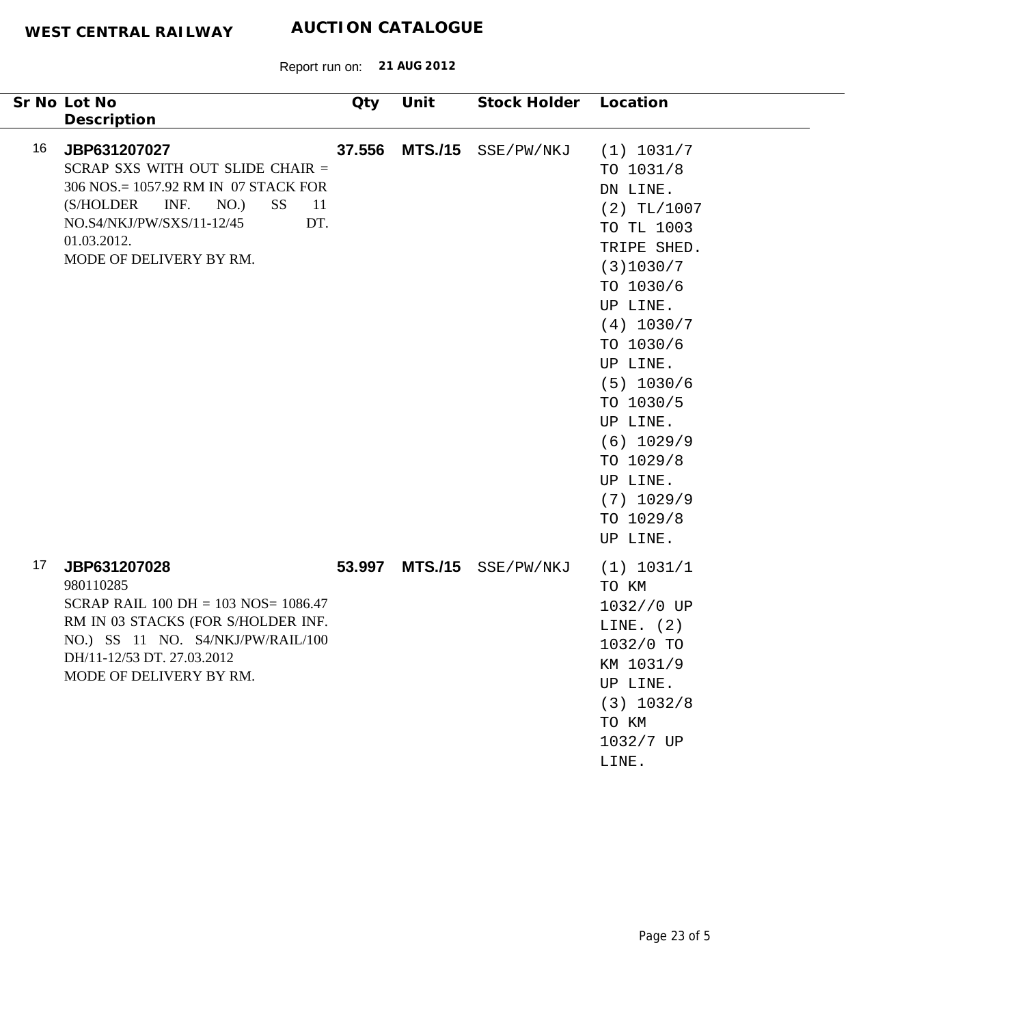| Sr No Lot No                                                                                                                                                                                                                                 | Qty    | Unit           | Stock Holder Location |                                                                                                                                                                                                                                                                                           |
|----------------------------------------------------------------------------------------------------------------------------------------------------------------------------------------------------------------------------------------------|--------|----------------|-----------------------|-------------------------------------------------------------------------------------------------------------------------------------------------------------------------------------------------------------------------------------------------------------------------------------------|
| Description<br>16<br>JBP631207027<br>SCRAP SXS WITH OUT SLIDE CHAIR =<br>306 NOS.= 1057.92 RM IN 07 STACK FOR<br>INF.<br>(S/HOLDER<br>NO.)<br><b>SS</b><br>-11<br>DT.<br>NO.S4/NKJ/PW/SXS/11-12/45<br>01.03.2012.<br>MODE OF DELIVERY BY RM. | 37.556 | <b>MTS./15</b> | SSE/PW/NKJ            | (1) 1031/7<br>TO 1031/8<br>DN LINE.<br>$(2)$ TL/1007<br>TO TL 1003<br>TRIPE SHED.<br>(3)1030/7<br>TO 1030/6<br>UP LINE.<br>(4) 1030/7<br>TO 1030/6<br>UP LINE.<br>$(5)$ 1030/6<br>TO 1030/5<br>UP LINE.<br>$(6)$ 1029/9<br>TO 1029/8<br>UP LINE.<br>$(7)$ 1029/9<br>TO 1029/8<br>UP LINE. |
| 17<br>JBP631207028<br>980110285<br>SCRAP RAIL $100$ DH = $103$ NOS= $1086.47$<br>RM IN 03 STACKS (FOR S/HOLDER INF.<br>NO.) SS 11 NO. S4/NKJ/PW/RAIL/100<br>DH/11-12/53 DT. 27.03.2012<br>MODE OF DELIVERY BY RM.                            | 53.997 | <b>MTS./15</b> | SSE/PW/NKJ            | (1) 1031/1<br>TO KM<br>1032//0 UP<br>LINE. $(2)$<br>1032/0 TO<br>KM 1031/9<br>UP LINE.<br>(3) 1032/8<br>TO KM<br>1032/7 UP<br>LINE.                                                                                                                                                       |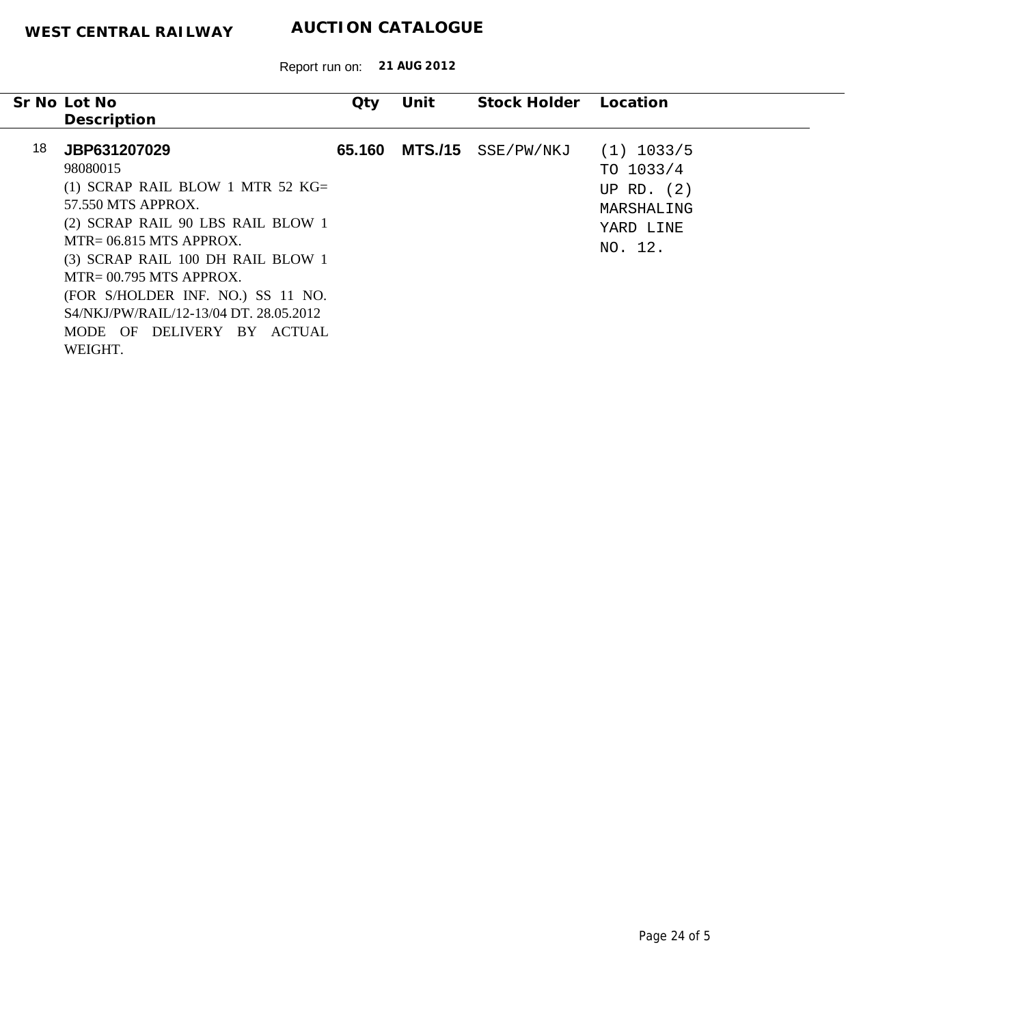|    | Sr No Lot No                                                                                                                                                                                                                                                                                                                                        | Qty    | Unit | Stock Holder Location |                                                                                   |
|----|-----------------------------------------------------------------------------------------------------------------------------------------------------------------------------------------------------------------------------------------------------------------------------------------------------------------------------------------------------|--------|------|-----------------------|-----------------------------------------------------------------------------------|
|    | Description                                                                                                                                                                                                                                                                                                                                         |        |      |                       |                                                                                   |
| 18 | JBP631207029<br>98080015<br>(1) SCRAP RAIL BLOW 1 MTR 52 $KG =$<br>57.550 MTS APPROX.<br>(2) SCRAP RAIL 90 LBS RAIL BLOW 1<br>$MTR = 06.815$ MTS APPROX.<br>(3) SCRAP RAIL 100 DH RAIL BLOW 1<br>$MTR = 00.795$ MTS APPROX.<br>(FOR S/HOLDER INF. NO.) SS 11 NO.<br>S4/NKJ/PW/RAIL/12-13/04 DT, 28.05.2012<br>MODE OF DELIVERY BY ACTUAL<br>WEIGHT. | 65.160 |      | MTS./15 SSE/PW/NKJ    | $(1)$ 1033/5<br>TO $1033/4$<br>UP RD. $(2)$<br>MARSHALING<br>YARD LINE<br>NO. 12. |
|    |                                                                                                                                                                                                                                                                                                                                                     |        |      |                       |                                                                                   |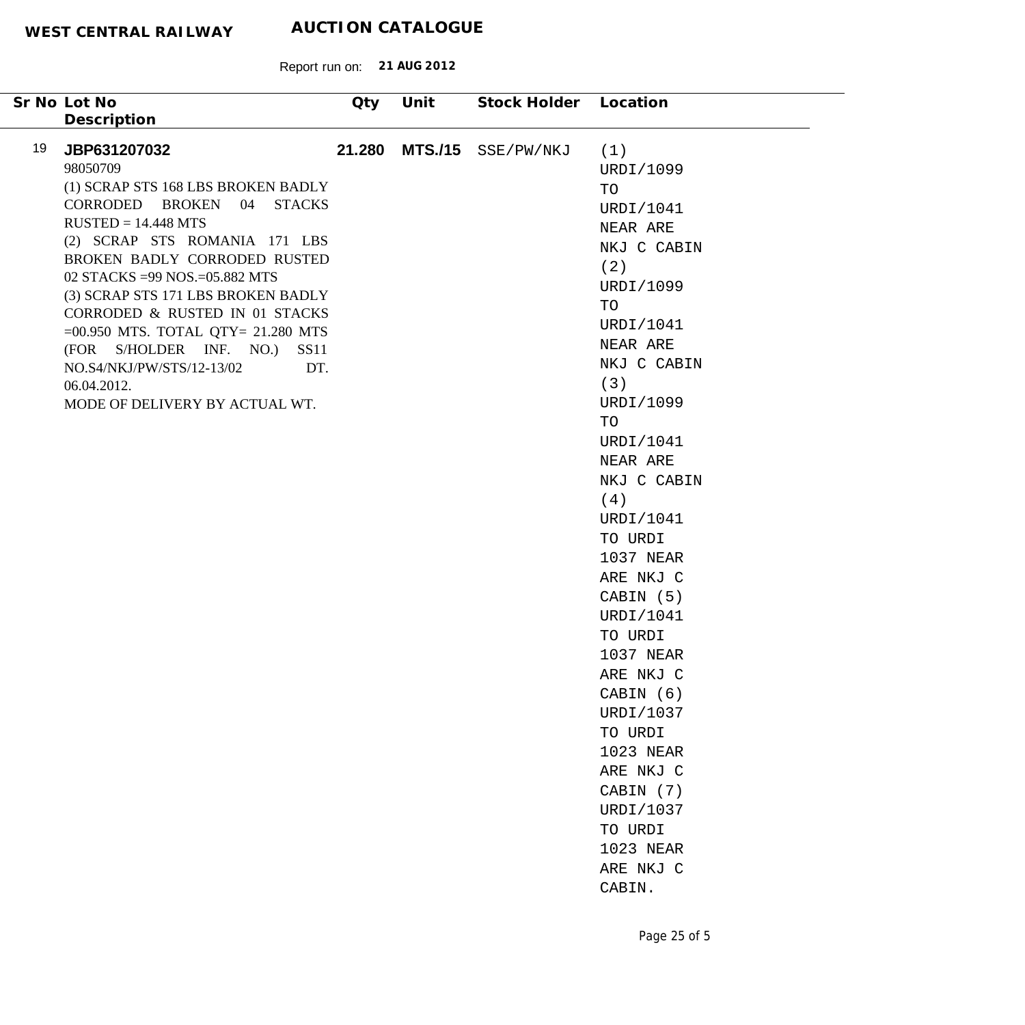| Sr No Lot No<br>Description                                                                                                                                                                                                                                                                                                                                                                                                                              | <b>Qty</b>                   | Unit | Stock Holder Location |                                                                                                                                                                                                                                                                                                                                                                                                                                                                    |
|----------------------------------------------------------------------------------------------------------------------------------------------------------------------------------------------------------------------------------------------------------------------------------------------------------------------------------------------------------------------------------------------------------------------------------------------------------|------------------------------|------|-----------------------|--------------------------------------------------------------------------------------------------------------------------------------------------------------------------------------------------------------------------------------------------------------------------------------------------------------------------------------------------------------------------------------------------------------------------------------------------------------------|
| 19<br>JBP631207032<br>98050709<br>(1) SCRAP STS 168 LBS BROKEN BADLY<br>CORRODED BROKEN 04 STACKS<br>$RUSTED = 14.448 MTS$<br>(2) SCRAP STS ROMANIA 171 LBS<br>BROKEN BADLY CORRODED RUSTED<br>02 STACKS = 99 NOS. = 05.882 MTS<br>(3) SCRAP STS 171 LBS BROKEN BADLY<br>CORRODED & RUSTED IN 01 STACKS<br>$=00.950$ MTS. TOTAL QTY= 21.280 MTS<br>(FOR S/HOLDER INF. NO.)<br>NO.S4/NKJ/PW/STS/12-13/02<br>06.04.2012.<br>MODE OF DELIVERY BY ACTUAL WT. | 21.280<br><b>SS11</b><br>DT. |      | MTS./15 SSE/PW/NKJ    | (1)<br>URDI/1099<br>TO<br>URDI/1041<br>NEAR ARE<br>NKJ C CABIN<br>(2)<br>URDI/1099<br>TO<br>URDI/1041<br>NEAR ARE<br>NKJ C CABIN<br>(3)<br>URDI/1099<br>TO<br>URDI/1041<br>NEAR ARE<br>NKJ C CABIN<br>(4)<br>URDI/1041<br>TO URDI<br>1037 NEAR<br>ARE NKJ C<br>CABIN (5)<br>URDI/1041<br>TO URDI<br>1037 NEAR<br>ARE NKJ C<br>CABIN (6)<br>URDI/1037<br>TO URDI<br>1023 NEAR<br>ARE NKJ C<br>CABIN (7)<br>URDI/1037<br>TO URDI<br>1023 NEAR<br>ARE NKJ C<br>CABIN. |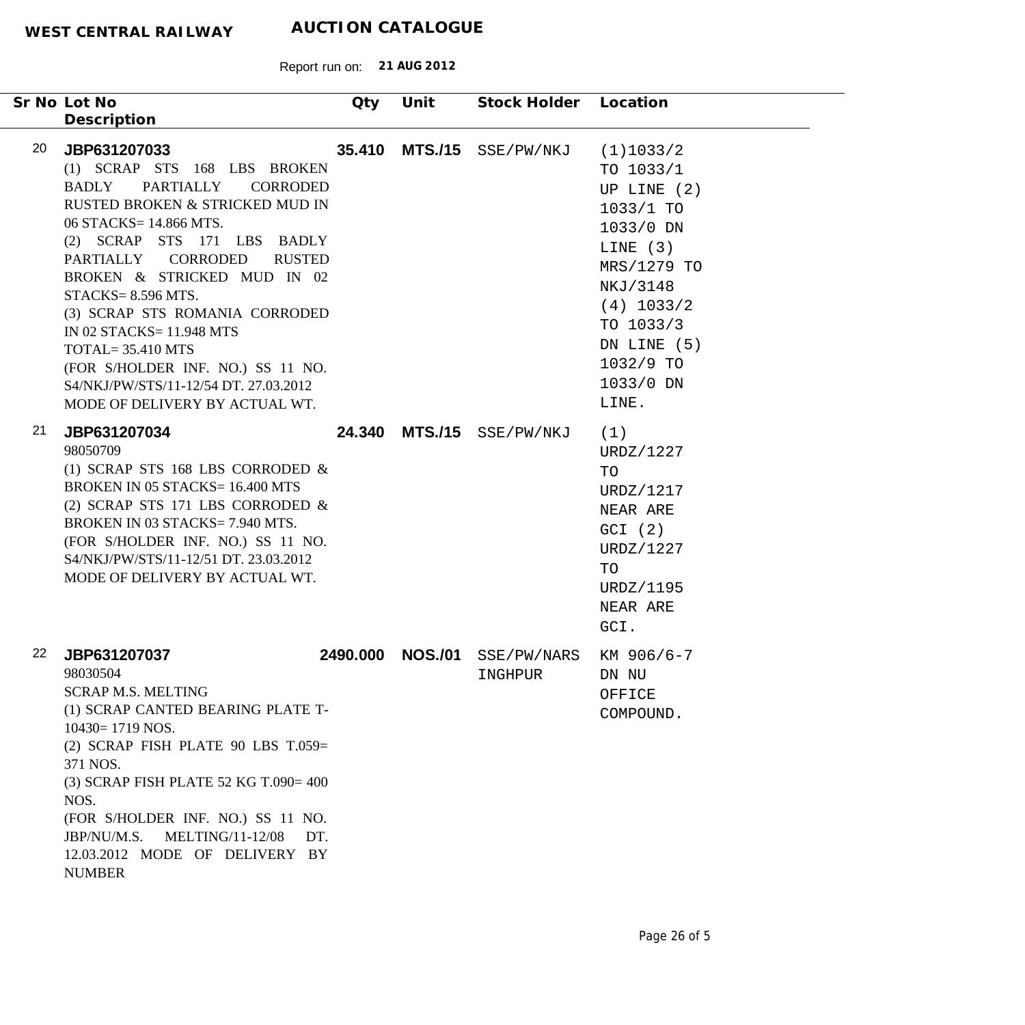| Sr No Lot No                                                                                                                           |                                                                                                                                                                                                                                                                                                                                                                                                                     | Qty      | Unit           | Stock Holder Location     |                                                                                                                                                                                             |
|----------------------------------------------------------------------------------------------------------------------------------------|---------------------------------------------------------------------------------------------------------------------------------------------------------------------------------------------------------------------------------------------------------------------------------------------------------------------------------------------------------------------------------------------------------------------|----------|----------------|---------------------------|---------------------------------------------------------------------------------------------------------------------------------------------------------------------------------------------|
| Description                                                                                                                            |                                                                                                                                                                                                                                                                                                                                                                                                                     |          |                |                           |                                                                                                                                                                                             |
| 20<br>JBP631207033<br><b>BADLY</b><br>$STACKS = 8.596 MTS.$<br>$TOTAL = 35.410 MTS$                                                    | (1) SCRAP STS 168 LBS BROKEN<br><b>PARTIALLY</b><br><b>CORRODED</b><br>RUSTED BROKEN & STRICKED MUD IN<br>06 STACKS= 14.866 MTS.<br>(2) SCRAP STS 171 LBS BADLY<br>PARTIALLY CORRODED<br><b>RUSTED</b><br>BROKEN & STRICKED MUD IN 02<br>(3) SCRAP STS ROMANIA CORRODED<br>IN 02 STACKS= 11.948 MTS<br>(FOR S/HOLDER INF. NO.) SS 11 NO.<br>S4/NKJ/PW/STS/11-12/54 DT. 27.03.2012<br>MODE OF DELIVERY BY ACTUAL WT. |          | 35.410 MTS./15 | SSE/PW/NKJ                | (1)1033/2<br>TO 1033/1<br>UP LINE $(2)$<br>$1033/1$ TO<br>1033/0 DN<br>LINE $(3)$<br>MRS/1279 TO<br>NKJ/3148<br>$(4)$ 1033/2<br>TO 1033/3<br>DN LINE (5)<br>1032/9 TO<br>1033/0 DN<br>LINE. |
| 21<br>JBP631207034<br>98050709                                                                                                         | (1) SCRAP STS 168 LBS CORRODED $\&$<br><b>BROKEN IN 05 STACKS= 16.400 MTS</b><br>(2) SCRAP STS 171 LBS CORRODED $\&$<br>BROKEN IN 03 STACKS= 7.940 MTS.<br>(FOR S/HOLDER INF. NO.) SS 11 NO.<br>S4/NKJ/PW/STS/11-12/51 DT. 23.03.2012<br>MODE OF DELIVERY BY ACTUAL WT.                                                                                                                                             |          |                | 24.340 MTS./15 SSE/PW/NKJ | (1)<br>URDZ/1227<br>TO<br>URDZ/1217<br>NEAR ARE<br>GCI (2)<br>URDZ/1227<br>TO<br>URDZ/1195<br>NEAR ARE<br>GCI.                                                                              |
| 22<br>JBP631207037<br>98030504<br><b>SCRAP M.S. MELTING</b><br>$10430 = 1719$ NOS.<br>371 NOS.<br>NOS.<br>JBP/NU/M.S.<br><b>NUMBER</b> | (1) SCRAP CANTED BEARING PLATE T-<br>(2) SCRAP FISH PLATE 90 LBS $T.059=$<br>(3) SCRAP FISH PLATE 52 KG T.090= 400<br>(FOR S/HOLDER INF. NO.) SS 11 NO.<br><b>MELTING/11-12/08</b><br>DT.<br>12.03.2012 MODE OF DELIVERY BY                                                                                                                                                                                         | 2490.000 | <b>NOS./01</b> | SSE/PW/NARS<br>INGHPUR    | KM 906/6-7<br>DN NU<br>OFFICE<br>COMPOUND.                                                                                                                                                  |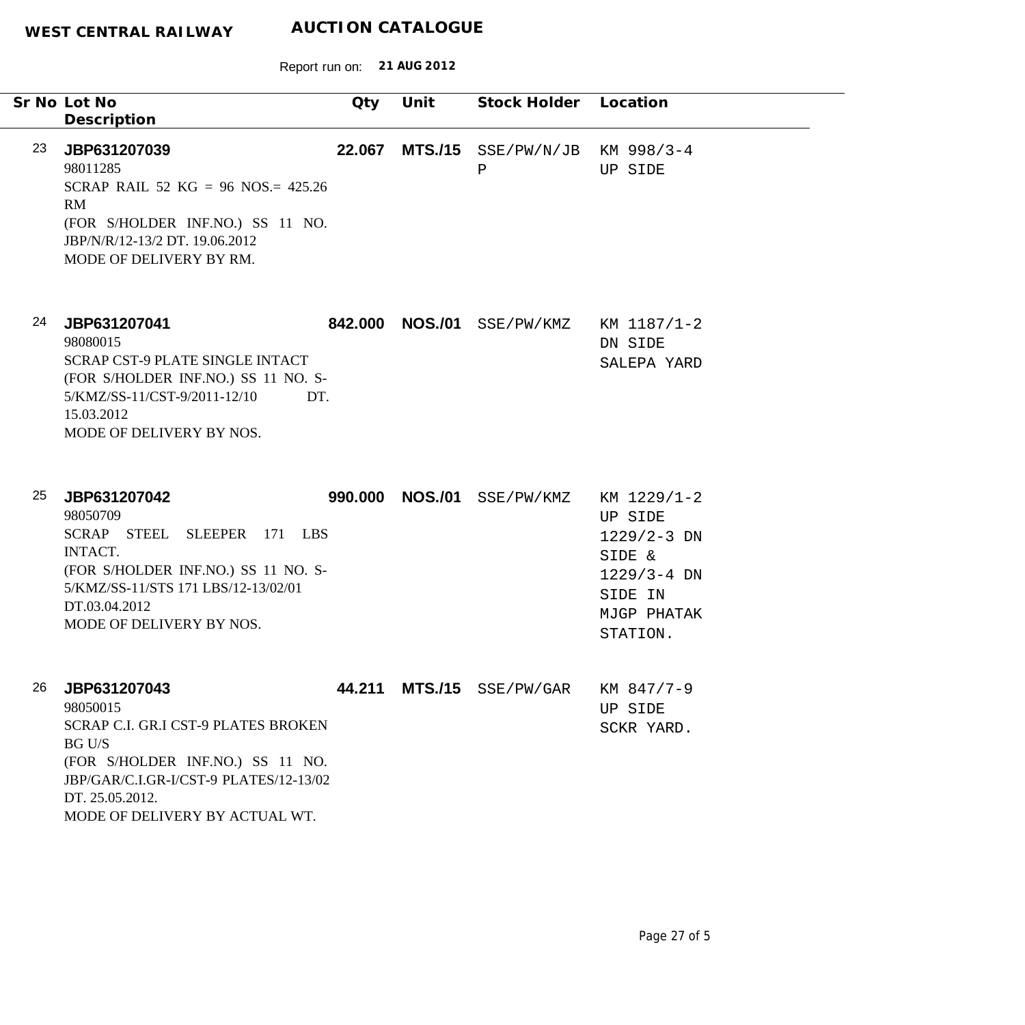|    | Sr No Lot No<br>Description                                                                                                                                                                                         | Qty     | Unit           | Stock Holder Location      |                                                                                                              |
|----|---------------------------------------------------------------------------------------------------------------------------------------------------------------------------------------------------------------------|---------|----------------|----------------------------|--------------------------------------------------------------------------------------------------------------|
| 23 | JBP631207039<br>98011285<br>SCRAP RAIL 52 KG = 96 NOS.= $425.26$<br>RM<br>(FOR S/HOLDER INF.NO.) SS 11 NO.<br>JBP/N/R/12-13/2 DT. 19.06.2012<br>MODE OF DELIVERY BY RM.                                             | 22.067  |                | $MTS./15$ SSE/PW/N/JB<br>Ρ | KM 998/3-4<br>UP SIDE                                                                                        |
| 24 | JBP631207041<br>98080015<br><b>SCRAP CST-9 PLATE SINGLE INTACT</b><br>(FOR S/HOLDER INF.NO.) SS 11 NO. S-<br>5/KMZ/SS-11/CST-9/2011-12/10<br>DT.<br>15.03.2012<br>MODE OF DELIVERY BY NOS.                          | 842.000 | <b>NOS./01</b> | SSE/PW/KMZ                 | KM 1187/1-2<br>DN SIDE<br>SALEPA YARD                                                                        |
| 25 | JBP631207042<br>98050709<br>SCRAP STEEL SLEEPER<br>171 LBS<br><b>INTACT.</b><br>(FOR S/HOLDER INF.NO.) SS 11 NO. S-<br>5/KMZ/SS-11/STS 171 LBS/12-13/02/01<br>DT.03.04.2012<br>MODE OF DELIVERY BY NOS.             | 990.000 | <b>NOS./01</b> | SSE/PW/KMZ                 | KM 1229/1-2<br>UP SIDE<br>$1229/2 - 3$ DN<br>SIDE &<br>$1229/3 - 4$ DN<br>SIDE IN<br>MJGP PHATAK<br>STATION. |
| 26 | JBP631207043<br>98050015<br>SCRAP C.I. GR.I CST-9 PLATES BROKEN<br><b>BG U/S</b><br>(FOR S/HOLDER INF.NO.) SS 11 NO.<br>JBP/GAR/C.I.GR-I/CST-9 PLATES/12-13/02<br>DT. 25.05.2012.<br>MODE OF DELIVERY BY ACTUAL WT. |         |                | 44.211 MTS./15 SSE/PW/GAR  | KM 847/7-9<br>UP SIDE<br>SCKR YARD.                                                                          |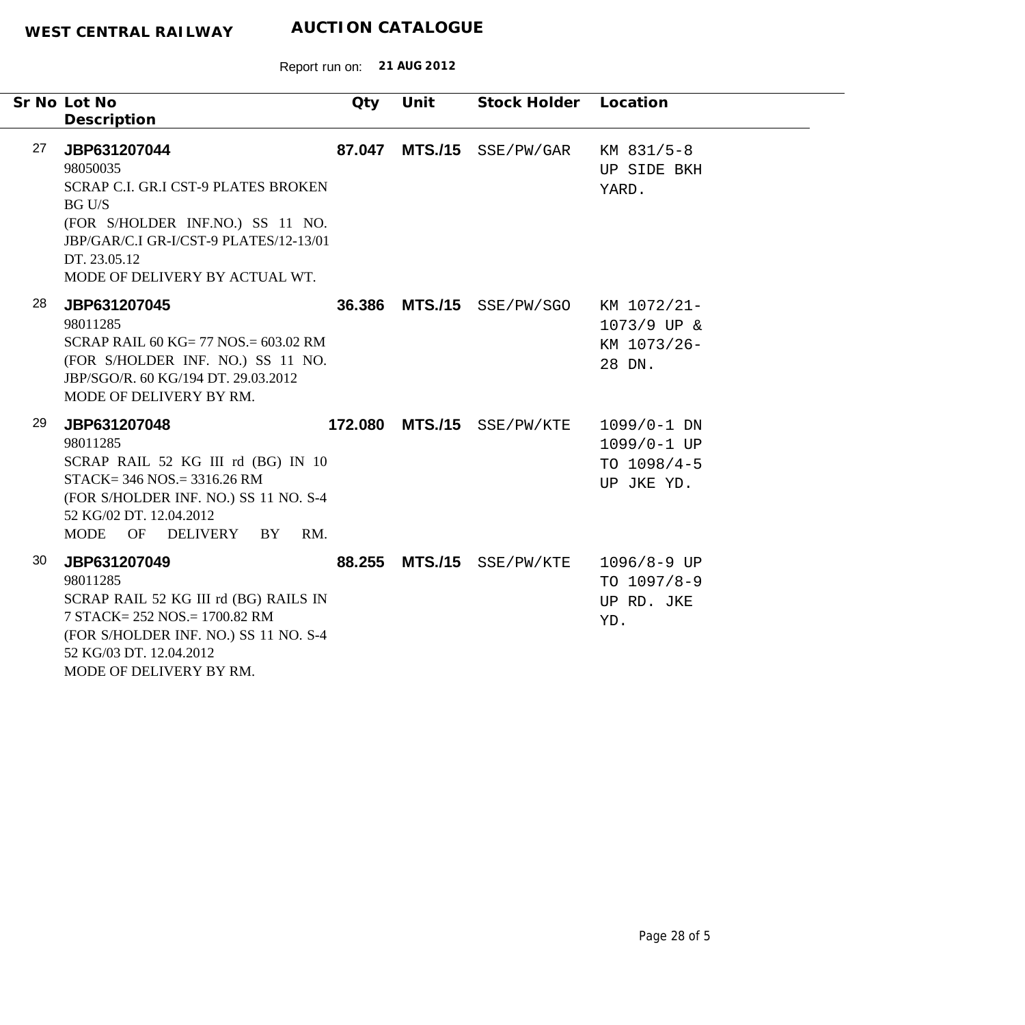|    | Sr No Lot No<br>Description                                                                                                                                                                                      | Qty    | Unit           | Stock Holder Location      |                                                             |
|----|------------------------------------------------------------------------------------------------------------------------------------------------------------------------------------------------------------------|--------|----------------|----------------------------|-------------------------------------------------------------|
| 27 | JBP631207044<br>98050035<br>SCRAP C.I. GR.I CST-9 PLATES BROKEN<br><b>BG U/S</b><br>(FOR S/HOLDER INF.NO.) SS 11 NO.<br>JBP/GAR/C.I GR-I/CST-9 PLATES/12-13/01<br>DT. 23.05.12<br>MODE OF DELIVERY BY ACTUAL WT. | 87.047 |                | MTS./15 SSE/PW/GAR         | KM 831/5-8<br>UP SIDE BKH<br>YARD.                          |
| 28 | JBP631207045<br>98011285<br>SCRAP RAIL 60 KG= 77 NOS = $603.02$ RM<br>(FOR S/HOLDER INF. NO.) SS 11 NO.<br>JBP/SGO/R. 60 KG/194 DT. 29.03.2012<br>MODE OF DELIVERY BY RM.                                        |        |                | 36.386 MTS./15 SSE/PW/SGO  | KM 1072/21-<br>1073/9 UP &<br>KM 1073/26-<br>28 DN.         |
| 29 | JBP631207048<br>98011285<br>SCRAP RAIL 52 KG III rd (BG) IN 10<br>$STACK = 346 NOS = 3316.26 RM$<br>(FOR S/HOLDER INF. NO.) SS 11 NO. S-4<br>52 KG/02 DT. 12.04.2012<br>MODE OF DELIVERY BY<br>RM.               |        |                | 172.080 MTS./15 SSE/PW/KTE | $1099/0-1$ DN<br>1099/0-1 UP<br>TO $1098/4-5$<br>UP JKE YD. |
| 30 | JBP631207049<br>98011285<br>SCRAP RAIL 52 KG III rd (BG) RAILS IN<br>7 STACK= 252 NOS.= 1700.82 RM<br>(FOR S/HOLDER INF. NO.) SS 11 NO. S-4<br>52 KG/03 DT. 12.04.2012<br>MODE OF DELIVERY BY RM.                |        | 88.255 MTS./15 | SSE/PW/KTE                 | 1096/8-9 UP<br>TO $1097/8-9$<br>UP RD. JKE<br>YD.           |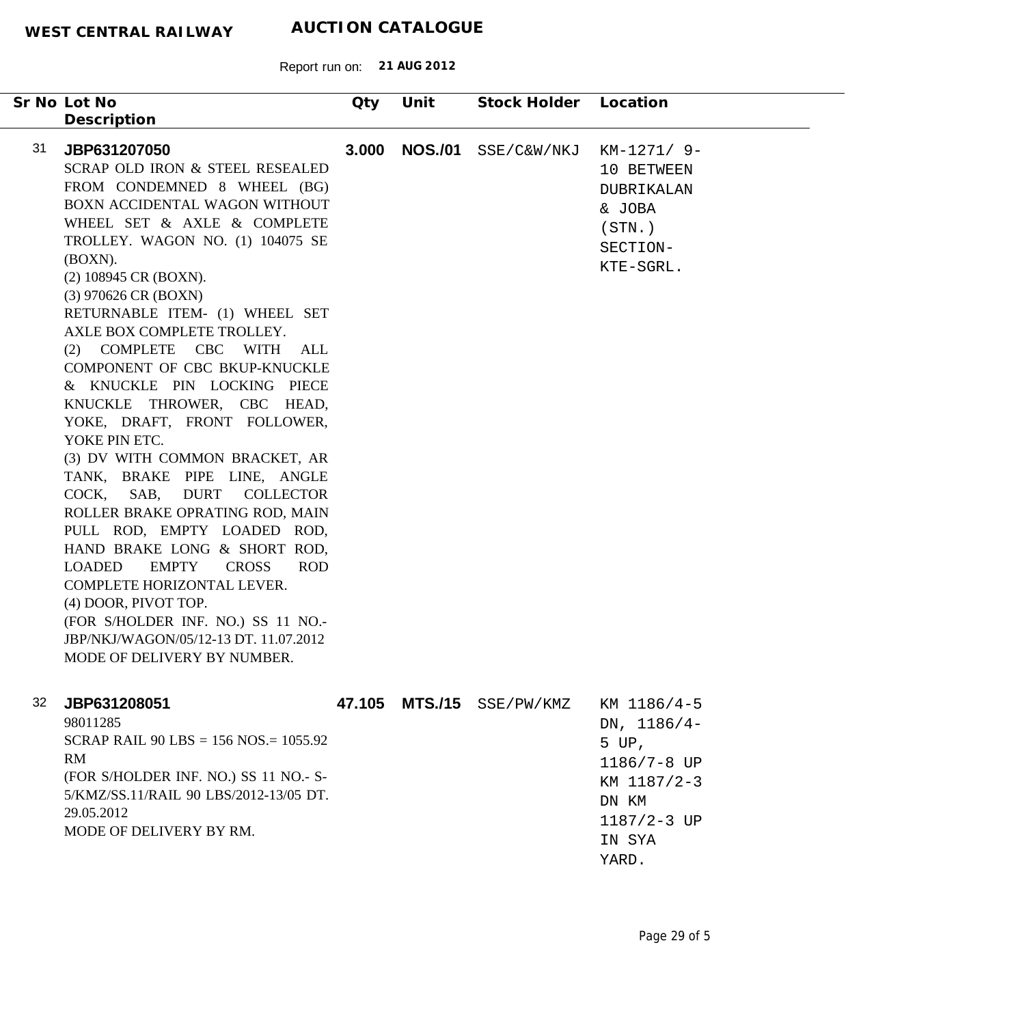Report run on: **21 AUG 2012**

| Sr No Lot No<br>Description                                                                                                                                                                                                                                                                                                                                                                                                                                                                                                                                                                                                                                                                                                                                                                                                                                                                                                                   | Qty                 | Unit           | Stock Holder       | Location                                                                                              |
|-----------------------------------------------------------------------------------------------------------------------------------------------------------------------------------------------------------------------------------------------------------------------------------------------------------------------------------------------------------------------------------------------------------------------------------------------------------------------------------------------------------------------------------------------------------------------------------------------------------------------------------------------------------------------------------------------------------------------------------------------------------------------------------------------------------------------------------------------------------------------------------------------------------------------------------------------|---------------------|----------------|--------------------|-------------------------------------------------------------------------------------------------------|
| 31<br>JBP631207050<br>SCRAP OLD IRON & STEEL RESEALED<br>FROM CONDEMNED 8 WHEEL (BG)<br>BOXN ACCIDENTAL WAGON WITHOUT<br>WHEEL SET & AXLE & COMPLETE<br>TROLLEY. WAGON NO. (1) 104075 SE<br>(BOXN).<br>(2) 108945 CR (BOXN).<br>(3) 970626 CR (BOXN)<br>RETURNABLE ITEM- (1) WHEEL SET<br>AXLE BOX COMPLETE TROLLEY.<br>(2) COMPLETE CBC WITH ALL<br>COMPONENT OF CBC BKUP-KNUCKLE<br>& KNUCKLE PIN LOCKING PIECE<br>KNUCKLE THROWER, CBC HEAD,<br>YOKE, DRAFT, FRONT FOLLOWER,<br>YOKE PIN ETC.<br>(3) DV WITH COMMON BRACKET, AR<br>TANK, BRAKE PIPE LINE, ANGLE<br><b>DURT</b><br>COCK,<br>SAB,<br><b>COLLECTOR</b><br>ROLLER BRAKE OPRATING ROD, MAIN<br>PULL ROD, EMPTY LOADED ROD,<br>HAND BRAKE LONG & SHORT ROD,<br><b>EMPTY</b><br><b>LOADED</b><br><b>CROSS</b><br>COMPLETE HORIZONTAL LEVER.<br>(4) DOOR, PIVOT TOP.<br>(FOR S/HOLDER INF. NO.) SS 11 NO.-<br>JBP/NKJ/WAGON/05/12-13 DT. 11.07.2012<br>MODE OF DELIVERY BY NUMBER. | 3.000<br><b>ROD</b> | <b>NOS./01</b> | SSE/C&W/NKJ        | $KM-1271/9-$<br>10 BETWEEN<br>DUBRIKALAN<br>& JOBA<br>(STN.<br>SECTION-<br>KTE-SGRL.                  |
| 32<br>JBP631208051<br>98011285<br>SCRAP RAIL $90$ LBS = 156 NOS = 1055.92<br><b>RM</b><br>(FOR S/HOLDER INF. NO.) SS 11 NO.- S-<br>5/KMZ/SS.11/RAIL 90 LBS/2012-13/05 DT.<br>29.05.2012<br>MODE OF DELIVERY BY RM.                                                                                                                                                                                                                                                                                                                                                                                                                                                                                                                                                                                                                                                                                                                            | 47.105              |                | MTS./15 SSE/PW/KMZ | KM 1186/4-5<br>DN, $1186/4-$<br>5 UP,<br>1186/7-8 UP<br>KM 1187/2-3<br>DN KM<br>1187/2-3 UP<br>IN SYA |

YARD.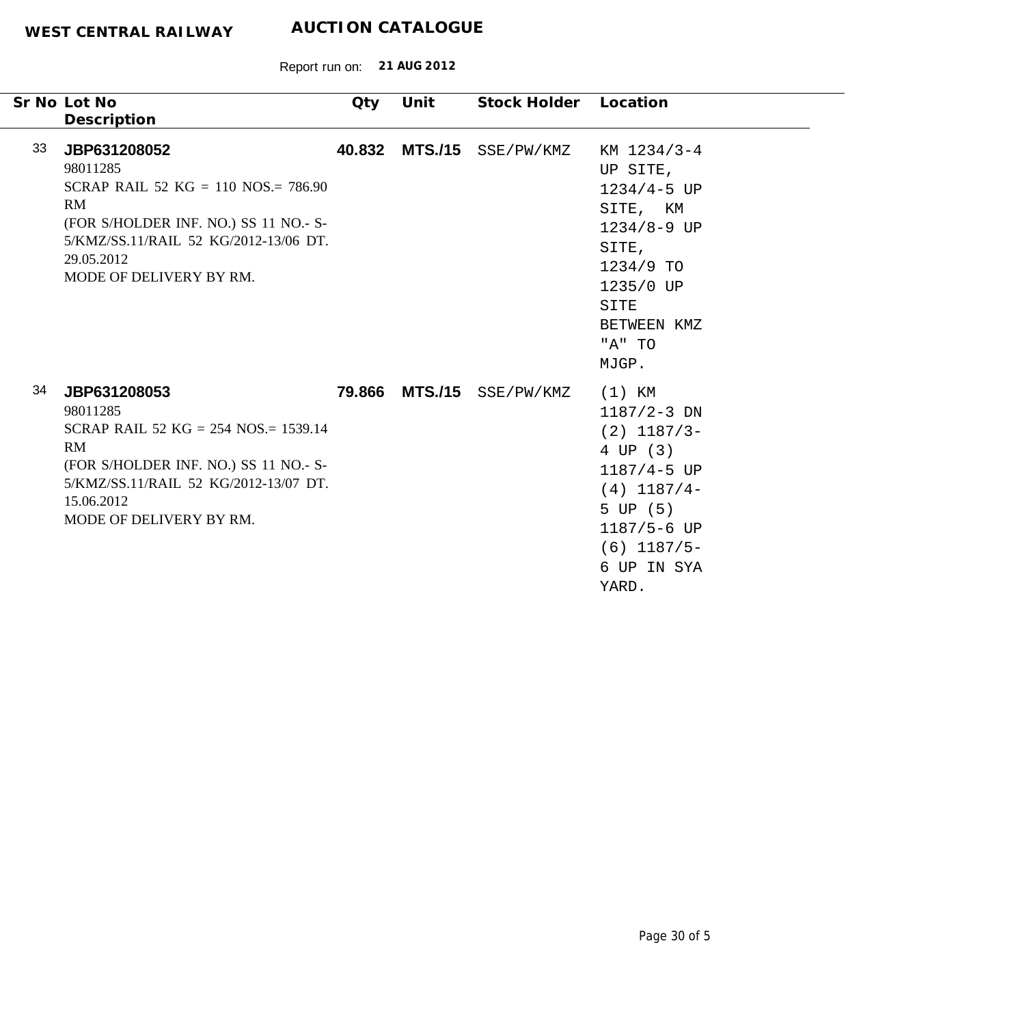|    | Sr No Lot No<br>Description                                                                                                                                                                         | Qty    | Unit | Stock Holder              | Location                                                                                                                                                         |
|----|-----------------------------------------------------------------------------------------------------------------------------------------------------------------------------------------------------|--------|------|---------------------------|------------------------------------------------------------------------------------------------------------------------------------------------------------------|
| 33 | JBP631208052<br>98011285<br>SCRAP RAIL 52 KG = 110 NOS. = 786.90<br>RM<br>(FOR S/HOLDER INF. NO.) SS 11 NO.- S-<br>5/KMZ/SS.11/RAIL 52 KG/2012-13/06 DT.<br>29.05.2012<br>MODE OF DELIVERY BY RM.   | 40.832 |      | MTS./15 SSE/PW/KMZ        | KM 1234/3-4<br>UP SITE,<br>$1234/4 - 5$ UP<br>SITE, KM<br>$1234/8 - 9$ UP<br>SITE,<br>1234/9 TO<br>1235/0 UP<br>SITE<br>BETWEEN KMZ<br>"A" TO<br>MJGP.           |
| 34 | JBP631208053<br>98011285<br>SCRAP RAIL 52 KG = $254$ NOS = 1539.14<br>RM<br>(FOR S/HOLDER INF. NO.) SS 11 NO.- S-<br>5/KMZ/SS.11/RAIL 52 KG/2012-13/07 DT.<br>15.06.2012<br>MODE OF DELIVERY BY RM. |        |      | 79.866 MTS./15 SSE/PW/KMZ | $(1)$ KM<br>$1187/2 - 3$ DN<br>$(2)$ 1187/3-<br>4 UP (3)<br>1187/4-5 UP<br>$(4)$ 1187/4-<br>5 UP (5)<br>$1187/5 - 6$ UP<br>$(6)$ 1187/5-<br>6 UP IN SYA<br>YARD. |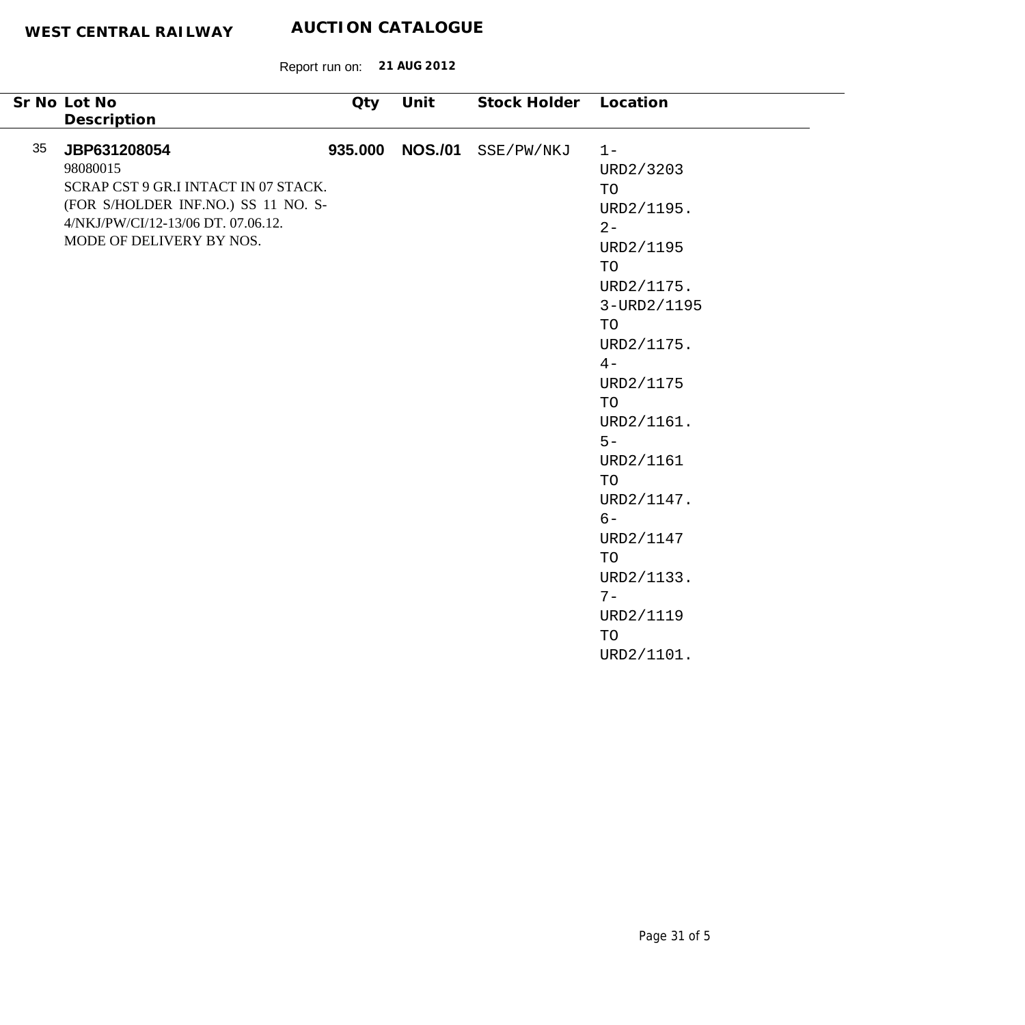| Sr No Lot No                                                                                                                                                                                   | Qty     | Unit           | Stock Holder | Location                                                                                                                                                                                                                                                                   |
|------------------------------------------------------------------------------------------------------------------------------------------------------------------------------------------------|---------|----------------|--------------|----------------------------------------------------------------------------------------------------------------------------------------------------------------------------------------------------------------------------------------------------------------------------|
|                                                                                                                                                                                                |         |                |              |                                                                                                                                                                                                                                                                            |
| Description<br>35<br>JBP631208054<br>98080015<br>SCRAP CST 9 GR.I INTACT IN 07 STACK.<br>(FOR S/HOLDER INF.NO.) SS 11 NO. S-<br>4/NKJ/PW/CI/12-13/06 DT. 07.06.12.<br>MODE OF DELIVERY BY NOS. | 935.000 | <b>NOS./01</b> | SSE/PW/NKJ   | $1 -$<br>URD2/3203<br>TO<br>URD2/1195.<br>$2 -$<br>URD2/1195<br>TO<br>URD2/1175.<br>3-URD2/1195<br>TO<br>URD2/1175.<br>$4-$<br>URD2/1175<br>TO<br>URD2/1161.<br>$5 -$<br>URD2/1161<br>TO<br>URD2/1147.<br>$6-$<br>URD2/1147<br>TO<br>URD2/1133.<br>$7-$<br>URD2/1119<br>TO |
|                                                                                                                                                                                                |         |                |              | URD2/1101.                                                                                                                                                                                                                                                                 |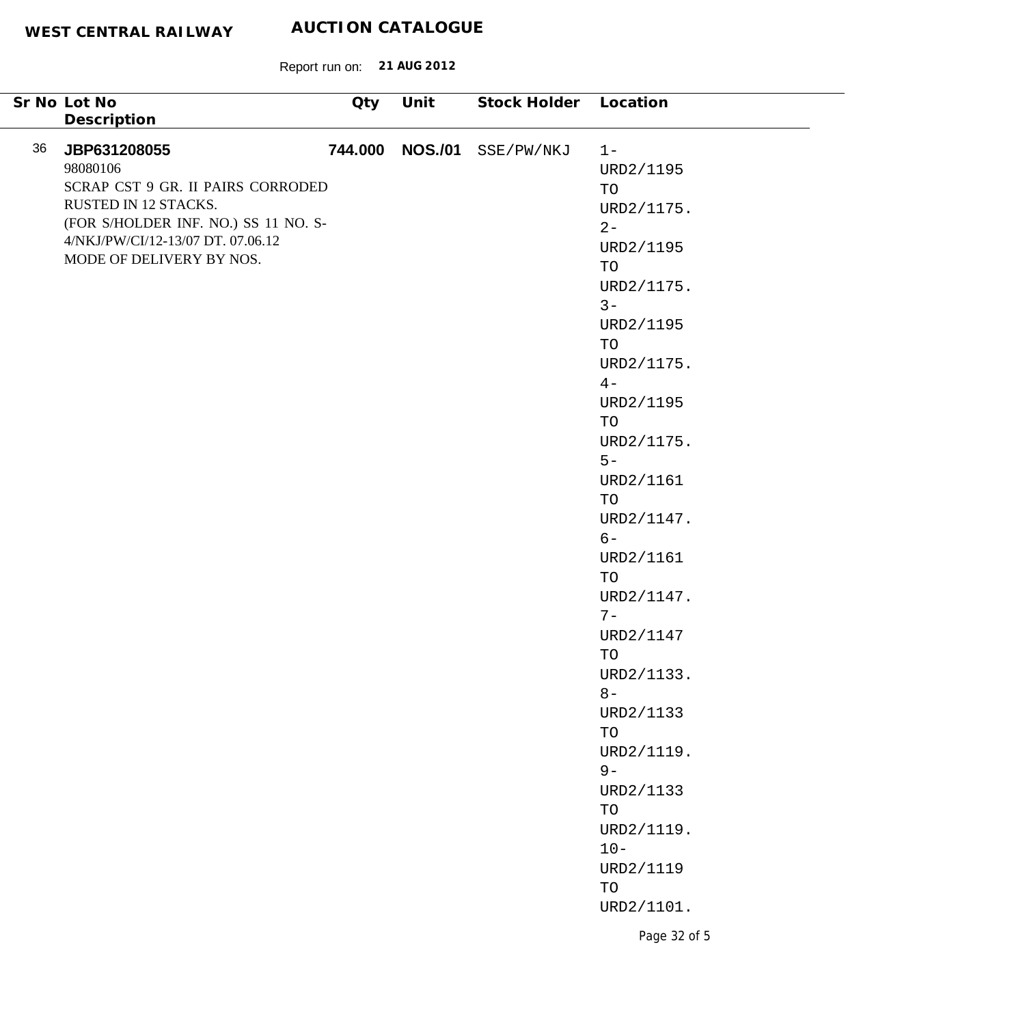|    | Sr No Lot No                                                              | Qty | Unit            | Stock Holder Location |                                  |
|----|---------------------------------------------------------------------------|-----|-----------------|-----------------------|----------------------------------|
|    | Description                                                               |     |                 |                       |                                  |
| 36 | JBP631208055                                                              |     | 744.000 NOS./01 | SSE/PW/NKJ            | $1 -$                            |
|    | 98080106                                                                  |     |                 |                       | URD2/1195                        |
|    | SCRAP CST 9 GR. II PAIRS CORRODED                                         |     |                 |                       | TO                               |
|    | RUSTED IN 12 STACKS.                                                      |     |                 |                       | URD2/1175.                       |
|    | (FOR S/HOLDER INF. NO.) SS 11 NO. S-<br>4/NKJ/PW/CI/12-13/07 DT. 07.06.12 |     |                 |                       | $2 -$                            |
|    | MODE OF DELIVERY BY NOS.                                                  |     |                 |                       | URD2/1195                        |
|    |                                                                           |     |                 |                       | TO                               |
|    |                                                                           |     |                 |                       | URD2/1175.                       |
|    |                                                                           |     |                 |                       | $3 -$                            |
|    |                                                                           |     |                 |                       | URD2/1195                        |
|    |                                                                           |     |                 |                       | TO                               |
|    |                                                                           |     |                 |                       | URD2/1175.<br>$4-$               |
|    |                                                                           |     |                 |                       | URD2/1195                        |
|    |                                                                           |     |                 |                       | TO                               |
|    |                                                                           |     |                 |                       | URD2/1175.                       |
|    |                                                                           |     |                 |                       | $5-$                             |
|    |                                                                           |     |                 |                       | URD2/1161                        |
|    |                                                                           |     |                 |                       | TO                               |
|    |                                                                           |     |                 |                       | URD2/1147.                       |
|    |                                                                           |     |                 |                       | $6-$                             |
|    |                                                                           |     |                 |                       | URD2/1161                        |
|    |                                                                           |     |                 |                       | TO                               |
|    |                                                                           |     |                 |                       | URD2/1147.                       |
|    |                                                                           |     |                 |                       | $7-$                             |
|    |                                                                           |     |                 |                       | URD2/1147                        |
|    |                                                                           |     |                 |                       | TO                               |
|    |                                                                           |     |                 |                       | URD2/1133.                       |
|    |                                                                           |     |                 |                       | $8-$                             |
|    |                                                                           |     |                 |                       | URD2/1133                        |
|    |                                                                           |     |                 |                       | $\operatorname{TO}$              |
|    |                                                                           |     |                 |                       | URD2/1119.                       |
|    |                                                                           |     |                 |                       | $9-$                             |
|    |                                                                           |     |                 |                       | URD2/1133<br>$\operatorname{TO}$ |
|    |                                                                           |     |                 |                       | URD2/1119.                       |
|    |                                                                           |     |                 |                       | $10 -$                           |
|    |                                                                           |     |                 |                       | URD2/1119                        |
|    |                                                                           |     |                 |                       | $\operatorname{TO}$              |
|    |                                                                           |     |                 |                       | URD2/1101.                       |
|    |                                                                           |     |                 |                       |                                  |
|    |                                                                           |     |                 |                       | Page 32 of 5                     |
|    |                                                                           |     |                 |                       |                                  |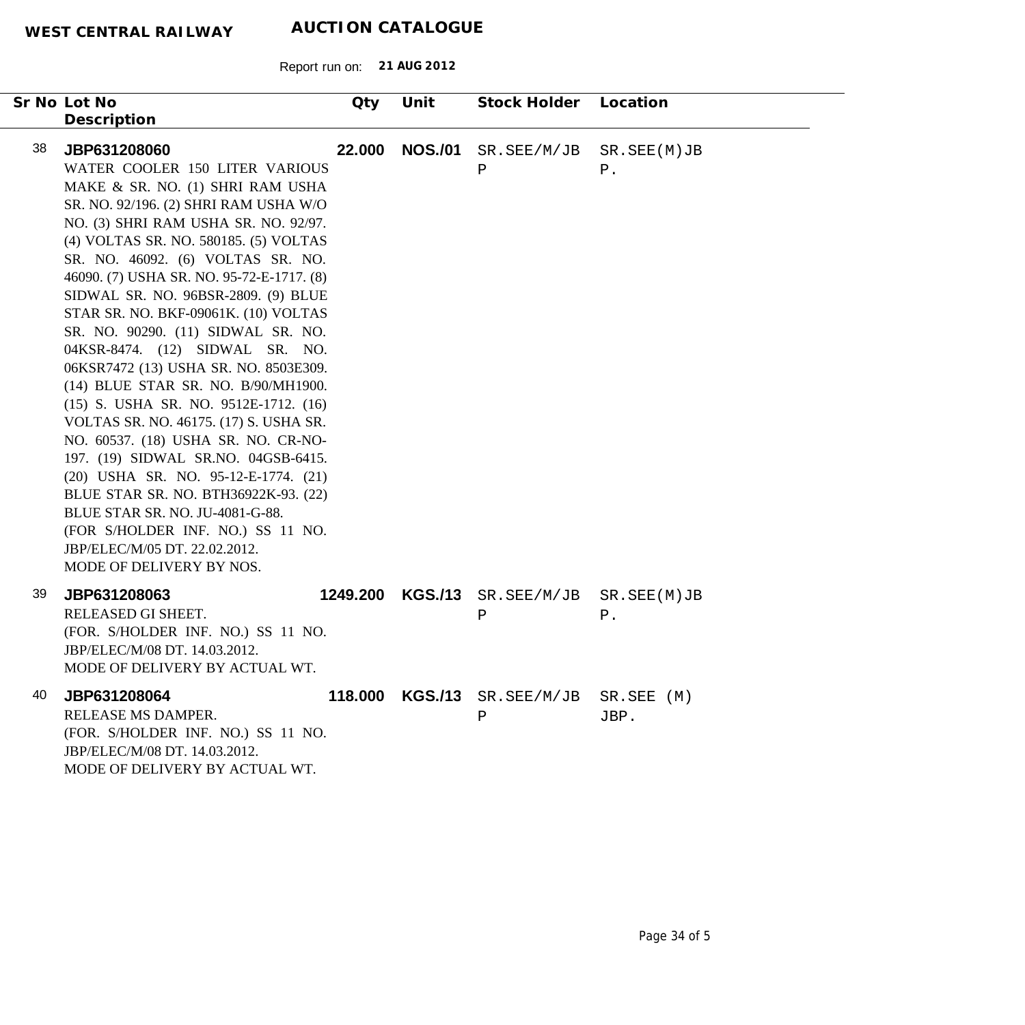| Sr No Lot No |                                                                                                                                                                                                                                                                                                                                                                                                                                                                                                                                                                                                                                                                                                                                                                                                                            | Qty      | Unit           | Stock Holder                | Location             |
|--------------|----------------------------------------------------------------------------------------------------------------------------------------------------------------------------------------------------------------------------------------------------------------------------------------------------------------------------------------------------------------------------------------------------------------------------------------------------------------------------------------------------------------------------------------------------------------------------------------------------------------------------------------------------------------------------------------------------------------------------------------------------------------------------------------------------------------------------|----------|----------------|-----------------------------|----------------------|
|              | Description                                                                                                                                                                                                                                                                                                                                                                                                                                                                                                                                                                                                                                                                                                                                                                                                                |          |                |                             |                      |
| 38           | JBP631208060<br>WATER COOLER 150 LITER VARIOUS<br>MAKE & SR. NO. (1) SHRI RAM USHA<br>SR. NO. 92/196. (2) SHRI RAM USHA W/O<br>NO. (3) SHRI RAM USHA SR. NO. 92/97.<br>(4) VOLTAS SR. NO. 580185. (5) VOLTAS<br>SR. NO. 46092. (6) VOLTAS SR. NO.<br>46090. (7) USHA SR. NO. 95-72-E-1717. (8)<br>SIDWAL SR. NO. 96BSR-2809. (9) BLUE<br>STAR SR. NO. BKF-09061K. (10) VOLTAS<br>SR. NO. 90290. (11) SIDWAL SR. NO.<br>04KSR-8474. (12) SIDWAL SR. NO.<br>06KSR7472 (13) USHA SR. NO. 8503E309.<br>(14) BLUE STAR SR. NO. B/90/MH1900.<br>(15) S. USHA SR. NO. 9512E-1712. (16)<br>VOLTAS SR. NO. 46175. (17) S. USHA SR.<br>NO. 60537. (18) USHA SR. NO. CR-NO-<br>197. (19) SIDWAL SR.NO. 04GSB-6415.<br>(20) USHA SR. NO. 95-12-E-1774. (21)<br>BLUE STAR SR. NO. BTH36922K-93. (22)<br>BLUE STAR SR. NO. JU-4081-G-88. | 22.000   | <b>NOS./01</b> | SR.SEE/M/JB<br>Ρ            | SR.SEE(M)JB<br>$P$ . |
|              | (FOR S/HOLDER INF. NO.) SS 11 NO.<br>JBP/ELEC/M/05 DT. 22.02.2012.<br>MODE OF DELIVERY BY NOS.                                                                                                                                                                                                                                                                                                                                                                                                                                                                                                                                                                                                                                                                                                                             |          |                |                             |                      |
| 39           | JBP631208063<br>RELEASED GI SHEET.<br>(FOR. S/HOLDER INF. NO.) SS 11 NO.<br>JBP/ELEC/M/08 DT. 14.03.2012.<br>MODE OF DELIVERY BY ACTUAL WT.                                                                                                                                                                                                                                                                                                                                                                                                                                                                                                                                                                                                                                                                                | 1249.200 | <b>KGS./13</b> | SR.SEE/M/JB<br>Ρ            | SR.SEE(M)JB<br>$P$ . |
| 40           | JBP631208064<br>RELEASE MS DAMPER.<br>(FOR. S/HOLDER INF. NO.) SS 11 NO.<br>JBP/ELEC/M/08 DT. 14.03.2012.<br>MODE OF DELIVERY BY ACTUAL WT.                                                                                                                                                                                                                                                                                                                                                                                                                                                                                                                                                                                                                                                                                | 118.000  | <b>KGS./13</b> | SR.SEE/M/JB SR.SEE (M)<br>Ρ | JBP.                 |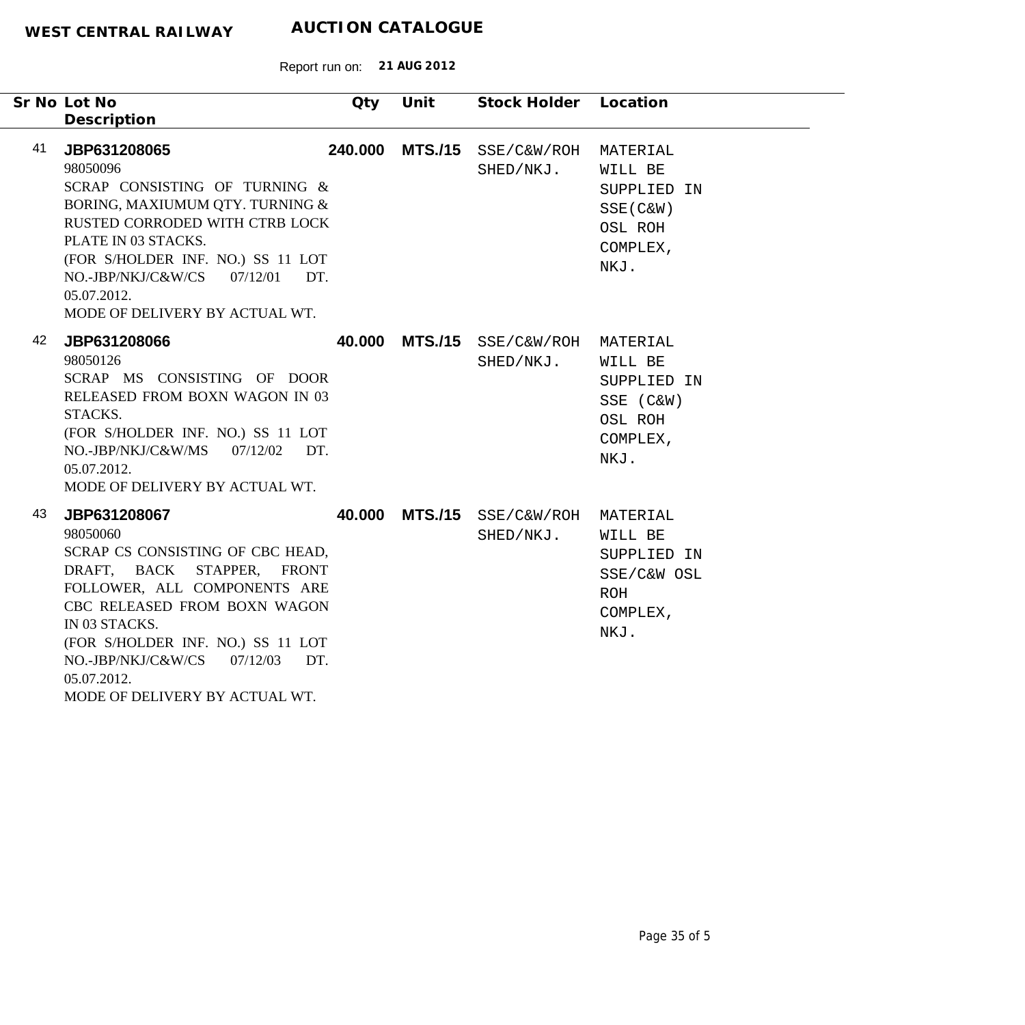|    | Sr No Lot No<br>Description                                                                                                                                                                                                                                                                             | Qty    | Unit            | Stock Holder Location    |                                                                                  |
|----|---------------------------------------------------------------------------------------------------------------------------------------------------------------------------------------------------------------------------------------------------------------------------------------------------------|--------|-----------------|--------------------------|----------------------------------------------------------------------------------|
| 41 | JBP631208065<br>98050096<br>SCRAP CONSISTING OF TURNING &<br>BORING, MAXIUMUM QTY. TURNING &<br>RUSTED CORRODED WITH CTRB LOCK<br>PLATE IN 03 STACKS.<br>(FOR S/HOLDER INF. NO.) SS 11 LOT<br>$NO.-JBP/NKJ/C&W/CS$ $07/12/01$<br>DT.<br>05.07.2012.<br>MODE OF DELIVERY BY ACTUAL WT.                   |        | 240.000 MTS./15 | SSE/C&W/ROH<br>SHED/NKJ. | MATERIAL<br>WILL BE<br>SUPPLIED IN<br>$SSE(C\&W)$<br>OSL ROH<br>COMPLEX,<br>NKJ. |
| 42 | JBP631208066<br>98050126<br>SCRAP MS CONSISTING OF DOOR<br>RELEASED FROM BOXN WAGON IN 03<br>STACKS.<br>(FOR S/HOLDER INF. NO.) SS 11 LOT<br>NO.-JBP/NKJ/C&W/MS<br>07/12/02<br>DT.<br>05.07.2012.<br>MODE OF DELIVERY BY ACTUAL WT.                                                                     |        | 40.000 MTS./15  | SSE/C&W/ROH<br>SHED/NKJ. | MATERIAL<br>WILL BE<br>SUPPLIED IN<br>SSE (C&W)<br>OSL ROH<br>COMPLEX,<br>NKJ.   |
| 43 | JBP631208067<br>98050060<br>SCRAP CS CONSISTING OF CBC HEAD,<br>DRAFT, BACK STAPPER, FRONT<br>FOLLOWER, ALL COMPONENTS ARE<br>CBC RELEASED FROM BOXN WAGON<br>IN 03 STACKS.<br>(FOR S/HOLDER INF. NO.) SS 11 LOT<br>NO.-JBP/NKJ/C&W/CS 07/12/03<br>DT.<br>05.07.2012.<br>MODE OF DELIVERY BY ACTUAL WT. | 40.000 | <b>MTS./15</b>  | SSE/C&W/ROH<br>SHED/NKJ. | MATERIAL<br>WILL BE<br>SUPPLIED IN<br>SSE/C&W OSL<br>ROH<br>COMPLEX,<br>NKJ.     |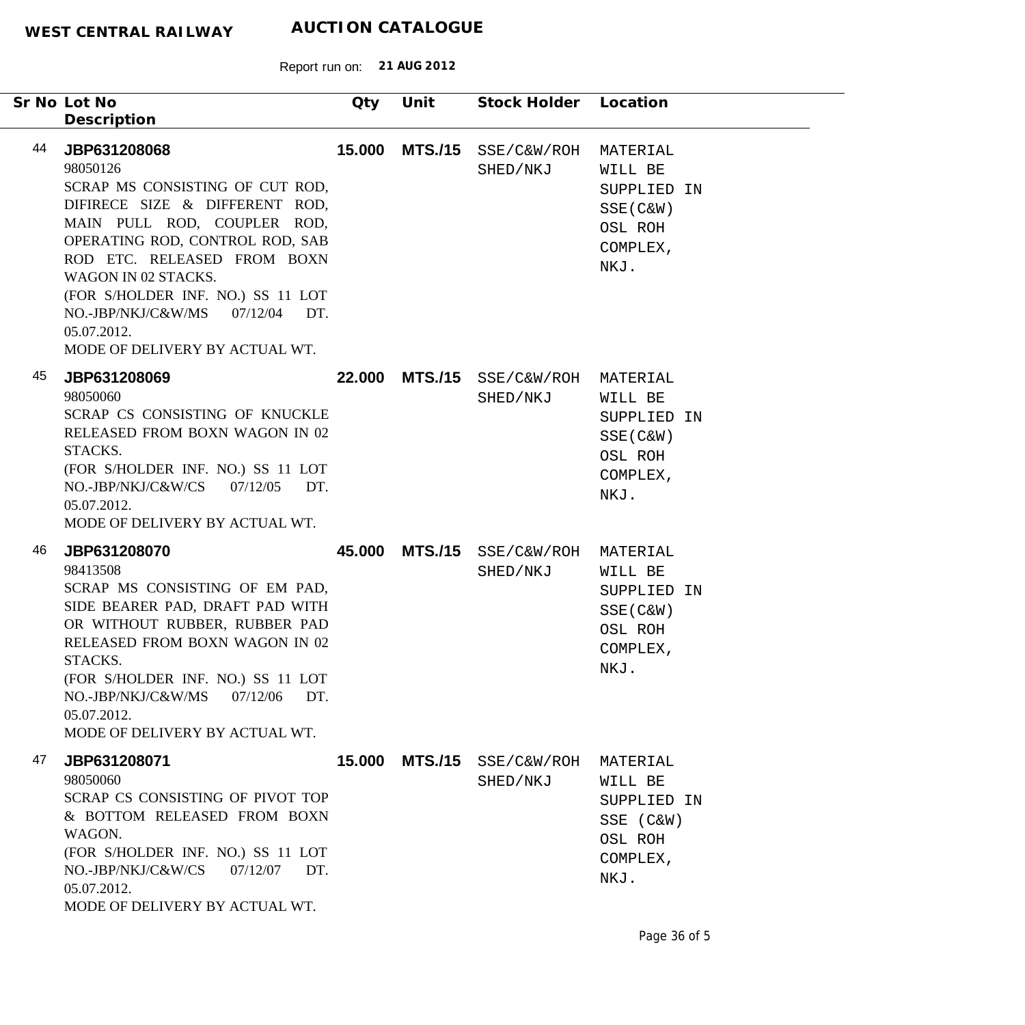|    | Sr No Lot No<br>Description                                                                                                                                                                                                                                                                                                                    | Qty    | Unit           | Stock Holder Location   |                                                                                  |
|----|------------------------------------------------------------------------------------------------------------------------------------------------------------------------------------------------------------------------------------------------------------------------------------------------------------------------------------------------|--------|----------------|-------------------------|----------------------------------------------------------------------------------|
| 44 | JBP631208068<br>98050126<br>SCRAP MS CONSISTING OF CUT ROD,<br>DIFIRECE SIZE & DIFFERENT ROD,<br>MAIN PULL ROD, COUPLER ROD,<br>OPERATING ROD, CONTROL ROD, SAB<br>ROD ETC. RELEASED FROM BOXN<br>WAGON IN 02 STACKS.<br>(FOR S/HOLDER INF. NO.) SS 11 LOT<br>NO.-JBP/NKJ/C&W/MS 07/12/04 DT.<br>05.07.2012.<br>MODE OF DELIVERY BY ACTUAL WT. | 15.000 | <b>MTS./15</b> | SSE/C&W/ROH<br>SHED/NKJ | MATERIAL<br>WILL BE<br>SUPPLIED IN<br>$SSE(C\&W)$<br>OSL ROH<br>COMPLEX,<br>NKJ. |
| 45 | JBP631208069<br>98050060<br>SCRAP CS CONSISTING OF KNUCKLE<br>RELEASED FROM BOXN WAGON IN 02<br>STACKS.<br>(FOR S/HOLDER INF. NO.) SS 11 LOT<br>$NO.-JBP/NKJ/C&W/CS$ 07/12/05<br>DT.<br>05.07.2012.<br>MODE OF DELIVERY BY ACTUAL WT.                                                                                                          | 22.000 | <b>MTS./15</b> | SSE/C&W/ROH<br>SHED/NKJ | MATERIAL<br>WILL BE<br>SUPPLIED IN<br>SSE (C&W)<br>OSL ROH<br>COMPLEX,<br>NKJ.   |
| 46 | JBP631208070<br>98413508<br>SCRAP MS CONSISTING OF EM PAD,<br>SIDE BEARER PAD, DRAFT PAD WITH<br>OR WITHOUT RUBBER, RUBBER PAD<br>RELEASED FROM BOXN WAGON IN 02<br>STACKS.<br>(FOR S/HOLDER INF. NO.) SS 11 LOT<br>NO.-JBP/NKJ/C&W/MS<br>07/12/06<br>DT.<br>05.07.2012.<br>MODE OF DELIVERY BY ACTUAL WT.                                     | 45.000 | <b>MTS./15</b> | SSE/C&W/ROH<br>SHED/NKJ | MATERIAL<br>WILL BE<br>SUPPLIED IN<br>$SSE(C\&W)$<br>OSL ROH<br>COMPLEX,<br>NKJ. |
| 47 | JBP631208071<br>98050060<br>SCRAP CS CONSISTING OF PIVOT TOP<br>& BOTTOM RELEASED FROM BOXN<br>WAGON.<br>(FOR S/HOLDER INF. NO.) SS 11 LOT<br>NO.-JBP/NKJ/C&W/CS<br>07/12/07<br>DT.<br>05.07.2012.<br>MODE OF DELIVERY BY ACTUAL WT.                                                                                                           | 15.000 | <b>MTS./15</b> | SSE/C&W/ROH<br>SHED/NKJ | MATERIAL<br>WILL BE<br>SUPPLIED IN<br>SSE (C&W)<br>OSL ROH<br>COMPLEX,<br>NKJ.   |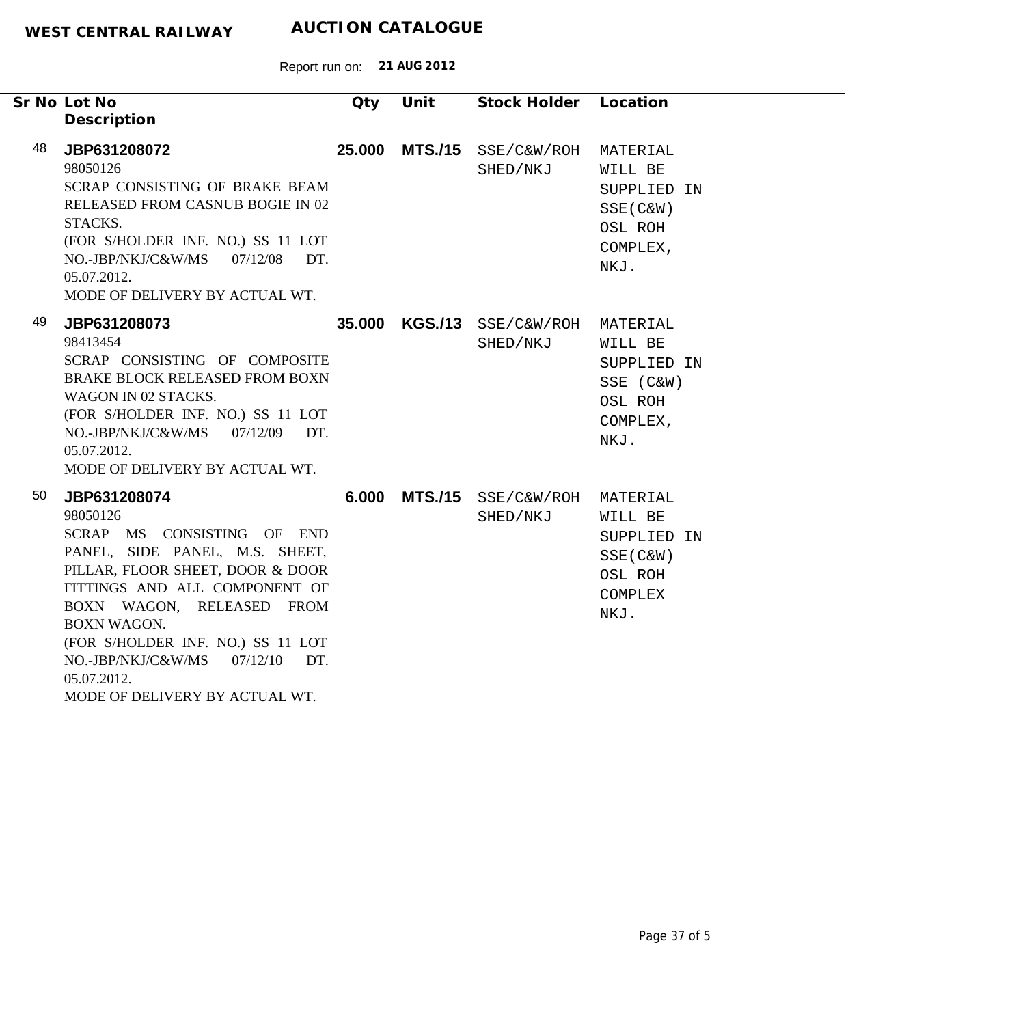|    | Sr No Lot No<br>Description                                                                                                                                                                                                                                                                                                                     | Qty    | Unit           | Stock Holder            | Location                                                                             |  |
|----|-------------------------------------------------------------------------------------------------------------------------------------------------------------------------------------------------------------------------------------------------------------------------------------------------------------------------------------------------|--------|----------------|-------------------------|--------------------------------------------------------------------------------------|--|
| 48 | JBP631208072<br>98050126<br>SCRAP CONSISTING OF BRAKE BEAM<br>RELEASED FROM CASNUB BOGIE IN 02<br>STACKS.<br>(FOR S/HOLDER INF. NO.) SS 11 LOT<br>NO.-JBP/NKJ/C&W/MS<br>07/12/08<br>DT.<br>05.07.2012.<br>MODE OF DELIVERY BY ACTUAL WT.                                                                                                        | 25.000 | <b>MTS./15</b> | SSE/C&W/ROH<br>SHED/NKJ | MATERIAL<br>WILL BE<br>SUPPLIED IN<br>$SSE(C\&W)$<br>OSL ROH<br>COMPLEX,<br>NKJ.     |  |
| 49 | JBP631208073<br>98413454<br>SCRAP CONSISTING OF COMPOSITE<br>BRAKE BLOCK RELEASED FROM BOXN<br>WAGON IN 02 STACKS.<br>(FOR S/HOLDER INF. NO.) SS 11 LOT<br>NO.-JBP/NKJ/C&W/MS<br>07/12/09<br>DT.<br>05.07.2012.<br>MODE OF DELIVERY BY ACTUAL WT.                                                                                               |        | 35.000 KGS./13 | SSE/C&W/ROH<br>SHED/NKJ | MATERIAL<br>WILL BE<br>SUPPLIED IN<br>SSE (C&W)<br>OSL ROH<br>COMPLEX,<br>NKJ.       |  |
| 50 | JBP631208074<br>98050126<br>SCRAP MS CONSISTING OF END<br>PANEL, SIDE PANEL, M.S. SHEET,<br>PILLAR, FLOOR SHEET, DOOR & DOOR<br>FITTINGS AND ALL COMPONENT OF<br>BOXN WAGON, RELEASED FROM<br><b>BOXN WAGON.</b><br>(FOR S/HOLDER INF. NO.) SS 11 LOT<br>NO.-JBP/NKJ/C&W/MS<br>07/12/10<br>DT.<br>05.07.2012.<br>MODE OF DELIVERY BY ACTUAL WT. | 6.000  | <b>MTS./15</b> | SSE/C&W/ROH<br>SHED/NKJ | MATERIAL<br>WILL BE<br>SUPPLIED IN<br>SSE (C&W)<br>OSL ROH<br><b>COMPLEX</b><br>NKJ. |  |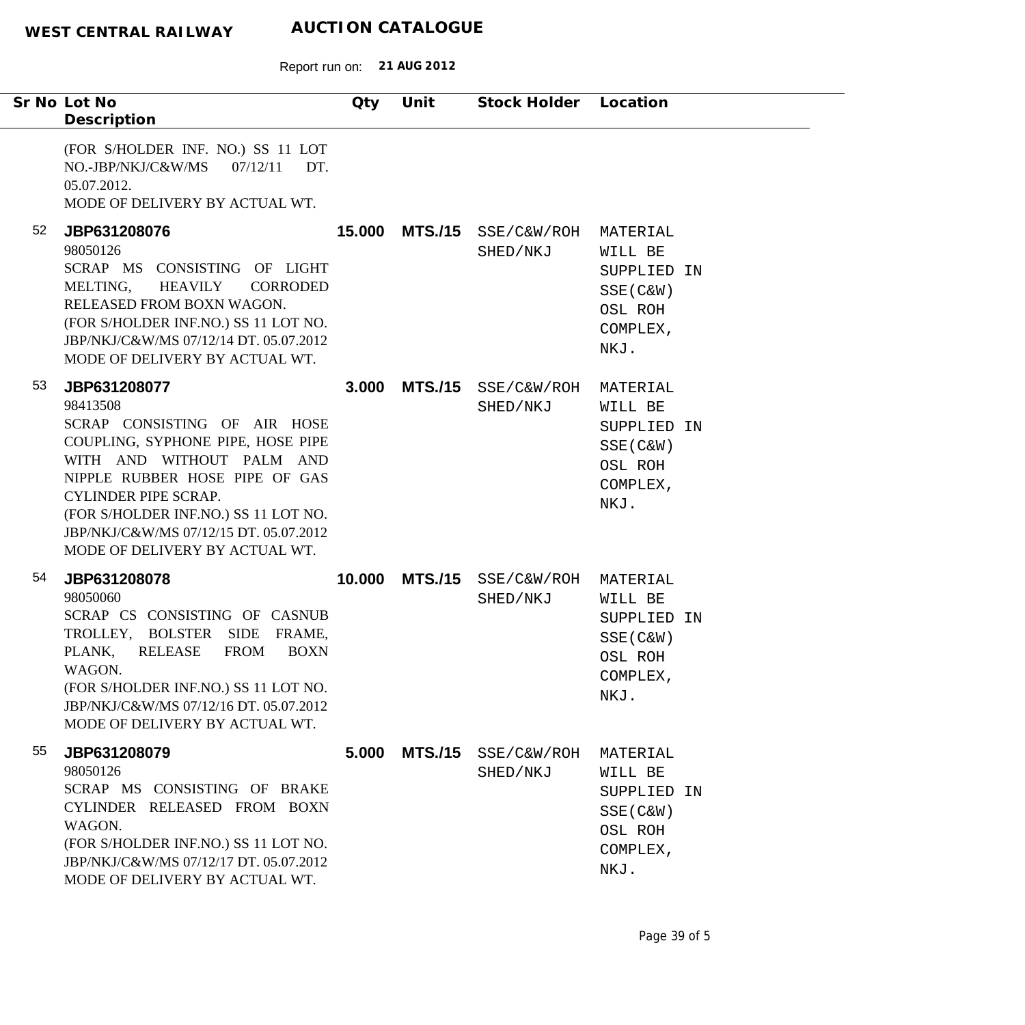Report run on: **21 AUG 2012**

| Sr No Lot No<br>Description                                                                                                                                                                                                                                                                                           | Qty    | Unit           | Stock Holder Location           |                                                                                  |
|-----------------------------------------------------------------------------------------------------------------------------------------------------------------------------------------------------------------------------------------------------------------------------------------------------------------------|--------|----------------|---------------------------------|----------------------------------------------------------------------------------|
| (FOR S/HOLDER INF. NO.) SS 11 LOT<br>NO.-JBP/NKJ/C&W/MS<br>07/12/11<br>DT.<br>05.07.2012.<br>MODE OF DELIVERY BY ACTUAL WT.                                                                                                                                                                                           |        |                |                                 |                                                                                  |
| 52<br>JBP631208076<br>98050126<br>SCRAP MS CONSISTING OF LIGHT<br><b>HEAVILY</b><br>MELTING,<br>CORRODED<br>RELEASED FROM BOXN WAGON.<br>(FOR S/HOLDER INF.NO.) SS 11 LOT NO.<br>JBP/NKJ/C&W/MS 07/12/14 DT. 05.07.2012<br>MODE OF DELIVERY BY ACTUAL WT.                                                             | 15.000 |                | MTS./15 SSE/C&W/ROH<br>SHED/NKJ | MATERIAL<br>WILL BE<br>SUPPLIED IN<br>$SSE(C\&W)$<br>OSL ROH<br>COMPLEX,<br>NKJ. |
| 53<br>JBP631208077<br>98413508<br>SCRAP CONSISTING OF AIR HOSE<br>COUPLING, SYPHONE PIPE, HOSE PIPE<br>WITH AND WITHOUT PALM AND<br>NIPPLE RUBBER HOSE PIPE OF GAS<br><b>CYLINDER PIPE SCRAP.</b><br>(FOR S/HOLDER INF.NO.) SS 11 LOT NO.<br>JBP/NKJ/C&W/MS 07/12/15 DT. 05.07.2012<br>MODE OF DELIVERY BY ACTUAL WT. | 3.000  | <b>MTS./15</b> | SSE/C&W/ROH<br>SHED/NKJ         | MATERIAL<br>WILL BE<br>SUPPLIED IN<br>SSE (C&W)<br>OSL ROH<br>COMPLEX,<br>NKJ.   |
| 54<br>JBP631208078<br>98050060<br>SCRAP CS CONSISTING OF CASNUB<br>TROLLEY, BOLSTER SIDE FRAME,<br><b>FROM</b><br>PLANK,<br><b>RELEASE</b><br><b>BOXN</b><br>WAGON.<br>(FOR S/HOLDER INF.NO.) SS 11 LOT NO.<br>JBP/NKJ/C&W/MS 07/12/16 DT. 05.07.2012<br>MODE OF DELIVERY BY ACTUAL WT.                               | 10.000 |                | MTS./15 SSE/C&W/ROH<br>SHED/NKJ | MATERIAL<br>WILL BE<br>SUPPLIED IN<br>SSE (C&W)<br>OSL ROH<br>COMPLEX,<br>NKJ.   |
| 55<br>JBP631208079<br>98050126<br>SCRAP MS CONSISTING OF BRAKE<br>CYLINDER RELEASED FROM BOXN<br>WAGON.<br>(FOR S/HOLDER INF.NO.) SS 11 LOT NO.<br>JBP/NKJ/C&W/MS 07/12/17 DT. 05.07.2012<br>MODE OF DELIVERY BY ACTUAL WT.                                                                                           | 5.000  | <b>MTS./15</b> | SSE/C&W/ROH<br>SHED/NKJ         | MATERIAL<br>WILL BE<br>SUPPLIED IN<br>SSE (C&W)<br>OSL ROH<br>COMPLEX,<br>NKJ.   |

 $\overline{\phantom{0}}$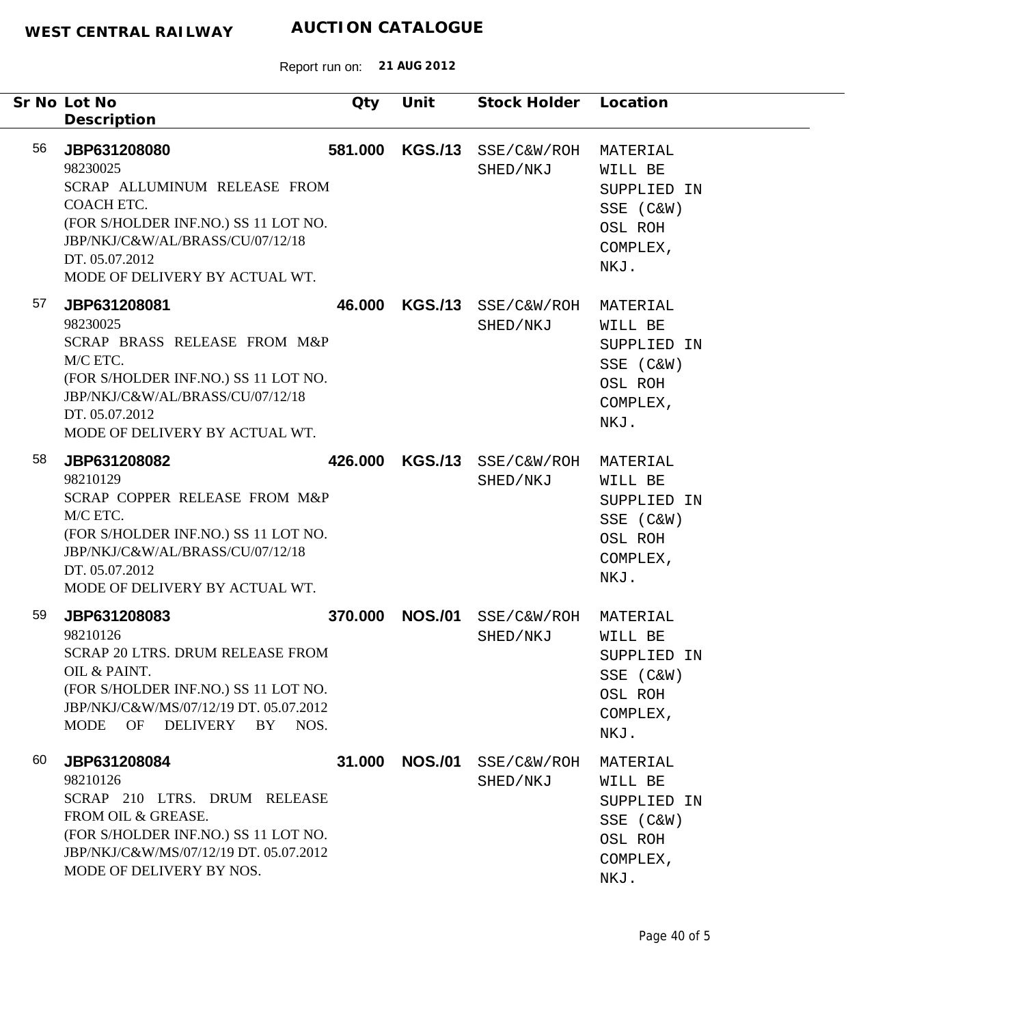| Sr No Lot No<br>Description                                                                                                                                                                                  | Qty     | Unit           | Stock Holder                    | Location                                                                       |
|--------------------------------------------------------------------------------------------------------------------------------------------------------------------------------------------------------------|---------|----------------|---------------------------------|--------------------------------------------------------------------------------|
| 56<br>JBP631208080<br>98230025<br>SCRAP ALLUMINUM RELEASE FROM<br>COACH ETC.<br>(FOR S/HOLDER INF.NO.) SS 11 LOT NO.<br>JBP/NKJ/C&W/AL/BRASS/CU/07/12/18<br>DT. 05.07.2012<br>MODE OF DELIVERY BY ACTUAL WT. | 581.000 | <b>KGS./13</b> | SSE/C&W/ROH<br>SHED/NKJ         | MATERIAL<br>WILL BE<br>SUPPLIED IN<br>SSE (C&W)<br>OSL ROH<br>COMPLEX,<br>NKJ. |
| 57<br>JBP631208081<br>98230025<br>SCRAP BRASS RELEASE FROM M&P<br>M/C ETC.<br>(FOR S/HOLDER INF.NO.) SS 11 LOT NO.<br>JBP/NKJ/C&W/AL/BRASS/CU/07/12/18<br>DT. 05.07.2012<br>MODE OF DELIVERY BY ACTUAL WT.   | 46.000  |                | KGS./13 SSE/C&W/ROH<br>SHED/NKJ | MATERIAL<br>WILL BE<br>SUPPLIED IN<br>SSE (C&W)<br>OSL ROH<br>COMPLEX,<br>NKJ. |
| 58<br>JBP631208082<br>98210129<br>SCRAP COPPER RELEASE FROM M&P<br>M/C ETC.<br>(FOR S/HOLDER INF.NO.) SS 11 LOT NO.<br>JBP/NKJ/C&W/AL/BRASS/CU/07/12/18<br>DT. 05.07.2012<br>MODE OF DELIVERY BY ACTUAL WT.  | 426.000 |                | KGS./13 SSE/C&W/ROH<br>SHED/NKJ | MATERIAL<br>WILL BE<br>SUPPLIED IN<br>SSE (C&W)<br>OSL ROH<br>COMPLEX,<br>NKJ. |
| 59<br>JBP631208083<br>98210126<br><b>SCRAP 20 LTRS. DRUM RELEASE FROM</b><br>OIL & PAINT.<br>(FOR S/HOLDER INF.NO.) SS 11 LOT NO.<br>JBP/NKJ/C&W/MS/07/12/19 DT. 05.07.2012<br>OF DELIVERY BY NOS.<br>MODE   | 370,000 | <b>NOS./01</b> | SSE/C&W/ROH<br>SHED/NKJ         | MATERIAL<br>WILL BE<br>SUPPLIED IN<br>SSE (C&W)<br>OSL ROH<br>COMPLEX,<br>NKJ. |
| 60<br>JBP631208084<br>98210126<br>SCRAP 210 LTRS. DRUM RELEASE<br>FROM OIL & GREASE.<br>(FOR S/HOLDER INF.NO.) SS 11 LOT NO.<br>JBP/NKJ/C&W/MS/07/12/19 DT. 05.07.2012<br>MODE OF DELIVERY BY NOS.           | 31.000  | <b>NOS./01</b> | SSE/C&W/ROH<br>SHED/NKJ         | MATERIAL<br>WILL BE<br>SUPPLIED IN<br>SSE (C&W)<br>OSL ROH<br>COMPLEX,<br>NKJ. |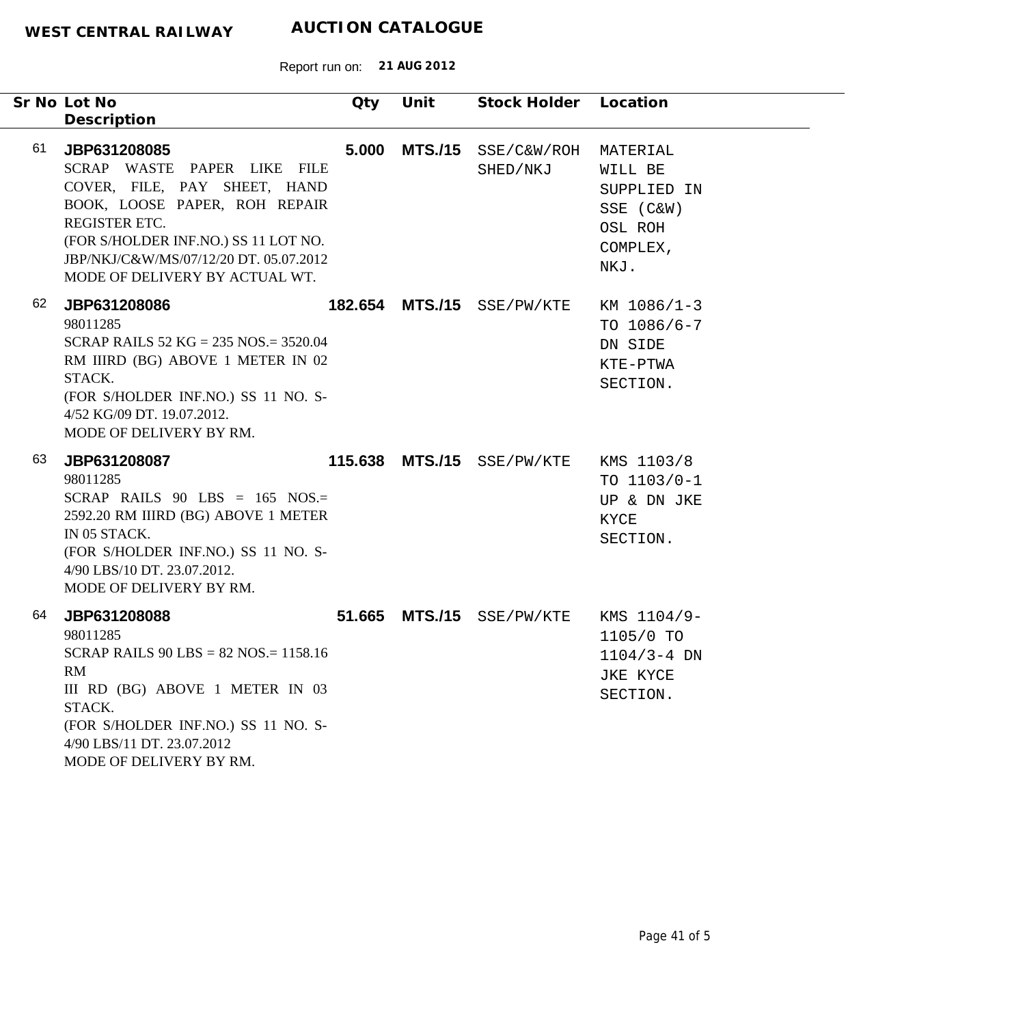| Sr No Lot No | Description                                                                                                                                                                                                                                       | Qty    | Unit            | Stock Holder Location   |                                                                                |
|--------------|---------------------------------------------------------------------------------------------------------------------------------------------------------------------------------------------------------------------------------------------------|--------|-----------------|-------------------------|--------------------------------------------------------------------------------|
| 61           | JBP631208085<br>SCRAP WASTE PAPER LIKE FILE<br>COVER, FILE, PAY SHEET, HAND<br>BOOK, LOOSE PAPER, ROH REPAIR<br>REGISTER ETC.<br>(FOR S/HOLDER INF.NO.) SS 11 LOT NO.<br>JBP/NKJ/C&W/MS/07/12/20 DT. 05.07.2012<br>MODE OF DELIVERY BY ACTUAL WT. | 5.000  | <b>MTS./15</b>  | SSE/C&W/ROH<br>SHED/NKJ | MATERIAL<br>WILL BE<br>SUPPLIED IN<br>SSE (C&W)<br>OSL ROH<br>COMPLEX,<br>NKJ. |
| 62           | JBP631208086<br>98011285<br>SCRAP RAILS $52$ KG = 235 NOS = 3520.04<br>RM IIIRD (BG) ABOVE 1 METER IN 02<br>STACK.<br>(FOR S/HOLDER INF.NO.) SS 11 NO. S-<br>4/52 KG/09 DT. 19.07.2012.<br>MODE OF DELIVERY BY RM.                                |        | 182.654 MTS./15 | SSE/PW/KTE              | KM 1086/1-3<br>TO $1086/6 - 7$<br>DN SIDE<br>KTE-PTWA<br>SECTION.              |
| 63           | JBP631208087<br>98011285<br>SCRAP RAILS $90$ LBS = 165 NOS.=<br>2592.20 RM IIIRD (BG) ABOVE 1 METER<br>IN 05 STACK.<br>(FOR S/HOLDER INF.NO.) SS 11 NO. S-<br>4/90 LBS/10 DT. 23.07.2012.<br>MODE OF DELIVERY BY RM.                              |        | 115.638 MTS./15 | SSE/PW/KTE              | KMS 1103/8<br>TO $1103/0-1$<br>UP & DN JKE<br>KYCE<br>SECTION.                 |
| 64           | JBP631208088<br>98011285<br>SCRAP RAILS $90$ LBS = 82 NOS = 1158.16<br>RM<br>III RD (BG) ABOVE 1 METER IN 03<br>STACK.<br>(FOR S/HOLDER INF.NO.) SS 11 NO. S-<br>4/90 LBS/11 DT. 23.07.2012<br>MODE OF DELIVERY BY RM.                            | 51.665 | <b>MTS./15</b>  | SSE/PW/KTE              | KMS 1104/9-<br>1105/0 TO<br>$1104/3 - 4$ DN<br>JKE KYCE<br>SECTION.            |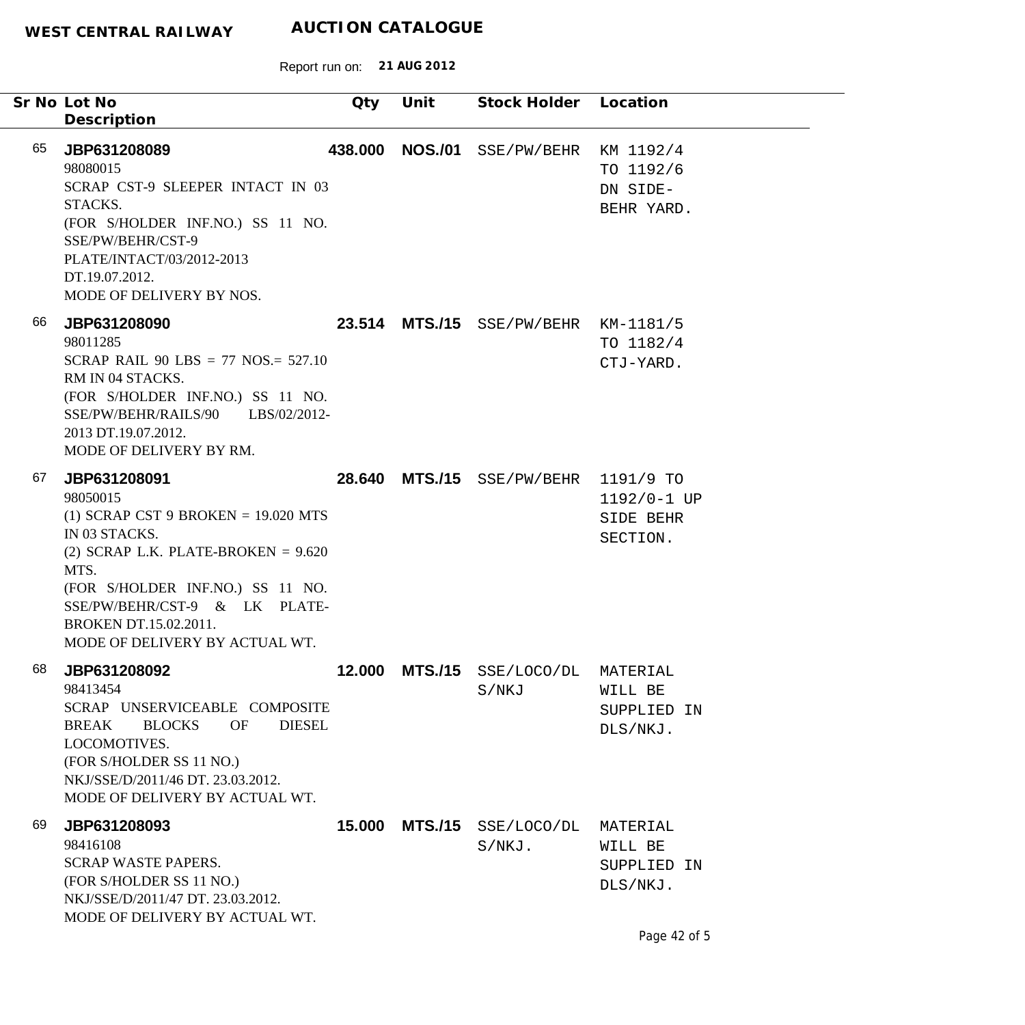|    | Sr No Lot No<br>Description                                                                                                                                                                                                                                                | Qty     | Unit           | Stock Holder Location                |                                                   |
|----|----------------------------------------------------------------------------------------------------------------------------------------------------------------------------------------------------------------------------------------------------------------------------|---------|----------------|--------------------------------------|---------------------------------------------------|
| 65 | JBP631208089<br>98080015<br>SCRAP CST-9 SLEEPER INTACT IN 03<br>STACKS.<br>(FOR S/HOLDER INF.NO.) SS 11 NO.<br>SSE/PW/BEHR/CST-9<br>PLATE/INTACT/03/2012-2013<br>DT.19.07.2012.<br>MODE OF DELIVERY BY NOS.                                                                | 438.000 | <b>NOS./01</b> | SSE/PW/BEHR                          | KM 1192/4<br>TO 1192/6<br>DN SIDE-<br>BEHR YARD.  |
| 66 | JBP631208090<br>98011285<br>SCRAP RAIL 90 LBS = 77 NOS.= $527.10$<br>RM IN 04 STACKS.<br>(FOR S/HOLDER INF.NO.) SS 11 NO.<br>SSE/PW/BEHR/RAILS/90 LBS/02/2012-<br>2013 DT.19.07.2012.<br>MODE OF DELIVERY BY RM.                                                           |         |                | 23.514 MTS./15 SSE/PW/BEHR KM-1181/5 | TO 1182/4<br>CTJ-YARD.                            |
| 67 | JBP631208091<br>98050015<br>(1) SCRAP CST 9 BROKEN = $19.020$ MTS<br>IN 03 STACKS.<br>(2) SCRAP L.K. PLATE-BROKEN = $9.620$<br>MTS.<br>(FOR S/HOLDER INF.NO.) SS 11 NO.<br>SSE/PW/BEHR/CST-9 & LK PLATE-<br><b>BROKEN DT.15.02.2011.</b><br>MODE OF DELIVERY BY ACTUAL WT. |         |                | 28.640 MTS./15 SSE/PW/BEHR           | 1191/9 TO<br>1192/0-1 UP<br>SIDE BEHR<br>SECTION. |
| 68 | JBP631208092<br>98413454<br>SCRAP UNSERVICEABLE COMPOSITE<br><b>BLOCKS</b><br><b>OF</b><br><b>DIESEL</b><br>BREAK<br>LOCOMOTIVES.<br>(FOR S/HOLDER SS 11 NO.)<br>NKJ/SSE/D/2011/46 DT. 23.03.2012.<br>MODE OF DELIVERY BY ACTUAL WT.                                       | 12.000  |                | MTS./15 SSE/LOCO/DL<br>S/NKJ         | MATERIAL<br>WILL BE<br>SUPPLIED IN<br>DLS/NKJ.    |
| 69 | JBP631208093<br>98416108<br><b>SCRAP WASTE PAPERS.</b><br>(FOR S/HOLDER SS 11 NO.)<br>NKJ/SSE/D/2011/47 DT. 23.03.2012.<br>MODE OF DELIVERY BY ACTUAL WT.                                                                                                                  | 15.000  | <b>MTS./15</b> | SSE/LOCO/DL<br>$S/NKJ$ .             | MATERIAL<br>WILL BE<br>SUPPLIED IN<br>$DLS/NKJ$ . |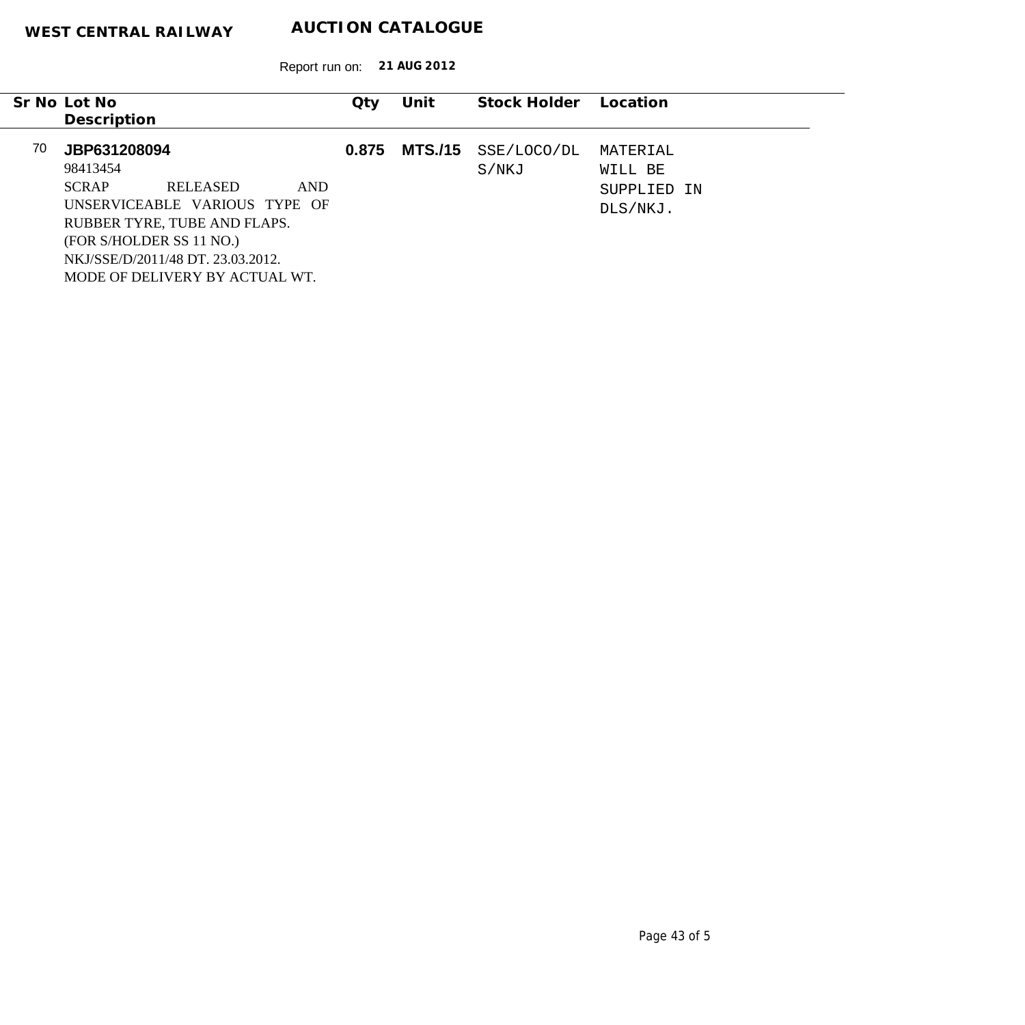|    | Sr No Lot No<br>Description                                          |                                                                                                                                                         |      | $Q$ ty | Unit           | Stock Holder         | Location                                       |
|----|----------------------------------------------------------------------|---------------------------------------------------------------------------------------------------------------------------------------------------------|------|--------|----------------|----------------------|------------------------------------------------|
| 70 | JBP631208094<br>98413454<br><b>SCRAP</b><br>(FOR S/HOLDER SS 11 NO.) | <b>RELEASED</b><br>UNSERVICEABLE VARIOUS TYPE OF<br>RUBBER TYRE, TUBE AND FLAPS.<br>NKJ/SSE/D/2011/48 DT, 23.03.2012.<br>MODE OF DELIVERY BY ACTUAL WT. | AND. | 0.875  | <b>MTS./15</b> | SSE/LOCO/DL<br>S/NKJ | MATERIAL<br>WILL BE<br>SUPPLIED IN<br>DLS/NKJ. |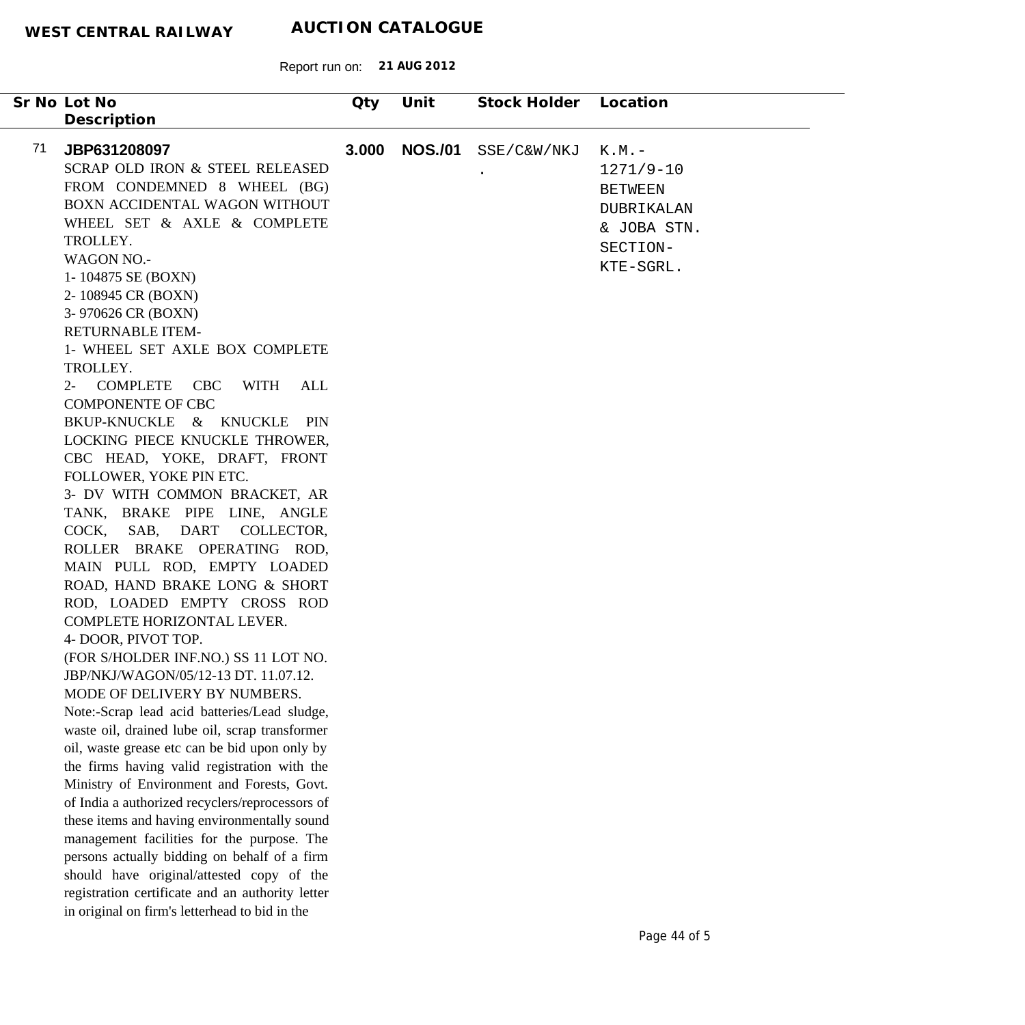| Sr No Lot No                                                                                                                                                                                                                                                                                                                                                                                                                                                                                                                                                                                                                                                                                                                                                                                                                                                                                                                                                                                                                                                                                                                                                                                                                                                                                                                                                                                                                                                                                 | Qty   | Unit           | Stock Holder | Location                                                                                        |
|----------------------------------------------------------------------------------------------------------------------------------------------------------------------------------------------------------------------------------------------------------------------------------------------------------------------------------------------------------------------------------------------------------------------------------------------------------------------------------------------------------------------------------------------------------------------------------------------------------------------------------------------------------------------------------------------------------------------------------------------------------------------------------------------------------------------------------------------------------------------------------------------------------------------------------------------------------------------------------------------------------------------------------------------------------------------------------------------------------------------------------------------------------------------------------------------------------------------------------------------------------------------------------------------------------------------------------------------------------------------------------------------------------------------------------------------------------------------------------------------|-------|----------------|--------------|-------------------------------------------------------------------------------------------------|
|                                                                                                                                                                                                                                                                                                                                                                                                                                                                                                                                                                                                                                                                                                                                                                                                                                                                                                                                                                                                                                                                                                                                                                                                                                                                                                                                                                                                                                                                                              |       |                |              |                                                                                                 |
| Description<br>71<br>JBP631208097<br>SCRAP OLD IRON & STEEL RELEASED<br>FROM CONDEMNED 8 WHEEL (BG)<br>BOXN ACCIDENTAL WAGON WITHOUT<br>WHEEL SET & AXLE & COMPLETE<br>TROLLEY.<br><b>WAGON NO.-</b><br>1-104875 SE (BOXN)<br>2-108945 CR (BOXN)<br>3-970626 CR (BOXN)<br>RETURNABLE ITEM-<br>1- WHEEL SET AXLE BOX COMPLETE<br>TROLLEY.<br>2- COMPLETE<br>CBC<br>WITH<br>ALL<br><b>COMPONENTE OF CBC</b><br>BKUP-KNUCKLE & KNUCKLE PIN<br>LOCKING PIECE KNUCKLE THROWER,<br>CBC HEAD, YOKE, DRAFT, FRONT<br>FOLLOWER, YOKE PIN ETC.<br>3- DV WITH COMMON BRACKET, AR<br>TANK, BRAKE PIPE LINE, ANGLE<br>SAB, DART COLLECTOR,<br>COCK,<br>ROLLER BRAKE OPERATING ROD,<br>MAIN PULL ROD, EMPTY LOADED<br>ROAD, HAND BRAKE LONG & SHORT<br>ROD, LOADED EMPTY CROSS ROD<br>COMPLETE HORIZONTAL LEVER.<br>4- DOOR, PIVOT TOP.<br>(FOR S/HOLDER INF.NO.) SS 11 LOT NO.<br>JBP/NKJ/WAGON/05/12-13 DT. 11.07.12.<br>MODE OF DELIVERY BY NUMBERS.<br>Note:-Scrap lead acid batteries/Lead sludge,<br>waste oil, drained lube oil, scrap transformer<br>oil, waste grease etc can be bid upon only by<br>the firms having valid registration with the<br>Ministry of Environment and Forests, Govt.<br>of India a authorized recyclers/reprocessors of<br>these items and having environmentally sound<br>management facilities for the purpose. The<br>persons actually bidding on behalf of a firm<br>should have original/attested copy of the<br>registration certificate and an authority letter | 3.000 | <b>NOS./01</b> | SSE/C&W/NKJ  | $K.M.$ -<br>$1271/9-10$<br><b>BETWEEN</b><br>DUBRIKALAN<br>& JOBA STN.<br>SECTION-<br>KTE-SGRL. |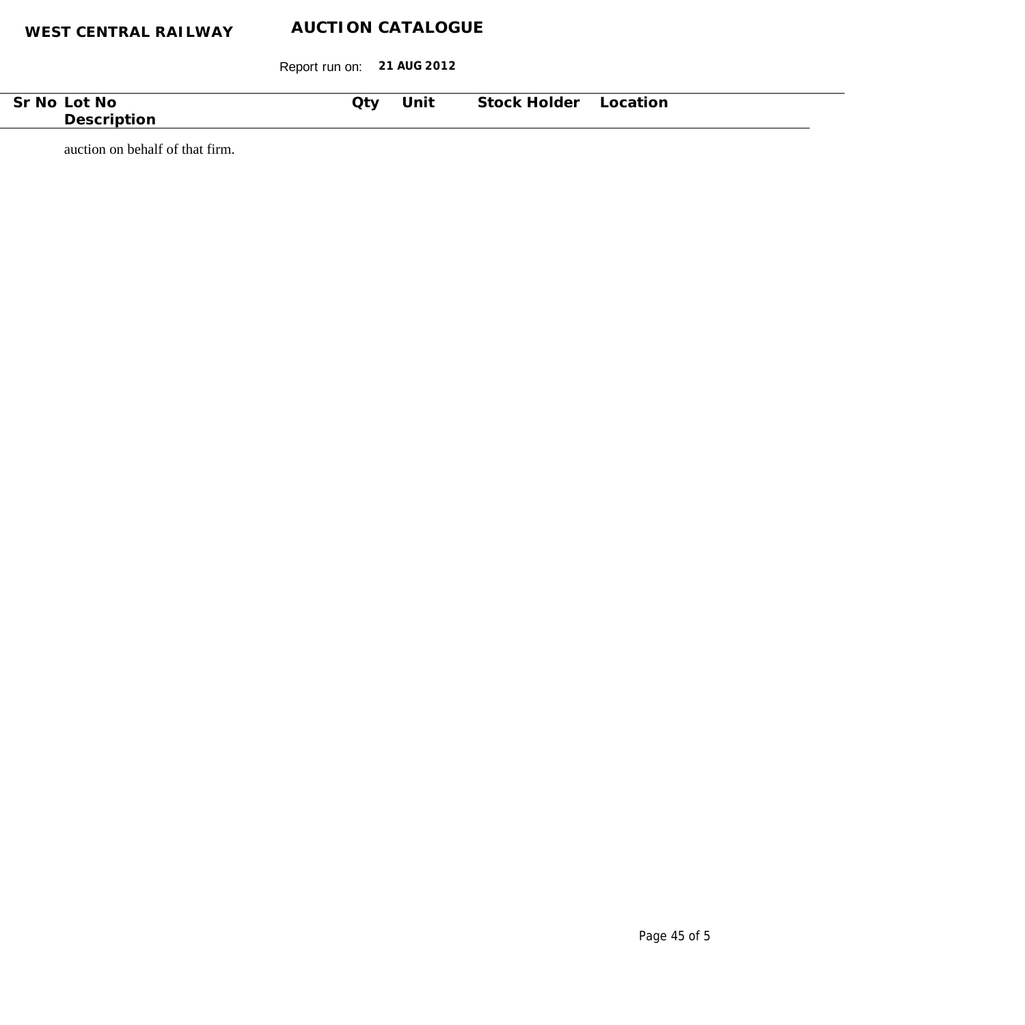Report run on: **21 AUG 2012**

| No.<br>⊟NI⊂.<br>ור | $Q$ ty | . .<br>Unit | stock.<br>older<br>$\sqcap$ | itior<br>$\cap$ |  |
|--------------------|--------|-------------|-----------------------------|-----------------|--|
| Des.               |        |             |                             |                 |  |
|                    |        |             |                             |                 |  |

auction on behalf of that firm.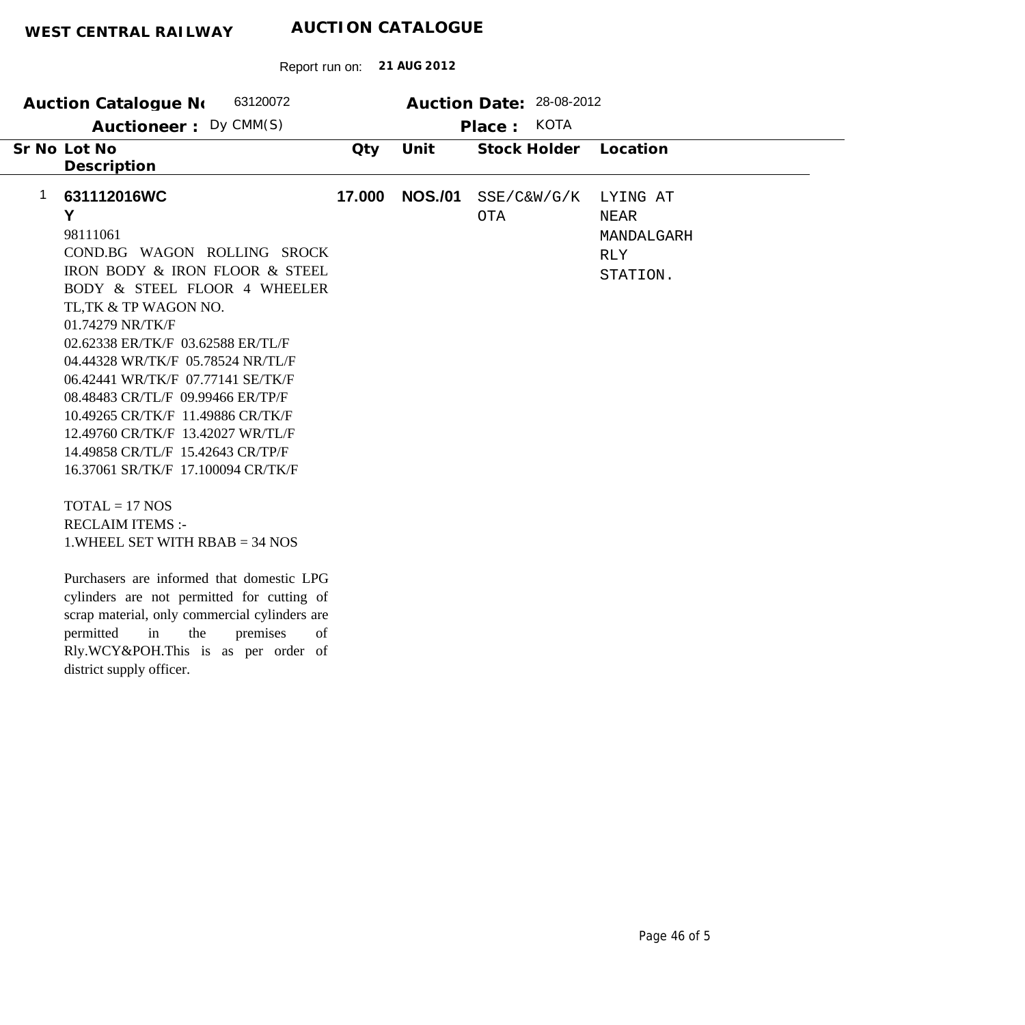| 63120072<br><b>Auction Catalogue No</b>                                                                                                                                                                                                                                                                                                                                                                                                                                                                                                                                                                                                                                                                                                                                                                                                |        |                | Auction Date: 28-08-2012  |                                                                 |
|----------------------------------------------------------------------------------------------------------------------------------------------------------------------------------------------------------------------------------------------------------------------------------------------------------------------------------------------------------------------------------------------------------------------------------------------------------------------------------------------------------------------------------------------------------------------------------------------------------------------------------------------------------------------------------------------------------------------------------------------------------------------------------------------------------------------------------------|--------|----------------|---------------------------|-----------------------------------------------------------------|
| Auctioneer: Dy CMM(S)                                                                                                                                                                                                                                                                                                                                                                                                                                                                                                                                                                                                                                                                                                                                                                                                                  |        |                | <b>KOTA</b><br>Place:     |                                                                 |
| Sr No Lot No                                                                                                                                                                                                                                                                                                                                                                                                                                                                                                                                                                                                                                                                                                                                                                                                                           | Qty    | Unit           | Stock Holder              | Location                                                        |
| Description                                                                                                                                                                                                                                                                                                                                                                                                                                                                                                                                                                                                                                                                                                                                                                                                                            |        |                |                           |                                                                 |
| 1<br>631112016WC<br>Y<br>98111061<br>COND.BG WAGON ROLLING SROCK<br>IRON BODY & IRON FLOOR & STEEL<br>BODY & STEEL FLOOR 4 WHEELER<br>TL, TK & TP WAGON NO.<br>01.74279 NR/TK/F<br>02.62338 ER/TK/F 03.62588 ER/TL/F<br>04.44328 WR/TK/F 05.78524 NR/TL/F<br>06.42441 WR/TK/F 07.77141 SE/TK/F<br>08.48483 CR/TL/F 09.99466 ER/TP/F<br>10.49265 CR/TK/F 11.49886 CR/TK/F<br>12.49760 CR/TK/F 13.42027 WR/TL/F<br>14.49858 CR/TL/F 15.42643 CR/TP/F<br>16.37061 SR/TK/F 17.100094 CR/TK/F<br>$TOTAL = 17 NOS$<br><b>RECLAIM ITEMS:-</b><br>1. WHEEL SET WITH $RBAB = 34$ NOS<br>Purchasers are informed that domestic LPG<br>cylinders are not permitted for cutting of<br>scrap material, only commercial cylinders are<br>premises<br>permitted<br>in<br>the<br>of<br>Rly.WCY&POH.This is as per order of<br>district supply officer. | 17.000 | <b>NOS./01</b> | SSE/C&W/G/K<br><b>OTA</b> | LYING AT<br><b>NEAR</b><br>MANDALGARH<br><b>RLY</b><br>STATION. |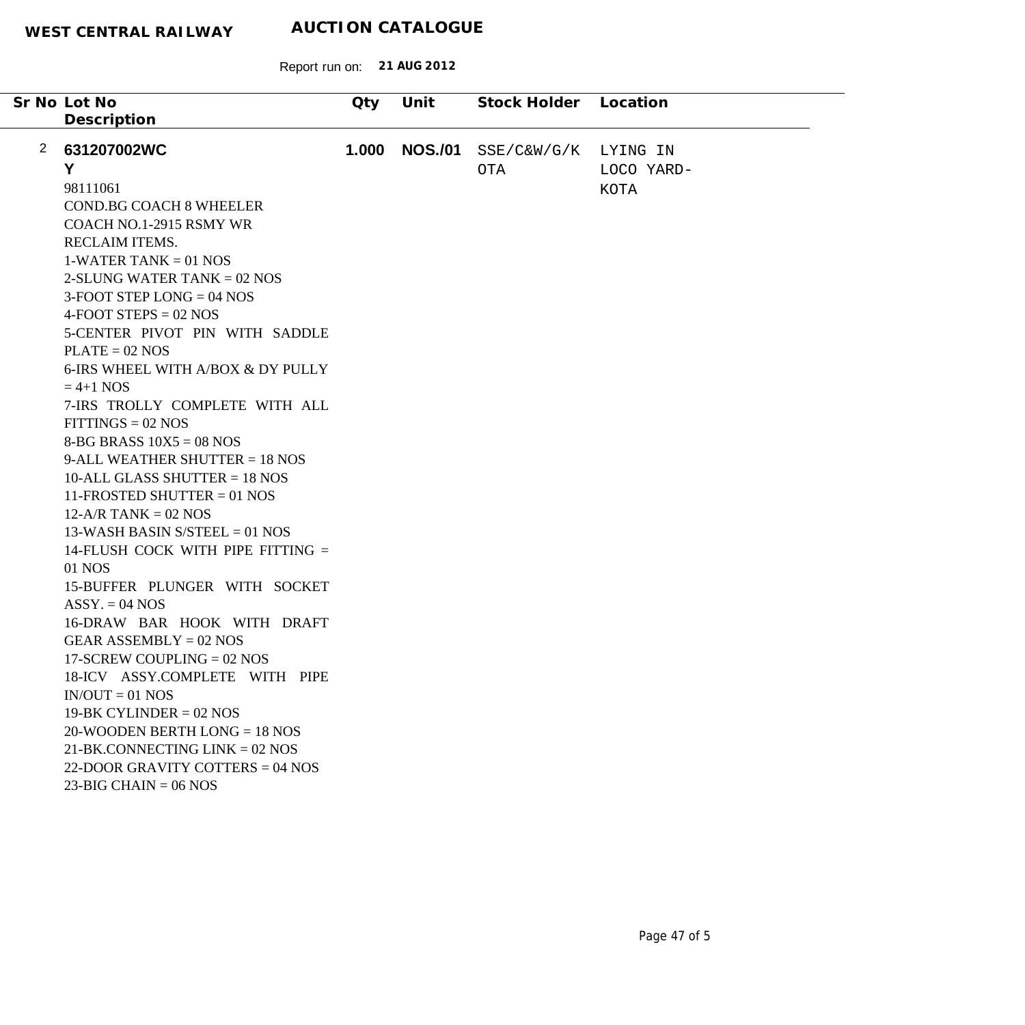|   | Sr No Lot No                           | Qty   | Unit           | Stock Holder Location |             |
|---|----------------------------------------|-------|----------------|-----------------------|-------------|
|   | Description                            |       |                |                       |             |
|   |                                        |       |                |                       |             |
| 2 | 631207002WC                            | 1.000 | <b>NOS./01</b> | SSE/C&W/G/K           | LYING IN    |
|   | Y                                      |       |                | OTA                   | LOCO YARD-  |
|   | 98111061                               |       |                |                       | <b>KOTA</b> |
|   | <b>COND.BG COACH 8 WHEELER</b>         |       |                |                       |             |
|   | COACH NO.1-2915 RSMY WR                |       |                |                       |             |
|   | RECLAIM ITEMS.                         |       |                |                       |             |
|   | $1-WATER TANK = 01 NOS$                |       |                |                       |             |
|   | 2-SLUNG WATER TANK $= 02$ NOS          |       |                |                       |             |
|   | $3-FOOT$ STEP LONG = 04 NOS            |       |                |                       |             |
|   | $4-FOOT$ STEPS = 02 NOS                |       |                |                       |             |
|   | 5-CENTER PIVOT PIN WITH SADDLE         |       |                |                       |             |
|   | $PLATE = 02 NOS$                       |       |                |                       |             |
|   | 6-IRS WHEEL WITH A/BOX & DY PULLY      |       |                |                       |             |
|   | $= 4+1$ NOS                            |       |                |                       |             |
|   | 7-IRS TROLLY COMPLETE WITH ALL         |       |                |                       |             |
|   | $FITINGS = 02 NOS$                     |       |                |                       |             |
|   | 8-BG BRASS $10X5 = 08$ NOS             |       |                |                       |             |
|   | 9-ALL WEATHER SHUTTER $= 18$ NOS       |       |                |                       |             |
|   | 10-ALL GLASS SHUTTER $= 18$ NOS        |       |                |                       |             |
|   | 11-FROSTED SHUTTER $= 01$ NOS          |       |                |                       |             |
|   | $12-A/R$ TANK = 02 NOS                 |       |                |                       |             |
|   | 13-WASH BASIN S/STEEL = 01 NOS         |       |                |                       |             |
|   | 14-FLUSH COCK WITH PIPE FITTING =      |       |                |                       |             |
|   | 01 NOS                                 |       |                |                       |             |
|   | 15-BUFFER PLUNGER WITH SOCKET          |       |                |                       |             |
|   | $ASSY = 04 NOS$                        |       |                |                       |             |
|   | 16-DRAW BAR HOOK WITH DRAFT            |       |                |                       |             |
|   | GEAR ASSEMBLY = $02$ NOS               |       |                |                       |             |
|   | 17-SCREW COUPLING $= 02$ NOS           |       |                |                       |             |
|   | 18-ICV ASSY.COMPLETE WITH PIPE         |       |                |                       |             |
|   | $IN/OUT = 01 NOS$                      |       |                |                       |             |
|   | $19-BK CYLINDER = 02 NOS$              |       |                |                       |             |
|   | $20-WOODEN BERTH LONG = 18 NOS$        |       |                |                       |             |
|   | $21-BK$ .CONNECTING LINK = 02 NOS      |       |                |                       |             |
|   | 22-DOOR GRAVITY COTTERS = $04$ NOS     |       |                |                       |             |
|   | $23-\text{BIG CHAIN} = 06 \text{ NOS}$ |       |                |                       |             |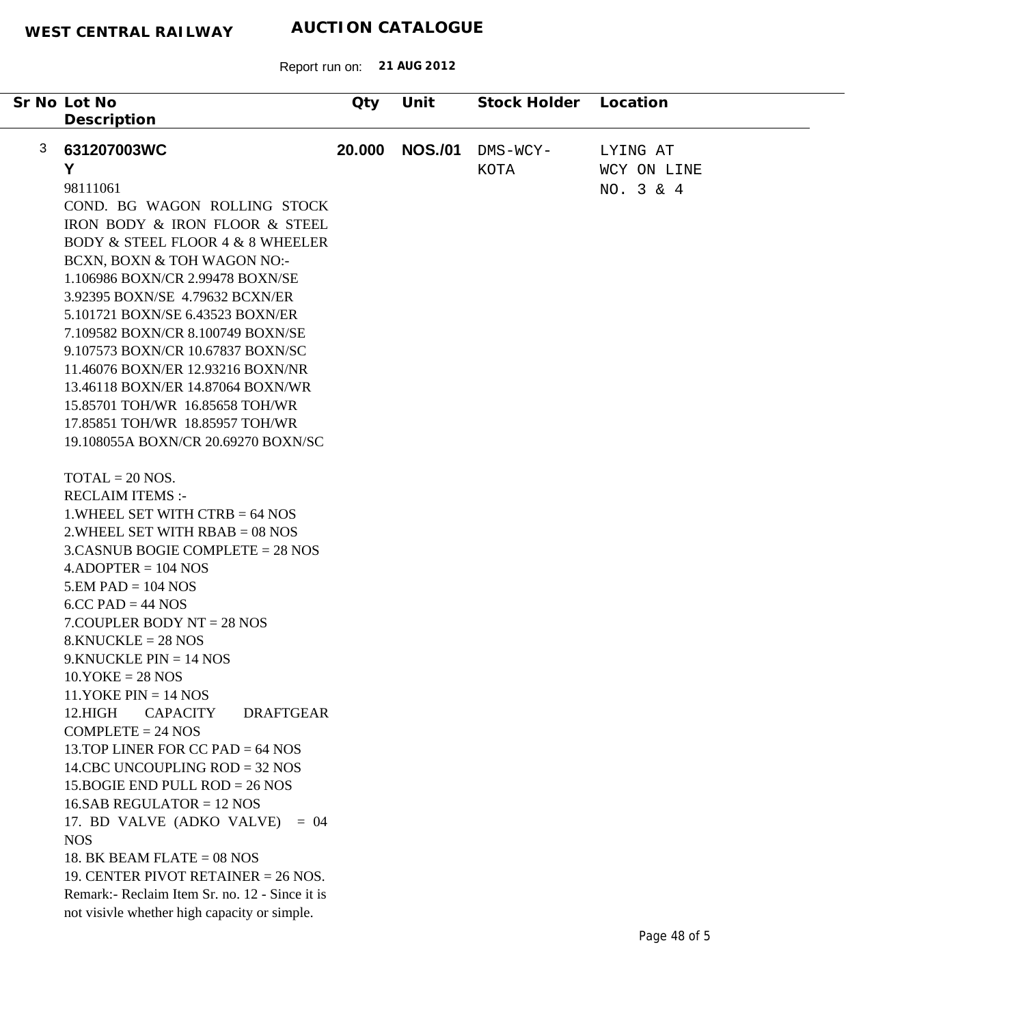|   | Sr No Lot No                                                    | Qty    | Unit           | Stock Holder | Location    |
|---|-----------------------------------------------------------------|--------|----------------|--------------|-------------|
|   | Description                                                     |        |                |              |             |
|   |                                                                 |        |                |              |             |
| 3 | 631207003WC                                                     | 20.000 | <b>NOS./01</b> | DMS-WCY-     | LYING AT    |
|   | Y                                                               |        |                | KOTA         | WCY ON LINE |
|   | 98111061                                                        |        |                |              | NO. 3 & 4   |
|   | COND. BG WAGON ROLLING STOCK                                    |        |                |              |             |
|   | IRON BODY & IRON FLOOR & STEEL                                  |        |                |              |             |
|   | <b>BODY &amp; STEEL FLOOR 4 &amp; 8 WHEELER</b>                 |        |                |              |             |
|   |                                                                 |        |                |              |             |
|   | BCXN, BOXN & TOH WAGON NO:-<br>1.106986 BOXN/CR 2.99478 BOXN/SE |        |                |              |             |
|   |                                                                 |        |                |              |             |
|   | 3.92395 BOXN/SE 4.79632 BCXN/ER                                 |        |                |              |             |
|   | 5.101721 BOXN/SE 6.43523 BOXN/ER                                |        |                |              |             |
|   | 7.109582 BOXN/CR 8.100749 BOXN/SE                               |        |                |              |             |
|   | 9.107573 BOXN/CR 10.67837 BOXN/SC                               |        |                |              |             |
|   | 11.46076 BOXN/ER 12.93216 BOXN/NR                               |        |                |              |             |
|   | 13.46118 BOXN/ER 14.87064 BOXN/WR                               |        |                |              |             |
|   | 15.85701 TOH/WR 16.85658 TOH/WR                                 |        |                |              |             |
|   | 17.85851 TOH/WR 18.85957 TOH/WR                                 |        |                |              |             |
|   | 19.108055A BOXN/CR 20.69270 BOXN/SC                             |        |                |              |             |
|   |                                                                 |        |                |              |             |
|   | $TOTAL = 20 NOS.$                                               |        |                |              |             |
|   | <b>RECLAIM ITEMS:-</b>                                          |        |                |              |             |
|   | 1. WHEEL SET WITH CTRB $= 64$ NOS                               |        |                |              |             |
|   | $2.$ WHEEL SET WITH RBAB = 08 NOS                               |        |                |              |             |
|   | $3.CASNUB BOGIE COMPLETE = 28 NOS$                              |        |                |              |             |
|   | $4.$ ADOPTER = 104 NOS                                          |        |                |              |             |
|   | $5.EM$ PAD = 104 NOS                                            |        |                |              |             |
|   | $6C$ C PAD = 44 NOS                                             |        |                |              |             |
|   | $7$ . COUPLER BODY NT = 28 NOS                                  |        |                |              |             |
|   | $8.KNUCKLE = 28 NOS$                                            |        |                |              |             |
|   | $9.$ KNUCKLE PIN = 14 NOS                                       |        |                |              |             |
|   | $10.YOKE = 28 NOS$                                              |        |                |              |             |
|   | $11.YOKE PIN = 14 NOS$                                          |        |                |              |             |
|   | 12.HIGH<br><b>CAPACITY</b><br><b>DRAFTGEAR</b>                  |        |                |              |             |
|   | $COMPLETE = 24 NOS$                                             |        |                |              |             |
|   | 13. TOP LINER FOR CC PAD $= 64$ NOS                             |        |                |              |             |
|   | 14.CBC UNCOUPLING $ROD = 32$ NOS                                |        |                |              |             |
|   | 15. BOGIE END PULL ROD = $26$ NOS                               |        |                |              |             |
|   | $16.$ SAB REGULATOR = 12 NOS                                    |        |                |              |             |
|   | 17. BD VALVE (ADKO VALVE)<br>$= 04$                             |        |                |              |             |
|   | <b>NOS</b>                                                      |        |                |              |             |
|   | 18. BK BEAM FLATE = $08$ NOS                                    |        |                |              |             |
|   | 19. CENTER PIVOT RETAINER $= 26$ NOS.                           |        |                |              |             |
|   | Remark:- Reclaim Item Sr. no. 12 - Since it is                  |        |                |              |             |
|   | not visivle whether high capacity or simple.                    |        |                |              |             |
|   |                                                                 |        |                |              |             |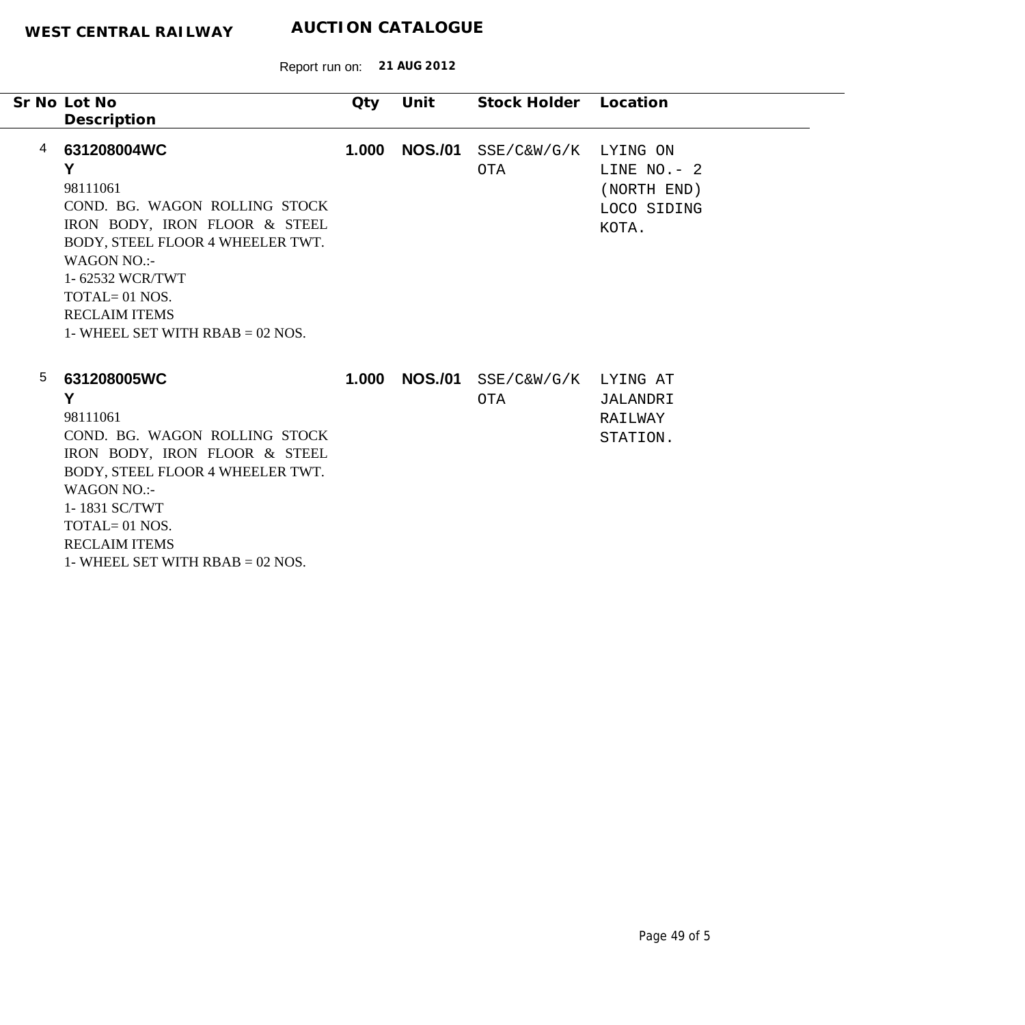Report run on: **21 AUG 2012**

| Sr No Lot No                                                                                                                                                                                                                                                      | Qty   | Unit           | Stock Holder Location |                                                                   |
|-------------------------------------------------------------------------------------------------------------------------------------------------------------------------------------------------------------------------------------------------------------------|-------|----------------|-----------------------|-------------------------------------------------------------------|
| Description                                                                                                                                                                                                                                                       |       |                |                       |                                                                   |
| 631208004WC<br>4<br>Y<br>98111061<br>COND. BG. WAGON ROLLING STOCK<br>IRON BODY, IRON FLOOR & STEEL<br>BODY, STEEL FLOOR 4 WHEELER TWT.<br>WAGON NO.:-<br>1-62532 WCR/TWT<br>$TOTAL = 01 NOS.$<br><b>RECLAIM ITEMS</b><br>1- WHEEL SET WITH $RBAB = 02$ NOS.      | 1.000 | <b>NOS./01</b> | $SSE/C\&W/G/K$<br>OTA | LYING ON<br>LINE $NO. - 2$<br>(NORTH END)<br>LOCO SIDING<br>KOTA. |
| 5<br>631208005WC<br>Y<br>98111061<br>COND. BG. WAGON ROLLING STOCK<br>IRON BODY, IRON FLOOR & STEEL<br>BODY, STEEL FLOOR 4 WHEELER TWT.<br><b>WAGON NO.:-</b><br>1-1831 SC/TWT<br>$TOTAL = 01 NOS.$<br><b>RECLAIM ITEMS</b><br>1- WHEEL SET WITH $RBAB = 02$ NOS. | 1.000 | <b>NOS./01</b> | SSE/C&W/G/K<br>OTA    | LYING AT<br>JALANDRI<br>RAILWAY<br>STATION.                       |

÷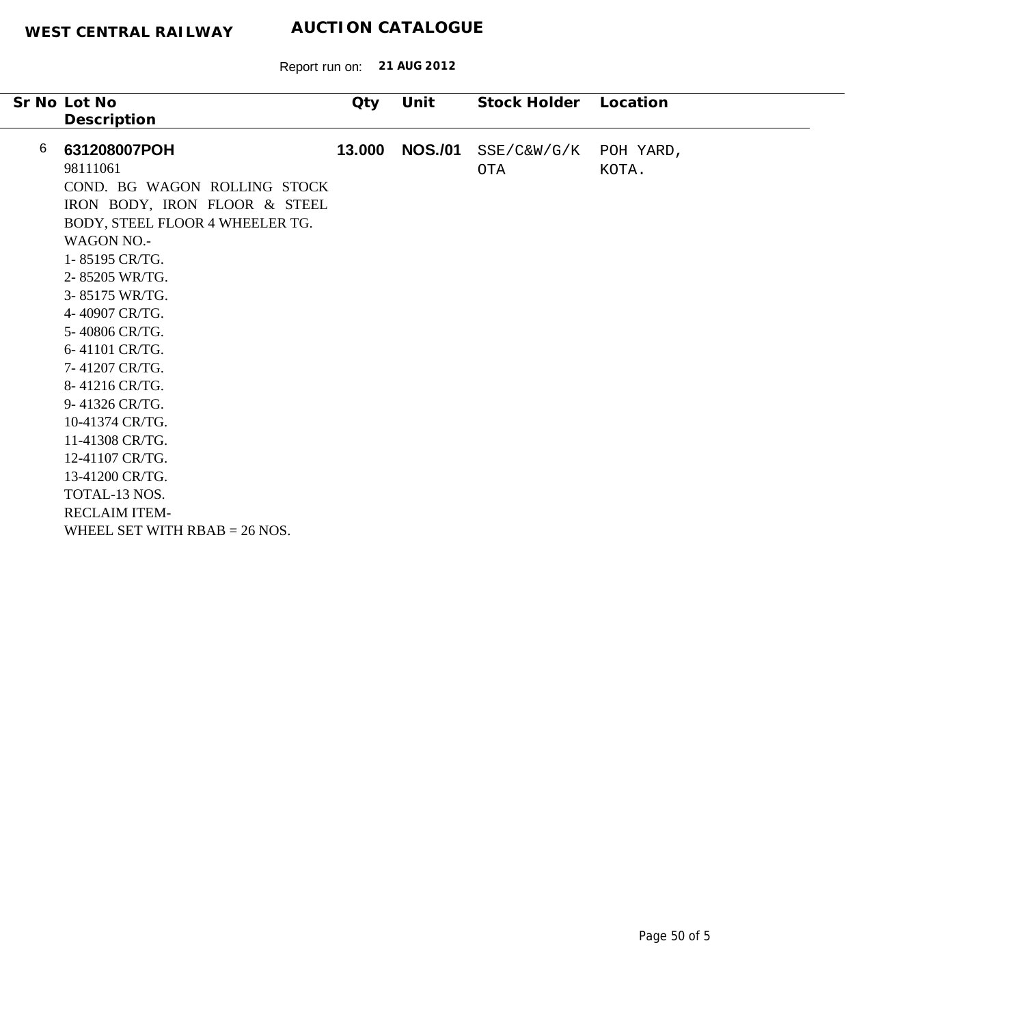|   | Sr No Lot No                    | Qty    | Unit           | Stock Holder | Location  |
|---|---------------------------------|--------|----------------|--------------|-----------|
|   | Description                     |        |                |              |           |
| 6 | 631208007POH                    | 13.000 | <b>NOS./01</b> | SSE/C&W/G/K  | POH YARD, |
|   | 98111061                        |        |                | OTA          | KOTA.     |
|   | COND. BG WAGON ROLLING STOCK    |        |                |              |           |
|   | IRON BODY, IRON FLOOR & STEEL   |        |                |              |           |
|   | BODY, STEEL FLOOR 4 WHEELER TG. |        |                |              |           |
|   | <b>WAGON NO.-</b>               |        |                |              |           |
|   | 1-85195 CR/TG.                  |        |                |              |           |
|   | 2-85205 WR/TG.                  |        |                |              |           |
|   | 3-85175 WR/TG.                  |        |                |              |           |
|   | 4-40907 CR/TG.                  |        |                |              |           |
|   | 5-40806 CR/TG.                  |        |                |              |           |
|   | 6-41101 CR/TG.                  |        |                |              |           |
|   | 7-41207 CR/TG.                  |        |                |              |           |
|   | 8-41216 CR/TG.                  |        |                |              |           |
|   | 9-41326 CR/TG.                  |        |                |              |           |
|   | 10-41374 CR/TG.                 |        |                |              |           |
|   | 11-41308 CR/TG.                 |        |                |              |           |
|   | 12-41107 CR/TG.                 |        |                |              |           |
|   | 13-41200 CR/TG.                 |        |                |              |           |
|   | TOTAL-13 NOS.                   |        |                |              |           |
|   | <b>RECLAIM ITEM-</b>            |        |                |              |           |
|   | WHEEL SET WITH $RBAB = 26$ NOS. |        |                |              |           |